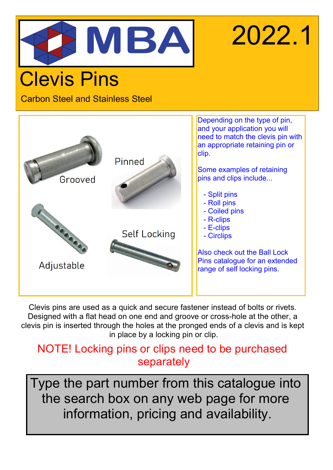

# 2022.1

# Clevis Pins

Carbon Steel and Stainless Steel



Clevis pins are used as a quick and secure fastener instead of bolts or rivets. Designed with a flat head on one end and groove or cross-hole at the other, a clevis pin is inserted through the holes at the pronged ends of a clevis and is kept in place by a locking pin or clip.

### NOTE! Locking pins or clips need to be purchased separately

Type the part number from this catalogue into the search box on any web page for more information, pricing and availability.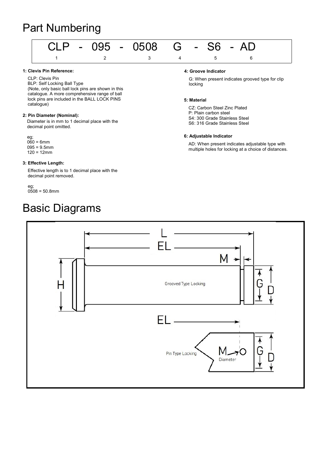### Part Numbering



#### 1: Clevis Pin Reference:

CLP: Clevis Pin BLP: Self Locking Ball Type (Note, only basic ball lock pins are shown in this catalogue. A more comprehensive range of ball lock pins are included in the BALL LOCK PINS catalogue)

#### 2: Pin Diameter (Nominal):

Diameter is in mm to 1 decimal place with the decimal point omitted.

eg;  $060 = 6$ mm  $095 = 9.5$ mm  $120 = 12$ mm

#### 3: Effective Length:

Effective length is to 1 decimal place with the decimal point removed.

eg; 0508 = 50.8mm

### Basic Diagrams

#### 4: Groove Indicator

G: When present indicates grooved type for clip locking

#### 5: Material

CZ: Carbon Steel Zinc Plated P: Plain carbon steel S4: 300 Grade Stainless Steel S6: 316 Grade Stainless Steel

#### 6: Adjustable Indicator

AD: When present indicates adjustable type with multiple holes for locking at a choice of distances.

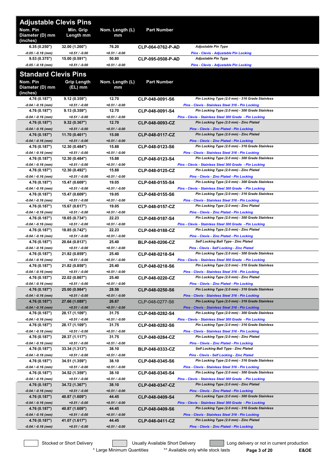| <b>Adjustable Clevis Pins</b>           |                                   |                          |                        |                                                                                                            |
|-----------------------------------------|-----------------------------------|--------------------------|------------------------|------------------------------------------------------------------------------------------------------------|
| Nom. Pin<br>Diameter (D) mm<br>(inches) | Min. Grip<br>Length mm            | Nom. Length (L)<br>mm    | <b>Part Number</b>     |                                                                                                            |
| 6.35(0.250")                            | 32.00 (1.260")                    | 76.20                    | CLP-064-0762-P-AD      | Adjustable Pin Type                                                                                        |
| -0.05 / -0.18 (mm)                      | $+0.51 / -0.00$                   | $+0.51 / -0.00$          |                        | Pins - Clevis - Adjustable Pin Locking                                                                     |
| 9.53(0.375")<br>-0.05 / -0.18 (mm)      | 15.00 (0.591")<br>$+0.51 / -0.00$ | 50.80<br>$+0.51 / -0.00$ | CLP-095-0508-P-AD      | <b>Adjustable Pin Type</b><br>Pins - Clevis - Adjustable Pin Locking                                       |
|                                         |                                   |                          |                        |                                                                                                            |
| <b>Standard Clevis Pins</b>             |                                   |                          |                        |                                                                                                            |
| Nom. Pin<br>Diameter (D) mm<br>(inches) | <b>Grip Length</b><br>(EL) mm     | Nom. Length (L)<br>mm    | <b>Part Number</b>     |                                                                                                            |
| 4.76 (0.187")                           | 9.12(0.359")                      | 12.70                    | CLP-048-0091-S6        | Pin Locking Type (2.0 mm) - 316 Grade Stainless                                                            |
| -0.04 / -0.16 (mm)                      | $+0.51 / -0.00$                   | +0.51 / -0.00            |                        | Pins - Clevis - Stainless Steel 316 - Pin Locking                                                          |
| 4.76 (0.187")<br>-0.04 / -0.16 (mm)     | 9.13(0.359")<br>$+0.51 / -0.00$   | 12.70<br>+0.51 / -0.00   | CLP-048-0091-S4        | Pin Locking Type (2.0 mm) - 300 Grade Stainless<br>Pins - Clevis - Stainless Steel 300 Grade - Pin Locking |
| 4.76 (0.187")                           | 9.32(0.367")                      | 12.70                    | CLP-048-0093-CZ        | Pin Locking Type (2.0 mm) - Zinc Plated                                                                    |
| $-0.04 / -0.16$ (mm)                    | $+0.51 / -0.00$                   | $+0.51 / -0.00$          |                        | Pins - Clevis - Zinc Plated - Pin Locking                                                                  |
| 4.76 (0.187")                           | 11.70 (0.461")                    | 15.08                    | CLP-048-0117-CZ        | Pin Locking Type (2.0 mm) - Zinc Plated                                                                    |
| $-0.04 / -0.16$ (mm)                    | $+0.51 / -0.00$<br>12.30 (0.484") | $+0.51 / -0.00$<br>15.88 |                        | Pins - Clevis - Zinc Plated - Pin Locking<br>Pin Locking Type (2.0 mm) - 316 Grade Stainless               |
| 4.76 (0.187")<br>-0.04 / -0.16 (mm)     | $+0.51 / -0.00$                   | +0.51 / -0.00            | CLP-048-0123-S6        | Pins - Clevis - Stainless Steel 316 - Pin Locking                                                          |
| 4.76 (0.187")                           | 12.30 (0.484")                    | 15.88                    | CLP-048-0123-S4        | Pin Locking Type (2.0 mm) - 300 Grade Stainless                                                            |
| -0.04 / -0.16 (mm)                      | $+0.51 / -0.00$                   | +0.51 / -0.00            |                        | Pins - Clevis - Stainless Steel 300 Grade - Pin Locking                                                    |
| 4.76 (0.187")                           | 12.30 (0.492")                    | 15.88                    | CLP-048-0125-CZ        | Pin Locking Type (2.0 mm) - Zinc Plated                                                                    |
| -0.04 / -0.16 (mm)                      | $+0.51 / -0.00$                   | +0.51 / -0.00            |                        | <b>Pins - Clevis - Zinc Plated - Pin Locking</b><br>Pin Locking Type (2.0 mm) - 300 Grade Stainless        |
| 4.76 (0.187")<br>-0.04 / -0.16 (mm)     | 15.47 (0.609")<br>$+0.51 / -0.00$ | 19.05<br>+0.51 / -0.00   | CLP-048-0155-S4        | Pins - Clevis - Stainless Steel 300 Grade - Pin Locking                                                    |
| 4.76 (0.187")                           | 15.47 (0.609")                    | 19.05                    | CLP-048-0155-S6        | Pin Locking Type (2.0 mm) - 316 Grade Stainless                                                            |
| -0.04 / -0.16 (mm)                      | $+0.51 / -0.00$                   | $+0.51 / -0.00$          |                        | Pins - Clevis - Stainless Steel 316 - Pin Locking                                                          |
| 4.76 (0.187")                           | 15.67 (0.617")                    | 19.05                    | CLP-048-0157-CZ        | Pin Locking Type (2.0 mm) - Zinc Plated                                                                    |
| $-0.04 / -0.16$ (mm)                    | $+0.51 / -0.00$                   | +0.51 / -0.00            |                        | Pins - Clevis - Zinc Plated - Pin Locking                                                                  |
| 4.76 (0.187")                           | 18.65 (0.734")                    | 22.23                    | CLP-048-0187-S4        | Pin Locking Type (2.0 mm) - 300 Grade Stainless                                                            |
| -0.04 / -0.16 (mm)<br>4.76 (0.187")     | $+0.51 / -0.00$<br>18.85 (0.742") | $+0.51 / -0.00$<br>22.23 | CLP-048-0188-CZ        | Pins - Clevis - Stainless Steel 300 Grade - Pin Locking<br>Pin Locking Type (2.0 mm) - Zinc Plated         |
| -0.04 / -0.16 (mm)                      | $+0.51 / -0.00$                   | +0.51 / -0.00            |                        | Pins - Clevis - Zinc Plated - Pin Locking                                                                  |
| 4.76 (0.187")                           | 20.64 (0.813")                    | 25.40                    | <b>BLP-048-0206-CZ</b> | Self Locking Ball Type - Zinc Plated                                                                       |
| -0.04 / -0.16 (mm)                      | $+0.51 / -0.00$                   | $+0.51 / -0.00$          |                        | <b>Pins - Clevis - Self Locking - Zinc Plated</b>                                                          |
| 4.76 (0.187")                           | 21.82 (0.859")                    | 25.40                    | CLP-048-0218-S4        | Pin Locking Type (2.0 mm) - 300 Grade Stainless                                                            |
| -0.04 / -0.16 (mm)<br>4.76 (0.187")     | $+0.51 / -0.00$<br>21.82 (0.859") | +0.51 / -0.00<br>25.40   |                        | Pins - Clevis - Stainless Steel 300 Grade - Pin Locking<br>Pin Locking Type (2.0 mm) - 316 Grade Stainless |
| -0.04 / -0.16 (mm)                      | $+0.51 / -0.00$                   | +0.51 / -0.00            | CLP-048-0218-S6        | Pins - Clevis - Stainless Steel 316 - Pin Locking                                                          |
| 4.76 (0.187")                           | 22.02 (0.867")                    | 25.40                    | CLP-048-0220-CZ        | Pin Locking Type (2.0 mm) - Zinc Plated                                                                    |
| -0.04 / -0.16 (mm)                      | $+0.51 / -0.00$                   | +0.51 / -0.00            |                        | Pins - Clevis - Zinc Plated - Pin Locking                                                                  |
| 4.76 (0.187")                           | 25.00 (0.984")                    | 28.58                    | CLP-048-0250-S6        | Pin Locking Type (2.0 mm) - 316 Grade Stainless                                                            |
| $-0.04 / -0.16$ (mm)                    | $+0.51 / -0.00$                   | $+0.51 / -0.00$          |                        | Pins - Clevis - Stainless Steel 316 - Pin Locking                                                          |
| 4.76 (0.187")<br>$-0.04 / -0.16$ (mm)   | 27.66 (1.089")<br>$+0.51 / -0.00$ | 26.67<br>$+0.51 / -0.00$ | CLP-048-0277-S6        | Pin Locking Type (2.0 mm) - 316 Grade Stainless<br>Pins - Clevis - Stainless Steel 316 - Pin Locking       |
| 4.76 (0.187")                           | 28.17 (1.109")                    | 31.75                    | CLP-048-0282-S4        | Pin Locking Type (2.0 mm) - 300 Grade Stainless                                                            |
| -0.04 / -0.16 (mm)                      | $+0.51 / -0.00$                   | +0.51 / -0.00            |                        | Pins - Clevis - Stainless Steel 300 Grade - Pin Locking                                                    |
| 4.76 (0.187")                           | 28.17 (1.109")                    | 31.75                    | CLP-048-0282-S6        | Pin Locking Type (2.0 mm) - 316 Grade Stainless                                                            |
| -0.04 / -0.16 (mm)                      | $+0.51 / -0.00$                   | +0.51 / -0.00            |                        | Pins - Clevis - Stainless Steel 316 - Pin Locking                                                          |
| 4.76 (0.187")<br>-0.04 / -0.16 (mm)     | 28.37 (1.117")<br>$+0.51 / -0.00$ | 31.75<br>+0.51 / -0.00   | CLP-048-0284-CZ        | Pin Locking Type (2.0 mm) - Zinc Plated<br>Pins - Clevis - Zinc Plated - Pin Locking                       |
| 4.76 (0.187")                           | 33.34 (1.313")                    | 38.10                    | <b>BLP-048-0333-CZ</b> | Self Locking Ball Type - Zinc Plated                                                                       |
| -0.04 / -0.16 (mm)                      | $+0.51 / -0.00$                   | $+0.51 / -0.00$          |                        | Pins - Clevis - Self Locking - Zinc Plated                                                                 |
| 4.76 (0.187")                           | 34.51 (1.359")                    | 38.10                    | CLP-048-0345-S6        | Pin Locking Type (2.0 mm) - 316 Grade Stainless                                                            |
| -0.04 / -0.16 (mm)                      | $+0.51 / -0.00$                   | +0.51 / -0.00            |                        | Pins - Clevis - Stainless Steel 316 - Pin Locking                                                          |
| 4.76 (0.187")<br>-0.04 / -0.16 (mm)     | 34.52 (1.359")<br>$+0.51 / -0.00$ | 38.10<br>+0.51 / -0.00   | CLP-048-0345-S4        | Pin Locking Type (2.0 mm) - 300 Grade Stainless<br>Pins - Clevis - Stainless Steel 300 Grade - Pin Locking |
| 4.76 (0.187")                           | 34.72 (1.367")                    | 38.10                    | CLP-048-0347-CZ        | Pin Locking Type (2.0 mm) - Zinc Plated                                                                    |
| $-0.04 / -0.16$ (mm)                    | $+0.51 / -0.00$                   | $+0.51 / -0.00$          |                        | Pins - Clevis - Zinc Plated - Pin Locking                                                                  |
| 4.76 (0.187")                           | 40.87 (1.609")                    | 44.45                    | CLP-048-0409-S4        | Pin Locking Type (2.0 mm) - 300 Grade Stainless                                                            |
| $-0.04 / -0.16$ (mm)                    | $+0.51 / -0.00$                   | $+0.51 / -0.00$          |                        | Pins - Clevis - Stainless Steel 300 Grade - Pin Locking                                                    |
| 4.76 (0.187")                           | 40.87 (1.609")                    | 44.45                    | CLP-048-0409-S6        | Pin Locking Type (2.0 mm) - 316 Grade Stainless                                                            |
| $-0.04 / -0.16$ (mm)<br>4.76 (0.187")   | $+0.51 / -0.00$<br>41.07 (1.617") | $+0.51 / -0.00$<br>44.45 | CLP-048-0411-CZ        | Pins - Clevis - Stainless Steel 316 - Pin Locking<br>Pin Locking Type (2.0 mm) - Zinc Plated               |
| $-0.04 / -0.16$ (mm)                    | $+0.51 / -0.00$                   | $+0.51 / -0.00$          |                        | Pins - Clevis - Zinc Plated - Pin Locking                                                                  |
|                                         |                                   |                          |                        |                                                                                                            |

Stocked or Short Delivery **The Contract Contract Contract Contract** Long delivery or not in current production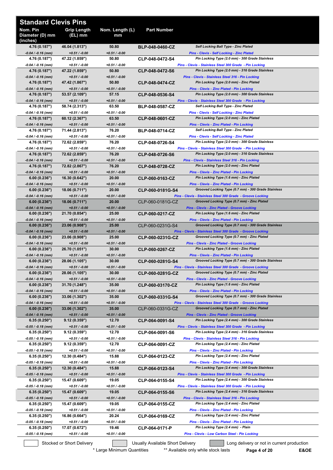| <b>Standard Clevis Pins</b>             |                                   |                          |                        |                                                                                                            |
|-----------------------------------------|-----------------------------------|--------------------------|------------------------|------------------------------------------------------------------------------------------------------------|
| Nom. Pin<br>Diameter (D) mm<br>(inches) | <b>Grip Length</b><br>$(EL)$ mm   | Nom. Length (L)<br>mm    | <b>Part Number</b>     |                                                                                                            |
| 4.76 (0.187")                           | 46.04 (1.813")                    | 50.80                    | <b>BLP-048-0460-CZ</b> | <b>Self Locking Ball Type - Zinc Plated</b>                                                                |
| $-0.04 / -0.16$ (mm)<br>4.76 (0.187")   | $+0.51/ -0.00$<br>47.22 (1.859")  | $+0.51 / -0.00$<br>50.80 | CLP-048-0472-S4        | <b>Pins - Clevis - Self Locking - Zinc Plated</b><br>Pin Locking Type (2.0 mm) - 300 Grade Stainless       |
| -0.04 / -0.16 (mm)                      | $+0.51 / -0.00$                   | $+0.51 / -0.00$          |                        | Pins - Clevis - Stainless Steel 300 Grade - Pin Locking                                                    |
| 4.76 (0.187")<br>$-0.04 / -0.16$ (mm)   | 47.22 (1.859")<br>$+0.51 / -0.00$ | 50.80<br>$+0.51 / -0.00$ | CLP-048-0472-S6        | Pin Locking Type (2.0 mm) - 316 Grade Stainless<br>Pins - Clevis - Stainless Steel 316 - Pin Locking       |
| 4.76 (0.187")                           | 47.42 (1.867")                    | 50.80                    | CLP-048-0474-CZ        | Pin Locking Type (2.0 mm) - Zinc Plated                                                                    |
| -0.04 / -0.16 (mm)<br>4.76 (0.187")     | $+0.51/ -0.00$<br>53.57 (2.109")  | $+0.51 / -0.00$<br>57.15 | CLP-048-0536-S4        | <b>Pins - Clevis - Zinc Plated - Pin Locking</b><br>Pin Locking Type (2.0 mm) - 300 Grade Stainless        |
| -0.04 / -0.16 (mm)                      | $+0.51/ -0.00$                    | $+0.51 / -0.00$          |                        | Pins - Clevis - Stainless Steel 300 Grade - Pin Locking                                                    |
| 4.76 (0.187")                           | 58.74 (2.313")                    | 63.50                    | <b>BLP-048-0587-CZ</b> | <b>Self Locking Ball Type - Zinc Plated</b>                                                                |
| -0.04 / -0.16 (mm)<br>4.76 (0.187")     | $+0.51/ -0.00$<br>60.12(2.367")   | $+0.51 / -0.00$<br>63.50 | CLP-048-0601-CZ        | Pins - Clevis - Self Locking - Zinc Plated<br>Pin Locking Type (2.0 mm) - Zinc Plated                      |
| -0.04 / -0.16 (mm)                      | $+0.51/ -0.00$                    | $+0.51 / -0.00$          |                        | Pins - Clevis - Zinc Plated - Pin Locking                                                                  |
| 4.76 (0.187")<br>$-0.04 / -0.16$ (mm)   | 71.44 (2.813")<br>$+0.51/ -0.00$  | 76.20<br>$+0.51 / -0.00$ | BLP-048-0714-CZ        | <b>Self Locking Ball Type - Zinc Plated</b><br><b>Pins - Clevis - Self Locking - Zinc Plated</b>           |
| 4.76 (0.187")                           | 72.62 (2.859")                    | 76.20                    | CLP-048-0726-S4        | Pin Locking Type (2.0 mm) - 300 Grade Stainless                                                            |
| -0.04 / -0.16 (mm)<br>4.76 (0.187")     | $+0.51/ -0.00$<br>72.62 (2.859")  | $+0.51 / -0.00$<br>76.20 | CLP-048-0726-S6        | Pins - Clevis - Stainless Steel 300 Grade - Pin Locking<br>Pin Locking Type (2.0 mm) - 316 Grade Stainless |
| $-0.04 / -0.16$ (mm)                    | $+0.51 / -0.00$                   | $+0.51 / -0.00$          |                        | Pins - Clevis - Stainless Steel 316 - Pin Locking                                                          |
| 4.76 (0.187")                           | 72.82 (2.867")                    | 76.20                    | CLP-048-0728-CZ        | Pin Locking Type (2.0 mm) - Zinc Plated                                                                    |
| $-0.04 / -0.16$ (mm)<br>6.00(0.236")    | $+0.51/ -0.00$<br>16.30(0.642")   | $+0.51 / -0.00$<br>20.00 | CLP-060-0163-CZ        | Pins - Clevis - Zinc Plated - Pin Locking<br>Pin Locking Type (1.6 mm) - Zinc Plated                       |
| $-0.04 / -0.16$ (mm)                    | $+0.51 / -0.00$                   | $+0.51 / -0.00$          |                        | Pins - Clevis - Zinc Plated - Pin Locking                                                                  |
| 6.00(0.236")                            | 18.06 (0.711")                    | 20.00                    | CLP-060-0181G-S4       | Grooved Locking Type (0.7 mm) - 300 Grade Stainless                                                        |
| -0.04 / -0.16 (mm)<br>6.00(0.236")      | $+0.51/ -0.00$<br>18.06(0.711")   | $+0.51 / -0.00$<br>20.00 | CLP-060-0181G-CZ       | Pins - Clevis - Stainless Steel 300 Grade - Groove Locking<br>Grooved Locking Type (0.7 mm) - Zinc Plated  |
| -0.04 / -0.16 (mm)                      | $+0.51/ -0.00$                    | $+0.51 / -0.00$          |                        | <b>Pins - Clevis - Zinc Plated - Groove Locking</b>                                                        |
| 6.00(0.236")<br>$-0.04 / -0.16$ (mm)    | 21.70 (0.854")<br>$+0.51/ -0.00$  | 25.00<br>$+0.51 / -0.00$ | CLP-060-0217-CZ        | Pin Locking Type (1.6 mm) - Zinc Plated<br>Pins - Clevis - Zinc Plated - Pin Locking                       |
| 6.00(0.236")                            | 23.06 (0.908")                    | 25.00                    | CLP-060-0231G-S4       | Grooved Locking Type (0.7 mm) - 300 Grade Stainless                                                        |
| -0.04 / -0.16 (mm)<br>6.00(0.236")      | $+0.51/ -0.00$<br>23.06 (0.908")  | $+0.51 / -0.00$<br>25.00 | CLP-060-0231G-CZ       | Pins - Clevis - Stainless Steel 300 Grade - Groove Locking<br>Grooved Locking Type (0.7 mm) - Zinc Plated  |
| $-0.04 / -0.16$ (mm)                    | $+0.51/ -0.00$                    | $+0.51 / -0.00$          |                        | <b>Pins - Clevis - Zinc Plated - Groove Locking</b>                                                        |
| 6.00(0.236")                            | 26.70 (1.051")                    | 30.00                    | CLP-060-0267-CZ        | Pin Locking Type (1.6 mm) - Zinc Plated                                                                    |
| -0.04 / -0.16 (mm)<br>6.00(0.236")      | $+0.51/ -0.00$<br>28.06 (1.105")  | $+0.51 / -0.00$<br>30.00 | CLP-060-0281G-S4       | Pins - Clevis - Zinc Plated - Pin Locking<br>Grooved Locking Type (0.7 mm) - 300 Grade Stainless           |
| $-0.04 / -0.16$ (mm)                    | $+0.51 / -0.00$                   | $+0.51 / -0.00$          |                        | Pins - Clevis - Stainless Steel 300 Grade - Groove Locking                                                 |
| 6.00(0.236")<br>$-0.04 / -0.16$ (mm)    | 28.06 (1.105")<br>$+0.51 / -0.00$ | 30.00<br>$+0.51 / -0.00$ | CLP-060-0281G-CZ       | Grooved Locking Type (0.7 mm) - Zinc Plated<br><b>Pins - Clevis - Zinc Plated - Groove Locking</b>         |
| 6.00(0.236")                            | 31.70 (1.248")                    | 35.00                    | CLP-060-03170-CZ       | Pin Locking Type (1.6 mm) - Zinc Plated                                                                    |
| $-0.04 / -0.16$ (mm)<br>6.00(0.236")    | $+0.51 / -0.00$<br>33.06 (1.302") | $+0.51 / -0.00$<br>35.00 | CLP-060-0331G-S4       | <b>Pins - Clevis - Zinc Plated - Pin Locking</b><br>Grooved Locking Type (0.7 mm) - 300 Grade Stainless    |
| $-0.04 / -0.16$ (mm)                    | $+0.51 / -0.00$                   | $+0.51 / -0.00$          |                        | Pins - Clevis - Stainless Steel 300 Grade - Groove Locking                                                 |
| 6.00(0.236")                            | 33.06 (1.302")                    | 35.00                    | CLP-060-0331G-CZ       | Grooved Locking Type (0.7 mm) - Zinc Plated                                                                |
| $-0.04 / -0.16$ (mm)<br>6.35(0.250")    | $+0.51 / -0.00$<br>9.12(0.359")   | $+0.51 / -0.00$<br>12.70 | CLP-064-0091-S4        | <b>Pins - Clevis - Zinc Plated - Groove Locking</b><br>Pin Locking Type (2.4 mm) - 300 Grade Stainless     |
| -0.05 / -0.18 (mm)                      | $+0.51 / -0.00$                   | $+0.51 / -0.00$          |                        | Pins - Clevis - Stainless Steel 300 Grade - Pin Locking                                                    |
| 6.35(0.250")<br>-0.05 / -0.18 (mm)      | 9.12(0.359")<br>$+0.51 / -0.00$   | 12.70<br>$+0.51 / -0.00$ | CLP-064-0091-S6        | Pin Locking Type (2.4 mm) - 316 Grade Stainless<br>Pins - Clevis - Stainless Steel 316 - Pin Locking       |
| 6.35(0.250")                            | 9.12(0.359")                      | 12.70                    | CLP-064-0091-CZ        | Pin Locking Type (2.4 mm) - Zinc Plated                                                                    |
| -0.05 / -0.18 (mm)<br>6.35(0.250")      | $+0.51 / -0.00$<br>12.30 (0.484") | $+0.51 / -0.00$<br>15.88 | CLP-064-0123-CZ        | <b>Pins - Clevis - Zinc Plated - Pin Locking</b><br>Pin Locking Type (2.4 mm) - Zinc Plated                |
| -0.05 / -0.18 (mm)                      | $+0.51 / -0.00$                   | $+0.51 / -0.00$          |                        | <b>Pins - Clevis - Zinc Plated - Pin Locking</b>                                                           |
| 6.35(0.250")                            | 12.30(0.484")                     | 15.88                    | CLP-064-0123-S4        | Pin Locking Type (2.4 mm) - 300 Grade Stainless                                                            |
| $-0.05 / -0.18$ (mm)<br>6.35(0.250")    | $+0.51 / -0.00$<br>15.47 (0.609") | $+0.51 / -0.00$<br>19.05 | CLP-064-0155-S4        | Pins - Clevis - Stainless Steel 300 Grade - Pin Locking<br>Pin Locking Type (2.4 mm) - 300 Grade Stainless |
| -0.05 / -0.18 (mm)                      | $+0.51 / -0.00$                   | $+0.51 / -0.00$          |                        | Pins - Clevis - Stainless Steel 300 Grade - Pin Locking                                                    |
| 6.35(0.250")<br>$-0.05 / -0.18$ (mm)    | 15.47 (0.609")<br>$+0.51 / -0.00$ | 19.05<br>$+0.51 / -0.00$ | CLP-064-0155-S6        | Pin Locking Type (2.4 mm) - 316 Grade Stainless<br>Pins - Clevis - Stainless Steel 316 - Pin Locking       |
| 6.35(0.250")                            | 15.47 (0.609")                    | 19.05                    | CLP-064-0155-CZ        | Pin Locking Type (2.4 mm) - Zinc Plated                                                                    |
| -0.05 / -0.18 (mm)                      | $+0.51 / -0.00$                   | $+0.51 / -0.00$          |                        | <b>Pins - Clevis - Zinc Plated - Pin Locking</b><br>Pin Locking Type (2.4 mm) - Zinc Plated                |
| 6.35(0.250")<br>-0.05 / -0.18 (mm)      | 16.86 (0.664")<br>$+0.51 / -0.00$ | 20.24<br>$+0.51 / -0.00$ | CLP-064-0169-CZ        | <b>Pins - Clevis - Zinc Plated - Pin Locking</b>                                                           |
| 6.35(0.250")                            | 17.07 (0.672")                    | 19.46                    | CLP-064-0171-P         | Pin Locking Type (2.4 mm) - Plain                                                                          |
| $-0.05 / -0.18$ (mm)                    | $+0.51 / -0.00$                   | $+0.51 / -0.00$          |                        | Pins - Clevis - Low Carbon Steel - Pin Locking                                                             |

Stocked or Short Delivery **The Contract Contract Contract Contract** Long delivery or not in current production

\* Large Minimum Quantities \*\* Available only while stock lasts **Page 4 of 20 E&OE**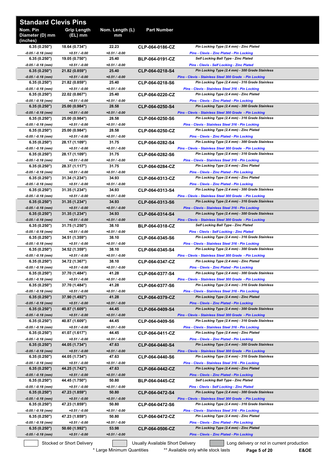| <b>Standard Clevis Pins</b>             |                                   |                          |                                  |                                                                                                            |
|-----------------------------------------|-----------------------------------|--------------------------|----------------------------------|------------------------------------------------------------------------------------------------------------|
| Nom. Pin<br>Diameter (D) mm<br>(inches) | <b>Grip Length</b><br>(EL) mm     | Nom. Length (L)<br>mm    | <b>Part Number</b>               |                                                                                                            |
| 6.35 (0.250")                           | 18.64 (0.734")                    | 22.23                    | CLP-064-0186-CZ                  | Pin Locking Type (2.4 mm) - Zinc Plated                                                                    |
| -0.05 / -0.18 (mm)<br>6.35(0.250")      | $+0.51/ -0.00$<br>19.05 (0.750")  | $+0.51 / -0.00$<br>25.40 | <b>BLP-064-0191-CZ</b>           | Pins - Clevis - Zinc Plated - Pin Locking<br><b>Self Locking Ball Type - Zinc Plated</b>                   |
| -0.05 / -0.18 (mm)                      | $+0.51 / -0.00$                   | $+0.51 / -0.00$          |                                  | Pins - Clevis - Self Locking - Zinc Plated                                                                 |
| 6.35(0.250")                            | 21.82 (0.859")                    | 25.40                    | CLP-064-0218-S4                  | Pin Locking Type (2.4 mm) - 300 Grade Stainless                                                            |
| $-0.05 / -0.18$ (mm)<br>6.35(0.250")    | $+0.51/ -0.00$<br>21.82 (0.859")  | $+0.51 / -0.00$<br>25.40 | CLP-064-0218-S6                  | Pins - Clevis - Stainless Steel 300 Grade - Pin Locking<br>Pin Locking Type (2.4 mm) - 316 Grade Stainless |
| -0.05 / -0.18 (mm)                      | $+0.51/ -0.00$                    | $+0.51 / -0.00$          |                                  | Pins - Clevis - Stainless Steel 316 - Pin Locking                                                          |
| 6.35(0.250")                            | 22.02 (0.867")                    | 25.40                    | CLP-064-0220-CZ                  | Pin Locking Type (2.4 mm) - Zinc Plated                                                                    |
| -0.05 / -0.18 (mm)                      | $+0.51 / -0.00$                   | $+0.51 / -0.00$          |                                  | Pins - Clevis - Zinc Plated - Pin Locking                                                                  |
| 6.35(0.250")<br>$-0.05 / -0.18$ (mm)    | 25.00 (0.984")<br>$+0.51 / -0.00$ | 28.58<br>$+0.51 / -0.00$ | CLP-064-0250-S4                  | Pin Locking Type (2.4 mm) - 300 Grade Stainless<br>Pins - Clevis - Stainless Steel 300 Grade - Pin Locking |
| 6.35(0.250")                            | 25.00 (0.984")                    | 28.58                    | CLP-064-0250-S6                  | Pin Locking Type (2.4 mm) - 316 Grade Stainless                                                            |
| -0.05 / -0.18 (mm)                      | $+0.51 / -0.00$                   | $+0.51 / -0.00$          |                                  | Pins - Clevis - Stainless Steel 316 - Pin Locking                                                          |
| 6.35(0.250")                            | 25.00 (0.984")                    | 28.58                    | CLP-064-0250-CZ                  | Pin Locking Type (2.4 mm) - Zinc Plated                                                                    |
| -0.05 / -0.18 (mm)<br>6.35(0.250")      | $+0.51/ -0.00$<br>28.17 (1.109")  | $+0.51 / -0.00$<br>31.75 | CLP-064-0282-S4                  | Pins - Clevis - Zinc Plated - Pin Locking<br>Pin Locking Type (2.4 mm) - 300 Grade Stainless               |
| -0.05 / -0.18 (mm)                      | $+0.51/ -0.00$                    | $+0.51 / -0.00$          |                                  | Pins - Clevis - Stainless Steel 300 Grade - Pin Locking                                                    |
| 6.35(0.250")                            | 28.17 (1.109")                    | 31.75                    | CLP-064-0282-S6                  | Pin Locking Type (2.4 mm) - 316 Grade Stainless                                                            |
| -0.05 / -0.18 (mm)                      | $+0.51/ -0.00$<br>28.37 (1.117")  | $+0.51 / -0.00$<br>31.75 |                                  | Pins - Clevis - Stainless Steel 316 - Pin Locking                                                          |
| 6.35(0.250")<br>-0.05 / -0.18 (mm)      | $+0.51/ -0.00$                    | $+0.51 / -0.00$          | CLP-064-0284-CZ                  | Pin Locking Type (2.4 mm) - Zinc Plated<br><b>Pins - Clevis - Zinc Plated - Pin Locking</b>                |
| 6.35(0.250")                            | 31.34 (1.234")                    | 34.93                    | CLP-064-0313-CZ                  | Pin Locking Type (2.4 mm) - Zinc Plated                                                                    |
| -0.05 / -0.18 (mm)                      | $+0.51/ -0.00$                    | $+0.51 / -0.00$          |                                  | Pins - Clevis - Zinc Plated - Pin Locking                                                                  |
| 6.35(0.250")<br>-0.05 / -0.18 (mm)      | 31.35 (1.234")<br>$+0.51 / -0.00$ | 34.93<br>$+0.51 / -0.00$ | CLP-064-0313-S4                  | Pin Locking Type (2.4 mm) - 300 Grade Stainless<br>Pins - Clevis - Stainless Steel 300 Grade - Pin Locking |
| 6.35(0.250")                            | 31.35 (1.234")                    | 34.93                    | CLP-064-0313-S6                  | Pin Locking Type (2.4 mm) - 316 Grade Stainless                                                            |
| $-0.05 / -0.18$ (mm)                    | $+0.51 / -0.00$                   | $+0.51 / -0.00$          |                                  | Pins - Clevis - Stainless Steel 316 - Pin Locking                                                          |
| 6.35(0.250")                            | 31.35 (1.234")                    | 34.93                    | CLP-064-0314-S4                  | Pin Locking Type (2.4 mm) - 300 Grade Stainless                                                            |
| -0.05 / -0.18 (mm)<br>6.35(0.250")      | $+0.51 / -0.00$<br>31.75 (1.250") | $+0.51 / -0.00$<br>38.10 | <b>BLP-064-0318-CZ</b>           | Pins - Clevis - Stainless Steel 300 Grade - Pin Locking<br><b>Self Locking Ball Type - Zinc Plated</b>     |
| $-0.05 / -0.18$ (mm)                    | $+0.51 / -0.00$                   | $+0.51 / -0.00$          |                                  | Pins - Clevis - Self Locking - Zinc Plated                                                                 |
| 6.35(0.250")                            | 34.51 (1.359")                    | 38.10                    | CLP-064-0345-S6                  | Pin Locking Type (2.4 mm) - 316 Grade Stainless                                                            |
| -0.05 / -0.18 (mm)                      | $+0.51/ -0.00$                    | $+0.51 / -0.00$          |                                  | Pins - Clevis - Stainless Steel 316 - Pin Locking                                                          |
| 6.35(0.250")<br>$-0.05 / -0.18$ (mm)    | 34.52 (1.359")<br>$+0.51/ -0.00$  | 38.10<br>$+0.51 / -0.00$ | CLP-064-0345-S4                  | Pin Locking Type (2.4 mm) - 300 Grade Stainless<br>Pins - Clevis - Stainless Steel 300 Grade - Pin Locking |
| 6.35(0.250")                            | 34.72 (1.367")                    | 38.10                    | CLP-064-0347-CZ                  | Pin Locking Type (2.4 mm) - Zinc Plated                                                                    |
| $-0.05 / -0.18$ (mm)                    | $+0.51 / -0.00$                   | $+0.51 / -0.00$          |                                  | <b>Pins - Clevis - Zinc Plated - Pin Locking</b>                                                           |
| 6.35(0.250")<br>-0.05 / -0.18 (mm)      | 37.70 (1.484")<br>$+0.51 / -0.00$ | 41.28<br>$+0.51 / -0.00$ | CLP-064-0377-S4                  | Pin Locking Type (2.4 mm) - 300 Grade Stainless<br>Pins - Clevis - Stainless Steel 300 Grade - Pin Locking |
| 6.35(0.250")                            | 37.70 (1.484")                    | 41.28                    | CLP-064-0377-S6                  | Pin Locking Type (2.4 mm) - 316 Grade Stainless                                                            |
| -0.05 / -0.18 (mm)                      | $+0.51 / -0.00$                   | $+0.51 / -0.00$          |                                  | Pins - Clevis - Stainless Steel 316 - Pin Locking                                                          |
| 6.35(0.250")                            | 37.90 (1.492")                    | 41.28                    | CLP-064-0379-CZ                  | Pin Locking Type (2.4 mm) - Zinc Plated                                                                    |
| $-0.05 / -0.18$ (mm)<br>6.35(0.250")    | $+0.51 / -0.00$<br>40.87 (1.609") | $+0.51 / -0.00$<br>44.45 | CLP-064-0409-S4                  | <b>Pins - Clevis - Zinc Plated - Pin Locking</b><br>Pin Locking Type (2.4 mm) - 300 Grade Stainless        |
| $-0.05 / -0.18$ (mm)                    | $+0.51 / -0.00$                   | $+0.51 / -0.00$          |                                  | Pins - Clevis - Stainless Steel 300 Grade - Pin Locking                                                    |
| 6.35(0.250")                            | 40.87 (1.609")                    | 44.45                    | CLP-064-0409-S6                  | Pin Locking Type (2.4 mm) - 316 Grade Stainless                                                            |
| -0.05 / -0.18 (mm)<br>6.35(0.250")      | $+0.51 / -0.00$<br>41.07 (1.617") | $+0.51 / -0.00$<br>44.45 |                                  | Pins - Clevis - Stainless Steel 316 - Pin Locking<br>Pin Locking Type (2.4 mm) - Zinc Plated               |
| -0.05 / -0.18 (mm)                      | $+0.51 / -0.00$                   | $+0.51 / -0.00$          | CLP-064-0411-CZ                  | <b>Pins - Clevis - Zinc Plated - Pin Locking</b>                                                           |
| 6.35(0.250")                            | 44.05 (1.734")                    | 47.63                    | CLP-064-0440-S4                  | Pin Locking Type (2.4 mm) - 300 Grade Stainless                                                            |
| $-0.05 / -0.18$ (mm)                    | $+0.51 / -0.00$                   | $+0.51 / -0.00$          |                                  | Pins - Clevis - Stainless Steel 300 Grade - Pin Locking                                                    |
| 6.35(0.250")<br>-0.05 / -0.18 (mm)      | 44.05 (1.734")<br>$+0.51 / -0.00$ | 47.63<br>$+0.51 / -0.00$ | CLP-064-0440-S6                  | Pin Locking Type (2.4 mm) - 316 Grade Stainless<br>Pins - Clevis - Stainless Steel 316 - Pin Locking       |
| 6.35(0.250")                            | 44.25 (1.742")                    | 47.63                    | CLP-064-0442-CZ                  | Pin Locking Type (2.4 mm) - Zinc Plated                                                                    |
| $-0.05 / -0.18$ (mm)                    | $+0.51 / -0.00$                   | $+0.51 / -0.00$          |                                  | <b>Pins - Clevis - Zinc Plated - Pin Locking</b>                                                           |
| 6.35(0.250")                            | 44.45 (1.750")                    | 50.80                    | <b>BLP-064-0445-CZ</b>           | <b>Self Locking Ball Type - Zinc Plated</b>                                                                |
| -0.05 / -0.18 (mm)<br>6.35(0.250")      | $+0.51 / -0.00$<br>47.23 (1.859") | $+0.51 / -0.00$<br>50.80 | CLP-064-0472-S4                  | <b>Pins - Clevis - Self Locking - Zinc Plated</b><br>Pin Locking Type (2.4 mm) - 300 Grade Stainless       |
| $-0.05 / -0.18$ (mm)                    | $+0.51 / -0.00$                   | $+0.51 / -0.00$          |                                  | Pins - Clevis - Stainless Steel 300 Grade - Pin Locking                                                    |
| 6.35(0.250")                            | 47.23 (1.859")                    | 50.80                    | CLP-064-0472-S6                  | Pin Locking Type (2.4 mm) - 316 Grade Stainless                                                            |
| -0.05 / -0.18 (mm)                      | $+0.51 / -0.00$                   | $+0.51 / -0.00$          |                                  | Pins - Clevis - Stainless Steel 316 - Pin Locking                                                          |
| 6.35(0.250")<br>-0.05 / -0.18 (mm)      | 47.23 (1.859")<br>$+0.51 / -0.00$ | 50.80<br>$+0.51 / -0.00$ | CLP-064-0472-CZ                  | Pin Locking Type (2.4 mm) - Zinc Plated<br><b>Pins - Clevis - Zinc Plated - Pin Locking</b>                |
| 6.35(0.250")                            | 50.60 (1.992")                    | 53.98                    | CLP-064-0506-CZ                  | Pin Locking Type (2.4 mm) - Zinc Plated                                                                    |
| $-0.05 / -0.18$ (mm)                    | $+0.51 / -0.00$                   | $+0.51 / -0.00$          |                                  | <b>Pins - Clevis - Zinc Plated - Pin Locking</b>                                                           |
|                                         | Stocked or Short Delivery         |                          | Usually Available Short Delivery | Long delivery or not in current production                                                                 |

\* Large Minimum Quantities \*\*\* Available only while stock lasts **Page 5 of 20 E&OE**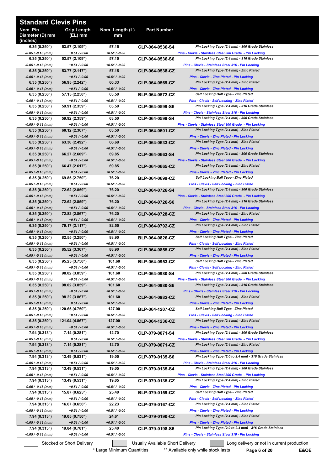| <b>Standard Clevis Pins</b>             |                                   |                          |                                  |                                                                                   |
|-----------------------------------------|-----------------------------------|--------------------------|----------------------------------|-----------------------------------------------------------------------------------|
| Nom. Pin<br>Diameter (D) mm<br>(inches) | <b>Grip Length</b><br>(EL) mm     | Nom. Length (L)<br>mm    | <b>Part Number</b>               |                                                                                   |
| 6.35(0.250")                            | 53.57 (2.109")                    | 57.15                    | CLP-064-0536-S4                  | Pin Locking Type (2.4 mm) - 300 Grade Stainless                                   |
| $-0.05/ -0.18$ (mm)                     | $+0.51 / -0.00$                   | $+0.51 / -0.00$          |                                  | Pins - Clevis - Stainless Steel 300 Grade - Pin Locking                           |
| 6.35(0.250")                            | 53.57 (2.109")                    | 57.15                    | CLP-064-0536-S6                  | Pin Locking Type (2.4 mm) - 316 Grade Stainless                                   |
| $-0.05 / -0.18$ (mm)                    | $+0.51 / -0.00$                   | $+0.51 / -0.00$          | CLP-064-0538-CZ                  | Pins - Clevis - Stainless Steel 316 - Pin Locking                                 |
| 6.35(0.250")                            | 53.77 (2.117")                    | 57.15                    |                                  | Pin Locking Type (2.4 mm) - Zinc Plated                                           |
| $-0.05 / -0.18$ (mm)                    | $+0.51 / -0.00$                   | $+0.51 / -0.00$          | CLP-064-0569-CZ                  | <b>Pins - Clevis - Zinc Plated - Pin Locking</b>                                  |
| 6.35(0.250")                            | 56.95 (2.242")                    | 60.33                    |                                  | Pin Locking Type (2.4 mm) - Zinc Plated                                           |
| $-0.05 / -0.18$ (mm)<br>6.35(0.250")    | $+0.51 / -0.00$                   | $+0.51 / -0.00$<br>63.50 |                                  | Pins - Clevis - Zinc Plated - Pin Locking<br>Self Locking Ball Type - Zinc Plated |
| $-0.05 / -0.18$ (mm)                    | 57.15 (2.250")<br>$+0.51 / -0.00$ | $+0.51 / -0.00$          | <b>BLP-064-0572-CZ</b>           | Pins - Clevis - Self Locking - Zinc Plated                                        |
| 6.35(0.250")                            | 59.91 (2.359")                    | 63.50                    | CLP-064-0599-S6                  | Pin Locking Type (2.4 mm) - 316 Grade Stainless                                   |
| $-0.05/ -0.18$ (mm)                     | $+0.51 / -0.00$                   | $+0.51 / -0.00$          |                                  | Pins - Clevis - Stainless Steel 316 - Pin Locking                                 |
| 6.35(0.250")                            | 59.92 (2.359")                    | 63.50                    | CLP-064-0599-S4                  | Pin Locking Type (2.4 mm) - 300 Grade Stainless                                   |
| $-0.05/ -0.18$ (mm)                     | $+0.51 / -0.00$                   | $+0.51 / -0.00$          | CLP-064-0601-CZ                  | Pins - Clevis - Stainless Steel 300 Grade - Pin Locking                           |
| 6.35(0.250")                            | 60.12 (2.367")                    | 63.50                    |                                  | Pin Locking Type (2.4 mm) - Zinc Plated                                           |
| $-0.05/ -0.18$ (mm)                     | $+0.51 / -0.00$                   | $+0.51 / -0.00$          | CLP-064-0633-CZ                  | Pins - Clevis - Zinc Plated - Pin Locking                                         |
| 6.35(0.250")                            | 63.30 (2.492")                    | 66.68                    |                                  | Pin Locking Type (2.4 mm) - Zinc Plated                                           |
| $-0.05 / -0.18$ (mm)                    | $+0.51 / -0.00$                   | $+0.51 / -0.00$          |                                  | Pins - Clevis - Zinc Plated - Pin Locking                                         |
| 6.35(0.250")                            | 66.27 (2.609")                    | 69.85                    | CLP-064-0663-S4                  | Pin Locking Type (2.4 mm) - 300 Grade Stainless                                   |
| $-0.05 / -0.18$ (mm)                    | $+0.51 / -0.00$                   | $+0.51 / -0.00$          |                                  | Pins - Clevis - Stainless Steel 300 Grade - Pin Locking                           |
| 6.35(0.250")                            | 66.47 (2.617")                    | 69.85                    | CLP-064-0665-CZ                  | Pin Locking Type (2.4 mm) - Zinc Plated                                           |
| $-0.05/ -0.18$ (mm)                     | $+0.51 / -0.00$                   | $+0.51 / -0.00$          | <b>BLP-064-0699-CZ</b>           | <b>Pins - Clevis - Zinc Plated - Pin Locking</b>                                  |
| 6.35(0.250")                            | 69.85 (2.750")                    | 76.20                    |                                  | Self Locking Ball Type - Zinc Plated                                              |
| $-0.05/ -0.18$ (mm)                     | $+0.51 / -0.00$                   | $+0.51 / -0.00$          |                                  | <b>Pins - Clevis - Self Locking - Zinc Plated</b>                                 |
| 6.35(0.250")                            | 72.62 (2.859")                    | 76.20                    |                                  | Pin Locking Type (2.4 mm) - 300 Grade Stainless                                   |
| $-0.05/ -0.18$ (mm)                     | $+0.51 / -0.00$                   | $+0.51 / -0.00$          | CLP-064-0726-S4                  | Pins - Clevis - Stainless Steel 300 Grade - Pin Locking                           |
| 6.35(0.250")                            | 72.62 (2.859")                    | 76.20                    | CLP-064-0726-S6                  | Pin Locking Type (2.4 mm) - 316 Grade Stainless                                   |
| $-0.05 / -0.18$ (mm)                    | $+0.51 / -0.00$                   | $+0.51 / -0.00$          |                                  | Pins - Clevis - Stainless Steel 316 - Pin Locking                                 |
| 6.35(0.250")                            | 72.82 (2.867")                    | 76.20                    | CLP-064-0728-CZ                  | Pin Locking Type (2.4 mm) - Zinc Plated                                           |
| $-0.05/ -0.18$ (mm)                     | $+0.51 / -0.00$                   | $+0.51 / -0.00$          | CLP-064-0792-CZ                  | Pins - Clevis - Zinc Plated - Pin Locking                                         |
| 6.35(0.250")                            | 79.17 (3.117")                    | 82.55                    |                                  | Pin Locking Type (2.4 mm) - Zinc Plated                                           |
| $-0.05 / -0.18$ (mm)                    | $+0.51 / -0.00$                   | $+0.51 / -0.00$<br>88.90 | <b>BLP-064-0826-CZ</b>           | Pins - Clevis - Zinc Plated - Pin Locking<br>Self Locking Ball Type - Zinc Plated |
| 6.35(0.250")<br>-0.05 / -0.18 (mm)      | 82.55 (3.250")<br>$+0.51 / -0.00$ | +0.51 / -0.00            |                                  | <b>Pins - Clevis - Self Locking - Zinc Plated</b>                                 |
| 6.35(0.250")                            | 85.52 (3.367")                    | 88.90                    | CLP-064-0855-CZ                  | Pin Locking Type (2.4 mm) - Zinc Plated                                           |
| $-0.05 / -0.18$ (mm)                    | $+0.51 / -0.00$                   | $+0.51 / -0.00$          |                                  | Pins - Clevis - Zinc Plated - Pin Locking                                         |
| 6.35(0.250")                            | 95.25 (3.750")                    | 101.60                   | <b>BLP-064-0953-CZ</b>           | Self Locking Ball Type - Zinc Plated                                              |
| $-0.05$ / $-0.18$ (mm)                  | +0.51 / -0.00                     | $+0.51 / -0.00$          | CLP-064-0980-S4                  | <b>Pins - Clevis - Self Locking - Zinc Plated</b>                                 |
| 6.35(0.250")                            | 98.02 (3.859")                    | 101.60                   |                                  | Pin Locking Type (2.4 mm) - 300 Grade Stainless                                   |
| $-0.05 / -0.18$ (mm)                    | $+0.51 / -0.00$                   | $+0.51 / -0.00$          | CLP-064-0980-S6                  | Pins - Clevis - Stainless Steel 300 Grade - Pin Locking                           |
| 6.35(0.250")                            | 98.02 (3.859")                    | 101.60                   |                                  | Pin Locking Type (2.4 mm) - 316 Grade Stainless                                   |
| $-0.05 / -0.18$ (mm)                    | $+0.51 / -0.00$                   | $+0.51 / -0.00$          |                                  | Pins - Clevis - Stainless Steel 316 - Pin Locking                                 |
| 6.35(0.250")                            | 98.22 (3.867")                    | 101.60                   | CLP-064-0982-CZ                  | Pin Locking Type (2.4 mm) - Zinc Plated                                           |
| $-0.05 / -0.18$ (mm)                    | $+0.51 / -0.00$                   | $+0.51 / -0.00$          |                                  | Pins - Clevis - Zinc Plated - Pin Locking                                         |
| 6.35(0.250")                            | 120.65 (4.750")                   | 127.00                   | <b>BLP-064-1207-CZ</b>           | Self Locking Ball Type - Zinc Plated                                              |
| $-0.05 / -0.18$ (mm)                    | $+0.51 / -0.00$                   | $+0.51 / -0.00$          | CLP-064-1236-CZ                  | <b>Pins - Clevis - Self Locking - Zinc Plated</b>                                 |
| 6.35(0.250")                            | 121.04 (4.867")                   | 127.00                   |                                  | Pin Locking Type (2.4 mm) - Zinc Plated                                           |
| $-0.05 / -0.18$ (mm)                    | $+0.51 / -0.00$                   | $+0.51 / -0.00$          | CLP-079-0071-S4                  | Pins - Clevis - Zinc Plated - Pin Locking                                         |
| 7.94 (0.313")                           | 7.14 (0.281")                     | 12.70                    |                                  | Pin Locking Type (2.4 mm) - 300 Grade Stainless                                   |
| $-0.05/ -0.18$ (mm)                     | +0.51 / -0.00                     | +0.51 / -0.00            |                                  | Pins - Clevis - Stainless Steel 300 Grade - Pin Locking                           |
| 7.94 (0.313")                           | 7.14 (0.281")                     | 12.70                    | CLP-079-0071-CZ                  | Pin Locking Type (2.4 mm) - Zinc Plated                                           |
| $-0.05 / -0.18$ (mm)                    | $+0.51 / -0.00$                   | $+0.51 / -0.00$          |                                  | Pins - Clevis - Zinc Plated - Pin Locking                                         |
| 7.94 (0.313")                           | 13.49 (0.531")                    | 19.05                    | CLP-079-0135-S6                  | Pin Locking Type (2.0 to 2.4 mm) - 316 Grade Stainless                            |
| $-0.05 / -0.18$ (mm)                    | $+0.51 / -0.00$                   | $+0.51 / -0.00$          | CLP-079-0135-S4                  | Pins - Clevis - Stainless Steel 316 - Pin Locking                                 |
| 7.94 (0.313")                           | 13.49 (0.531")                    | 19.05                    |                                  | Pin Locking Type (2.4 mm) - 300 Grade Stainless                                   |
| $-0.05 / -0.18$ (mm)                    | +0.51 / -0.00                     | $+0.51 / -0.00$          | CLP-079-0135-CZ                  | Pins - Clevis - Stainless Steel 300 Grade - Pin Locking                           |
| 7.94 (0.313")                           | 13.49 (0.531")                    | 19.05                    |                                  | Pin Locking Type (2.4 mm) - Zinc Plated                                           |
| $-0.05 / -0.18$ (mm)                    | +0.51 / -0.00                     | +0.51 / -0.00            |                                  | Pins - Clevis - Zinc Plated - Pin Locking                                         |
| 7.94 (0.313")                           | 15.87 (0.625")                    | 25.40                    | <b>BLP-079-0159-CZ</b>           | Self Locking Ball Type - Zinc Plated                                              |
| $-0.05/ -0.18$ (mm)                     | +0.51 / -0.00                     | +0.51 / -0.00            |                                  | <b>Pins - Clevis - Self Locking - Zinc Plated</b>                                 |
| 7.94 (0.313")                           | 16.67 (0.656")                    | 22.23                    | CLP-079-0167-CZ                  | Pin Locking Type (2.4 mm) - Zinc Plated                                           |
| $-0.05/ -0.18$ (mm)                     | $+0.51 / -0.00$                   | +0.51 / -0.00            | CLP-079-0190-CZ                  | <b>Pins - Clevis - Zinc Plated - Pin Locking</b>                                  |
| 7.94 (0.313")                           | 19.05 (0.750")                    | 24.61                    |                                  | Pin Locking Type (2.4 mm) - Zinc Plated                                           |
| $-0.05 / -0.18$ (mm)                    | $+0.51 / -0.00$                   | $+0.51 / -0.00$          | CLP-079-0198-S6                  | Pins - Clevis - Zinc Plated - Pin Locking                                         |
| 7.94 (0.313")                           | 19.84 (0.781")                    | 25.40                    |                                  | Pin Locking Type (2.0 to 2.4 mm) - 316 Grade Stainless                            |
| -0.05 / -0.18 (mm)                      | +0.51 / -0.00                     | +0.51 / -0.00            |                                  | Pins - Clevis - Stainless Steel 316 - Pin Locking                                 |
|                                         | Stocked or Short Delivery         |                          | Usually Available Short Delivery | Long delivery or not in current production                                        |

\* Large Minimum Quantities \*\*\* Available only while stock lasts **Page 6 of 20 E&OE**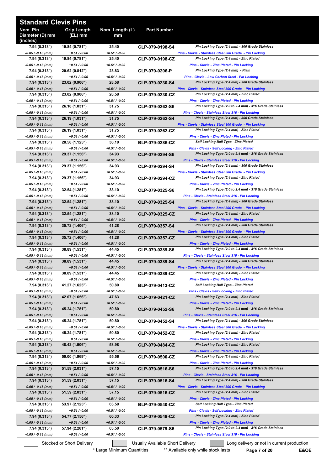| <b>Standard Clevis Pins</b>             |                                   |                          |                                  |                                                                                                             |
|-----------------------------------------|-----------------------------------|--------------------------|----------------------------------|-------------------------------------------------------------------------------------------------------------|
| Nom. Pin<br>Diameter (D) mm<br>(inches) | <b>Grip Length</b><br>(EL) mm     | Nom. Length (L)<br>mm    | <b>Part Number</b>               |                                                                                                             |
| 7.94 (0.313")<br>$-0.05/ -0.18$ (mm)    | 19.84 (0.781")<br>$+0.51 / -0.00$ | 25.40<br>+0.51 / -0.00   | CLP-079-0198-S4                  | Pin Locking Type (2.4 mm) - 300 Grade Stainless<br>Pins - Clevis - Stainless Steel 300 Grade - Pin Locking  |
| 7.94 (0.313")                           | 19.84 (0.781")                    | 25.40                    | CLP-079-0198-CZ                  | Pin Locking Type (2.4 mm) - Zinc Plated                                                                     |
| $-0.05/ -0.18$ (mm)                     | $+0.51 / -0.00$                   | $+0.51 / -0.00$          |                                  | <b>Pins - Clevis - Zinc Plated - Pin Locking</b>                                                            |
| 7.94 (0.313")<br>$-0.05 / -0.18$ (mm)   | 20.62 (0.812")<br>$+0.51 / -0.00$ | 23.83<br>$+0.51 / -0.00$ | CLP-079-0206-P                   | Pin Locking Type (2.4 mm) - Plain<br>Pins - Clevis - Low Carbon Steel - Pin Locking                         |
| 7.94 (0.313")                           | 23.02 (0.906")                    | 28.58                    | CLP-079-0230-S4                  | Pin Locking Type (2.4 mm) - 300 Grade Stainless                                                             |
| $-0.05 / -0.18$ (mm)                    | $+0.51 / -0.00$                   | $+0.51 / -0.00$          |                                  | Pins - Clevis - Stainless Steel 300 Grade - Pin Locking                                                     |
| 7.94 (0.313")<br>-0.05 / -0.18 (mm)     | 23.02 (0.906")<br>$+0.51 / -0.00$ | 28.58<br>+0.51 / -0.00   | CLP-079-0230-CZ                  | Pin Locking Type (2.4 mm) - Zinc Plated<br>Pins - Clevis - Zinc Plated - Pin Locking                        |
| 7.94 (0.313")                           | 26.18 (1.031")                    | 31.75                    | CLP-079-0262-S6                  | Pin Locking Type (2.0 to 2.4 mm) - 316 Grade Stainless                                                      |
| $-0.05/ -0.18$ (mm)                     | $+0.51 / -0.00$                   | $+0.51 / -0.00$          |                                  | Pins - Clevis - Stainless Steel 316 - Pin Locking                                                           |
| 7.94 (0.313")                           | 26.19 (1.031")                    | 31.75                    | CLP-079-0262-S4                  | Pin Locking Type (2.4 mm) - 300 Grade Stainless                                                             |
| $-0.05 / -0.18$ (mm)<br>7.94 (0.313")   | $+0.51 / -0.00$<br>26.19 (1.031") | $+0.51 / -0.00$<br>31.75 | CLP-079-0262-CZ                  | Pins - Clevis - Stainless Steel 300 Grade - Pin Locking<br>Pin Locking Type (2.4 mm) - Zinc Plated          |
| -0.05 / -0.18 (mm)                      | $+0.51 / -0.00$                   | $+0.51 / -0.00$          |                                  | Pins - Clevis - Zinc Plated - Pin Locking                                                                   |
| 7.94 (0.313")                           | 28.58 (1.125")                    | 38.10                    | <b>BLP-079-0286-CZ</b>           | <b>Self Locking Ball Type - Zinc Plated</b>                                                                 |
| -0.05 / -0.18 (mm)<br>7.94 (0.313")     | $+0.51 / -0.00$<br>29.37 (1.156") | +0.51 / -0.00<br>34.93   | CLP-079-0294-S6                  | <b>Pins - Clevis - Self Locking - Zinc Plated</b><br>Pin Locking Type (2.0 to 2.4 mm) - 316 Grade Stainless |
| -0.05 / -0.18 (mm)                      | $+0.51 / -0.00$                   | $+0.51 / -0.00$          |                                  | Pins - Clevis - Stainless Steel 316 - Pin Locking                                                           |
| 7.94 (0.313")                           | 29.37 (1.156")                    | 34.93                    | CLP-079-0294-S4                  | Pin Locking Type (2.4 mm) - 300 Grade Stainless                                                             |
| -0.05 / -0.18 (mm)                      | $+0.51 / -0.00$                   | $+0.51 / -0.00$          |                                  | Pins - Clevis - Stainless Steel 300 Grade - Pin Locking                                                     |
| 7.94 (0.313")<br>$-0.05 / -0.18$ (mm)   | 29.37 (1.156")<br>$+0.51 / -0.00$ | 34.93<br>$+0.51 / -0.00$ | CLP-079-0294-CZ                  | Pin Locking Type (2.4 mm) - Zinc Plated<br>Pins - Clevis - Zinc Plated - Pin Locking                        |
| 7.94 (0.313")                           | 32.54 (1.281")                    | 38.10                    | CLP-079-0325-S6                  | Pin Locking Type (2.0 to 2.4 mm) - 316 Grade Stainless                                                      |
| -0.05 / -0.18 (mm)                      | $+0.51 / -0.00$                   | +0.51 / -0.00            |                                  | Pins - Clevis - Stainless Steel 316 - Pin Locking                                                           |
| 7.94 (0.313")                           | 32.54 (1.281")                    | 38.10                    | CLP-079-0325-S4                  | Pin Locking Type (2.4 mm) - 300 Grade Stainless                                                             |
| $-0.05 / -0.18$ (mm)<br>7.94 (0.313")   | $+0.51 / -0.00$<br>32.54 (1.281") | $+0.51 / -0.00$<br>38.10 | CLP-079-0325-CZ                  | Pins - Clevis - Stainless Steel 300 Grade - Pin Locking<br>Pin Locking Type (2.4 mm) - Zinc Plated          |
| $-0.05 / -0.18$ (mm)                    | $+0.51 / -0.00$                   | $+0.51 / -0.00$          |                                  | <b>Pins - Clevis - Zinc Plated - Pin Locking</b>                                                            |
| 7.94 (0.313")                           | 35.72 (1.406")                    | 41.28                    | CLP-079-0357-S4                  | Pin Locking Type (2.4 mm) - 300 Grade Stainless                                                             |
| $-0.05 / -0.18$ (mm)<br>7.94 (0.313")   | $+0.51 / -0.00$<br>35.72 (1.406") | $+0.51 / -0.00$<br>41.28 | CLP-079-0357-CZ                  | Pins - Clevis - Stainless Steel 300 Grade - Pin Locking<br>Pin Locking Type (2.4 mm) - Zinc Plated          |
| -0.05 / -0.18 (mm)                      | $+0.51 / -0.00$                   | $+0.51 / -0.00$          |                                  | Pins - Clevis - Zinc Plated - Pin Locking                                                                   |
| 7.94 (0.313")                           | 38.89 (1.531")                    | 44.45                    | CLP-079-0389-S6                  | Pin Locking Type (2.0 to 2.4 mm) - 316 Grade Stainless                                                      |
| -0.05 / -0.18 (mm)                      | $+0.51 / -0.00$                   | +0.51 / -0.00            |                                  | Pins - Clevis - Stainless Steel 316 - Pin Locking                                                           |
| 7.94(0.313")<br>-0.05 / -0.18 (mm)      | 38.89 (1.531")<br>$+0.51 / -0.00$ | 44.45<br>$+0.51 / -0.00$ | CLP-079-0389-S4                  | Pin Locking Type (2.4 mm) - 300 Grade Stainless<br>Pins - Clevis - Stainless Steel 300 Grade - Pin Locking  |
| 7.94 (0.313")                           | 38.89 (1.531")                    | 44.45                    | CLP-079-0389-CZ                  | Pin Locking Type (2.4 mm) - Zinc Plated                                                                     |
| -0.05 / -0.18 (mm)                      | $+0.51 / -0.00$                   | +0.51 / -0.00            |                                  | <b>Pins - Clevis - Zinc Plated - Pin Locking</b>                                                            |
| 7.94 (0.313")<br>$-0.05/ -0.18$ (mm)    | 41.27 (1.625")<br>$+0.51 / -0.00$ | 50.80<br>+0.51 / -0.00   | <b>BLP-079-0413-CZ</b>           | <b>Self Locking Ball Type - Zinc Plated</b><br>Pins - Clevis - Self Locking - Zinc Plated                   |
| 7.94(0.313")                            | 42.07 (1.656")                    | 47.63                    | CLP-079-0421-CZ                  | Pin Locking Type (2.4 mm) - Zinc Plated                                                                     |
| -0.05 / -0.18 (mm)                      | $+0.51 / -0.00$                   | $+0.51 / -0.00$          |                                  | <b>Pins - Clevis - Zinc Plated - Pin Locking</b>                                                            |
| 7.94 (0.313")                           | 45.24 (1.781")                    | 50.80                    | CLP-079-0452-S6                  | Pin Locking Type (2.0 to 2.4 mm) - 316 Grade Stainless                                                      |
| $-0.05 / -0.18$ (mm)<br>7.94 (0.313")   | $+0.51 / -0.00$<br>45.24 (1.781") | $+0.51 / -0.00$<br>50.80 | CLP-079-0452-S4                  | Pins - Clevis - Stainless Steel 316 - Pin Locking<br>Pin Locking Type (2.4 mm) - 300 Grade Stainless        |
| -0.05 / -0.18 (mm)                      | $+0.51 / -0.00$                   | +0.51 / -0.00            |                                  | Pins - Clevis - Stainless Steel 300 Grade - Pin Locking                                                     |
| 7.94 (0.313")                           | 45.24 (1.781")                    | 50.80                    | CLP-079-0452-CZ                  | Pin Locking Type (2.4 mm) - Zinc Plated                                                                     |
| -0.05 / -0.18 (mm)                      | $+0.51 / -0.00$                   | +0.51 / -0.00            |                                  | <b>Pins - Clevis - Zinc Plated - Pin Locking</b>                                                            |
| 7.94 (0.313")<br>-0.05 / -0.18 (mm)     | 48.42 (1.906")<br>$+0.51 / -0.00$ | 53.98<br>+0.51 / -0.00   | CLP-079-0484-CZ                  | Pin Locking Type (2.4 mm) - Zinc Plated<br><b>Pins - Clevis - Zinc Plated - Pin Locking</b>                 |
| 7.94 (0.313")                           | 50.00 (1.969")                    | 55.56                    | CLP-079-0500-CZ                  | Pin Locking Type (2.4 mm) - Zinc Plated                                                                     |
| -0.05 / -0.18 (mm)                      | $+0.51 / -0.00$                   | +0.51 / -0.00            |                                  | <b>Pins - Clevis - Zinc Plated - Pin Locking</b>                                                            |
| 7.94 (0.313")                           | 51.59 (2.031")                    | 57.15<br>$+0.51 / -0.00$ | CLP-079-0516-S6                  | Pin Locking Type (2.0 to 2.4 mm) - 316 Grade Stainless                                                      |
| $-0.05 / -0.18$ (mm)<br>7.94 (0.313")   | $+0.51 / -0.00$<br>51.59 (2.031") | 57.15                    | CLP-079-0516-S4                  | Pins - Clevis - Stainless Steel 316 - Pin Locking<br>Pin Locking Type (2.4 mm) - 300 Grade Stainless        |
| -0.05 / -0.18 (mm)                      | $+0.51 / -0.00$                   | +0.51 / -0.00            |                                  | Pins - Clevis - Stainless Steel 300 Grade - Pin Locking                                                     |
| 7.94 (0.313")                           | 51.59 (2.031")                    | 57.15                    | CLP-079-0516-CZ                  | Pin Locking Type (2.4 mm) - Zinc Plated                                                                     |
| -0.05 / -0.18 (mm)<br>7.94 (0.313")     | $+0.51 / -0.00$<br>53.97 (2.125") | $+0.51 / -0.00$<br>63.50 | BLP-079-0540-CZ                  | <b>Pins - Clevis - Zinc Plated - Pin Locking</b><br><b>Self Locking Ball Type - Zinc Plated</b>             |
| -0.05 / -0.18 (mm)                      | $+0.51 / -0.00$                   | +0.51 / -0.00            |                                  | <b>Pins - Clevis - Self Locking - Zinc Plated</b>                                                           |
| 7.94 (0.313")                           | 54.77 (2.156")                    | 60.33                    | CLP-079-0548-CZ                  | Pin Locking Type (2.4 mm) - Zinc Plated                                                                     |
| $-0.05 / -0.18$ (mm)                    | $+0.51 / -0.00$                   | $+0.51 / -0.00$          |                                  | <b>Pins - Clevis - Zinc Plated - Pin Locking</b>                                                            |
| 7.94 (0.313")<br>-0.05 / -0.18 (mm)     | 57.94 (2.281")<br>$+0.51 / -0.00$ | 63.50<br>+0.51 / -0.00   | CLP-079-0579-S6                  | Pin Locking Type (2.0 to 2.4 mm) - 316 Grade Stainless<br>Pins - Clevis - Stainless Steel 316 - Pin Locking |
|                                         |                                   |                          |                                  |                                                                                                             |
|                                         | Stocked or Short Delivery         |                          | Usually Available Short Delivery | Long delivery or not in current production                                                                  |

\* Large Minimum Quantities \*\*\* Available only while stock lasts \*\*\* Page 7 of 20 **E&OE**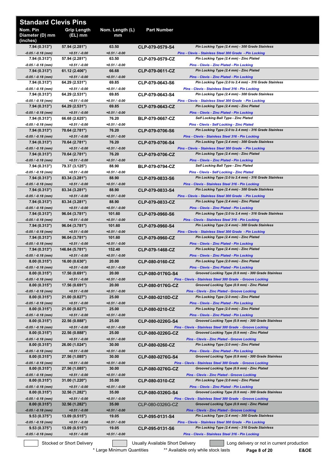| <b>Standard Clevis Pins</b>             |                                    |                           |                        |                                                                                                                   |
|-----------------------------------------|------------------------------------|---------------------------|------------------------|-------------------------------------------------------------------------------------------------------------------|
| Nom. Pin<br>Diameter (D) mm<br>(inches) | <b>Grip Length</b><br>(EL) mm      | Nom. Length (L)<br>mm     | <b>Part Number</b>     |                                                                                                                   |
| 7.94 (0.313")                           | 57.94 (2.281")                     | 63.50                     | CLP-079-0579-S4        | Pin Locking Type (2.4 mm) - 300 Grade Stainless                                                                   |
| $-0.05 / -0.18$ (mm)<br>7.94 (0.313")   | $+0.51 / -0.00$<br>57.94 (2.281")  | $+0.51 / -0.00$<br>63.50  | CLP-079-0579-CZ        | Pins - Clevis - Stainless Steel 300 Grade - Pin Locking<br>Pin Locking Type (2.4 mm) - Zinc Plated                |
| -0.05 / -0.18 (mm)                      | $+0.51 / -0.00$                    | $+0.51 / -0.00$           |                        | <b>Pins - Clevis - Zinc Plated - Pin Locking</b>                                                                  |
| 7.94(0.313")                            | 61.12 (2.406")                     | 66.68                     | CLP-079-0611-CZ        | Pin Locking Type (2.4 mm) - Zinc Plated                                                                           |
| $-0.05 / -0.18$ (mm)<br>7.94 (0.313")   | $+0.51 / -0.00$<br>64.29 (2.531")  | $+0.51 / -0.00$<br>69.85  | CLP-079-0643-S6        | Pins - Clevis - Zinc Plated - Pin Locking<br>Pin Locking Type (2.0 to 2.4 mm) - 316 Grade Stainless               |
| -0.05 / -0.18 (mm)                      | $+0.51 / -0.00$                    | $+0.51 / -0.00$           |                        | Pins - Clevis - Stainless Steel 316 - Pin Locking                                                                 |
| 7.94 (0.313")                           | 64.29 (2.531")                     | 69.85                     | CLP-079-0643-S4        | Pin Locking Type (2.4 mm) - 300 Grade Stainless                                                                   |
| -0.05 / -0.18 (mm)                      | $+0.51 / -0.00$                    | $+0.51 / -0.00$           |                        | Pins - Clevis - Stainless Steel 300 Grade - Pin Locking                                                           |
| 7.94 (0.313")<br>$-0.05 / -0.18$ (mm)   | 64.29 (2.531")<br>$+0.51 / -0.00$  | 69.85<br>$+0.51 / -0.00$  | CLP-079-0643-CZ        | Pin Locking Type (2.4 mm) - Zinc Plated<br>Pins - Clevis - Zinc Plated - Pin Locking                              |
| 7.94 (0.313")                           | 66.68 (2.625")                     | 76.20                     | <b>BLP-079-0667-CZ</b> | Self Locking Ball Type - Zinc Plated                                                                              |
| -0.05 / -0.18 (mm)                      | $+0.51 / -0.00$                    | $+0.51 / -0.00$           |                        | <b>Pins - Clevis - Self Locking - Zinc Plated</b>                                                                 |
| 7.94 (0.313")<br>$-0.05 / -0.18$ (mm)   | 70.64 (2.781")<br>$+0.51 / -0.00$  | 76.20<br>$+0.51 / -0.00$  | CLP-079-0706-S6        | Pin Locking Type (2.0 to 2.4 mm) - 316 Grade Stainless<br>Pins - Clevis - Stainless Steel 316 - Pin Locking       |
| 7.94 (0.313")                           | 70.64 (2.781")                     | 76.20                     | CLP-079-0706-S4        | Pin Locking Type (2.4 mm) - 300 Grade Stainless                                                                   |
| -0.05 / -0.18 (mm)                      | $+0.51/ -0.00$                     | $+0.51 / -0.00$           |                        | Pins - Clevis - Stainless Steel 300 Grade - Pin Locking                                                           |
| 7.94 (0.313")                           | 70.64 (2.781")                     | 76.20                     | CLP-079-0706-CZ        | Pin Locking Type (2.4 mm) - Zinc Plated                                                                           |
| $-0.05 / -0.18$ (mm)<br>7.94 (0.313")   | $+0.51 / -0.00$<br>79.37 (3.125")  | $+0.51 / -0.00$<br>88.90  | <b>BLP-079-0794-CZ</b> | Pins - Clevis - Zinc Plated - Pin Locking<br>Self Locking Ball Type - Zinc Plated                                 |
| -0.05 / -0.18 (mm)                      | $+0.51 / -0.00$                    | $+0.51 / -0.00$           |                        | Pins - Clevis - Self Locking - Zinc Plated                                                                        |
| 7.94 (0.313")                           | 83.34 (3.281")                     | 88.90                     | CLP-079-0833-S6        | Pin Locking Type (2.0 to 2.4 mm) - 316 Grade Stainless                                                            |
| $-0.05 / -0.18$ (mm)                    | $+0.51 / -0.00$                    | $+0.51 / -0.00$           |                        | Pins - Clevis - Stainless Steel 316 - Pin Locking                                                                 |
| 7.94 (0.313")<br>-0.05 / -0.18 (mm)     | 83.34 (3.281")<br>$+0.51 / -0.00$  | 88.90<br>$+0.51 / -0.00$  | CLP-079-0833-S4        | Pin Locking Type (2.4 mm) - 300 Grade Stainless<br>Pins - Clevis - Stainless Steel 300 Grade - Pin Locking        |
| 7.94 (0.313")                           | 83.34 (3.281")                     | 88.90                     | CLP-079-0833-CZ        | Pin Locking Type (2.4 mm) - Zinc Plated                                                                           |
| -0.05 / -0.18 (mm)                      | $+0.51 / -0.00$                    | $+0.51 / -0.00$           |                        | Pins - Clevis - Zinc Plated - Pin Locking                                                                         |
| 7.94 (0.313")                           | 96.04 (3.781")                     | 101.60                    | CLP-079-0960-S6        | Pin Locking Type (2.0 to 2.4 mm) - 316 Grade Stainless                                                            |
| $-0.05 / -0.18$ (mm)<br>7.94 (0.313")   | $+0.51 / -0.00$<br>96.04 (3.781")  | $+0.51 / -0.00$<br>101.60 | CLP-079-0960-S4        | Pins - Clevis - Stainless Steel 316 - Pin Locking<br>Pin Locking Type (2.4 mm) - 300 Grade Stainless              |
| -0.05 / -0.18 (mm)                      | $+0.51 / -0.00$                    | $+0.51 / -0.00$           |                        | Pins - Clevis - Stainless Steel 300 Grade - Pin Locking                                                           |
| 7.94 (0.313")                           | 96.04 (3.781")                     | 101.60                    | CLP-079-0960-CZ        | Pin Locking Type (2.4 mm) - Zinc Plated                                                                           |
| $-0.05 / -0.18$ (mm)<br>7.94(0.313")    | $+0.51 / -0.00$<br>146.84 (5.781") | $+0.51 / -0.00$<br>152.40 | CLP-079-1468-CZ        | Pins - Clevis - Zinc Plated - Pin Locking<br>Pin Locking Type (2.4 mm) - Zinc Plated                              |
| -0.05 / -0.18 (mm)                      | $+0.51 / -0.00$                    | $+0.51 / -0.00$           |                        | Pins - Clevis - Zinc Plated - Pin Locking                                                                         |
| 8.00(0.315")                            | 16.00 (0.630")                     | 20.00                     | CLP-080-0160-CZ        | Pin Locking Type (2.0 mm) - Zinc Plated                                                                           |
| $-0.05 / -0.18$ (mm)                    | $+0.51 / -0.00$                    | $+0.51 / -0.00$           |                        | Pins - Clevis - Zinc Plated - Pin Locking                                                                         |
| 8.00(0.315")<br>$-0.05 / -0.18$ (mm)    | 17.56 (0.691")<br>$+0.51 / -0.00$  | 20.00<br>$+0.51 / -0.00$  | CLP-080-0176G-S4       | Grooved Locking Type (0.9 mm) - 300 Grade Stainless<br>Pins - Clevis - Stainless Steel 300 Grade - Groove Locking |
| 8.00(0.315")                            | 17.56 (0.691")                     | 20.00                     | CLP-080-0176G-CZ       | Grooved Locking Type (0.9 mm) - Zinc Plated                                                                       |
| $-0.05 / -0.18$ (mm)                    | $+0.51 / -0.00$                    | $+0.51 / -0.00$           |                        | <b>Pins - Clevis - Zinc Plated - Groove Locking</b>                                                               |
| 8.00(0.315")                            | 21.00 (0.827")                     | 25.00                     | CLP-080-0210D-CZ       | Pin Locking Type (2.0 mm) - Zinc Plated                                                                           |
| $-0.05 / -0.18$ (mm)<br>8.00(0.315")    | $+0.51 / -0.00$<br>21.00 (0.827")  | $+0.51 / -0.00$<br>25.00  | CLP-080-0210-CZ        | Pins - Clevis - Zinc Plated - Pin Locking<br>Pin Locking Type (2.0 mm) - Zinc Plated                              |
| $-0.05 / -0.18$ (mm)                    | $+0.51 / -0.00$                    | $+0.51 / -0.00$           |                        | Pins - Clevis - Zinc Plated - Pin Locking                                                                         |
| 8.00(0.315")                            | 22.56 (0.888")                     | 25.00                     | CLP-080-0226G-S4       | Grooved Locking Type (0.9 mm) - 300 Grade Stainless                                                               |
| $-0.05 / -0.18$ (mm)<br>8.00(0.315")    | $+0.51 / -0.00$<br>22.56 (0.888")  | $+0.51 / -0.00$<br>25.00  |                        | Pins - Clevis - Stainless Steel 300 Grade - Groove Locking<br>Grooved Locking Type (0.9 mm) - Zinc Plated         |
| $-0.05 / -0.18$ (mm)                    | $+0.51 / -0.00$                    | $+0.51 / -0.00$           | CLP-080-0226G-CZ       | <b>Pins - Clevis - Zinc Plated - Groove Locking</b>                                                               |
| 8.00(0.315")                            | 26.00 (1.024")                     | 30.00                     | CLP-080-0260-CZ        | Pin Locking Type (2.0 mm) - Zinc Plated                                                                           |
| $-0.05 / -0.18$ (mm)                    | $+0.51 / -0.00$                    | $+0.51 / -0.00$           |                        | Pins - Clevis - Zinc Plated - Pin Locking                                                                         |
| 8.00(0.315")<br>$-0.05 / -0.18$ (mm)    | 27.56 (1.085")<br>$+0.51 / -0.00$  | 30.00<br>$+0.51 / -0.00$  | CLP-080-0276G-S4       | Grooved Locking Type (0.9 mm) - 300 Grade Stainless<br>Pins - Clevis - Stainless Steel 300 Grade - Groove Locking |
| 8.00(0.315")                            | 27.56 (1.085")                     | 30.00                     | CLP-080-0276G-CZ       | Grooved Locking Type (0.9 mm) - Zinc Plated                                                                       |
| $-0.05 / -0.18$ (mm)                    | $+0.51 / -0.00$                    | $+0.51 / -0.00$           |                        | <b>Pins - Clevis - Zinc Plated - Groove Locking</b>                                                               |
| 8.00(0.315")                            | 31.00 (1.220")                     | 35.00                     | CLP-080-0310-CZ        | Pin Locking Type (2.0 mm) - Zinc Plated                                                                           |
| $-0.05 / -0.18$ (mm)<br>8.00(0.315")    | $+0.51 / -0.00$<br>32.56 (1.282")  | $+0.51 / -0.00$<br>35.00  | CLP-080-0326G-S4       | Pins - Clevis - Zinc Plated - Pin Locking<br>Grooved Locking Type (0.9 mm) - 300 Grade Stainless                  |
| $-0.05 / -0.18$ (mm)                    | $+0.51 / -0.00$                    | $+0.51 / -0.00$           |                        | Pins - Clevis - Stainless Steel 300 Grade - Groove Locking                                                        |
| 8.00(0.315")                            | 32.56 (1.282")                     | 35.00                     | CLP-080-0326G-CZ       | Grooved Locking Type (0.9 mm) - Zinc Plated                                                                       |
| -0.05 / -0.18 (mm)<br>9.53(0.375")      | $+0.51 / -0.00$<br>13.09(0.515")   | $+0.51 / -0.00$<br>19.05  |                        | <b>Pins - Clevis - Zinc Plated - Groove Locking</b><br>Pin Locking Type (2.4 mm) - 300 Grade Stainless            |
| $-0.05 / -0.18$ (mm)                    | $+0.51 / -0.00$                    | $+0.51 / -0.00$           | CLP-095-0131-S4        | Pins - Clevis - Stainless Steel 300 Grade - Pin Locking                                                           |
| 9.53(0.375")                            | 13.09(0.515")                      | 19.05                     | CLP-095-0131-S6        | Pin Locking Type (2.4 mm) - 316 Grade Stainless                                                                   |
| $-0.05 / -0.18$ (mm)                    | $+0.51 / -0.00$                    | $+0.51 / -0.00$           |                        | Pins - Clevis - Stainless Steel 316 - Pin Locking                                                                 |

Stocked or Short Delivery **Contains Contained Busually Available Short Delivery Contained Long delivery or not in current production**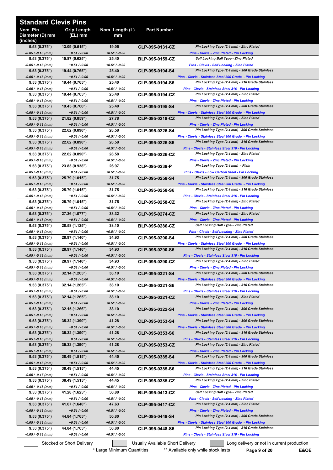| <b>Standard Clevis Pins</b>             |                                   |                          |                                  |                                                                                                            |
|-----------------------------------------|-----------------------------------|--------------------------|----------------------------------|------------------------------------------------------------------------------------------------------------|
| Nom. Pin<br>Diameter (D) mm<br>(inches) | <b>Grip Length</b><br>$(EL)$ mm   | Nom. Length (L)<br>mm    | <b>Part Number</b>               |                                                                                                            |
| 9.53(0.375")                            | 13.09(0.515")                     | 19.05                    | CLP-095-0131-CZ                  | Pin Locking Type (2.4 mm) - Zinc Plated                                                                    |
| $-0.05 / -0.18$ (mm)<br>9.53(0.375")    | $+0.51/ -0.00$<br>15.87 (0.625")  | $+0.51 / -0.00$<br>25.40 | <b>BLP-095-0159-CZ</b>           | <b>Pins - Clevis - Zinc Plated - Pin Locking</b><br><b>Self Locking Ball Type - Zinc Plated</b>            |
| -0.05 / -0.18 (mm)                      | $+0.51/ -0.00$                    | $+0.51 / -0.00$          |                                  | <b>Pins - Clevis - Self Locking - Zinc Plated</b>                                                          |
| 9.53(0.375")<br>$-0.05/ -0.18$ (mm)     | 19.44 (0.765")<br>$+0.51/ -0.00$  | 25.40<br>$+0.51 / -0.00$ | CLP-095-0194-S4                  | Pin Locking Type (2.4 mm) - 300 Grade Stainless<br>Pins - Clevis - Stainless Steel 300 Grade - Pin Locking |
| 9.53(0.375")                            | 19.44 (0.765")                    | 25.40                    | CLP-095-0194-S6                  | Pin Locking Type (2.4 mm) - 316 Grade Stainless                                                            |
| $-0.05 / -0.18$ (mm)                    | $+0.51/ -0.00$                    | $+0.51 / -0.00$<br>25.40 |                                  | Pins - Clevis - Stainless Steel 316 - Pin Locking                                                          |
| 9.53(0.375")<br>-0.05 / -0.18 (mm)      | 19.44 (0.765")<br>$+0.51 / -0.00$ | $+0.51 / -0.00$          | CLP-095-0194-CZ                  | Pin Locking Type (2.4 mm) - Zinc Plated<br>Pins - Clevis - Zinc Plated - Pin Locking                       |
| 9.53(0.375")                            | 19.45 (0.766")                    | 25.40                    | CLP-095-0195-S4                  | Pin Locking Type (2.4 mm) - 300 Grade Stainless                                                            |
| -0.05 / -0.18 (mm)<br>9.53(0.375")      | $+0.51/ -0.00$<br>21.82 (0.859")  | $+0.51 / -0.00$<br>27.78 | CLP-095-0218-CZ                  | Pins - Clevis - Stainless Steel 300 Grade - Pin Locking<br>Pin Locking Type (2.4 mm) - Zinc Plated         |
| -0.05 / -0.18 (mm)                      | $+0.51/ -0.00$                    | $+0.51 / -0.00$          |                                  | <b>Pins - Clevis - Zinc Plated - Pin Locking</b>                                                           |
| 9.53(0.375")                            | 22.62 (0.890")                    | 28.58                    | CLP-095-0226-S4                  | Pin Locking Type (2.4 mm) - 300 Grade Stainless                                                            |
| -0.05 / -0.18 (mm)<br>9.53(0.375")      | $+0.51/ -0.00$<br>22.62 (0.890")  | $+0.51 / -0.00$<br>28.58 | CLP-095-0226-S6                  | Pins - Clevis - Stainless Steel 300 Grade - Pin Locking<br>Pin Locking Type (2.4 mm) - 316 Grade Stainless |
| $-0.05 / -0.18$ (mm)                    | $+0.51/ -0.00$                    | $+0.51 / -0.00$          |                                  | Pins - Clevis - Stainless Steel 316 - Pin Locking                                                          |
| 9.53(0.375")                            | 22.62 (0.890")                    | 28.58                    | CLP-095-0226-CZ                  | Pin Locking Type (2.4 mm) - Zinc Plated                                                                    |
| $-0.05 / -0.18$ (mm)<br>9.53(0.375")    | $+0.51/ -0.00$<br>23.83 (0.938")  | $+0.51 / -0.00$<br>26.97 | CLP-095-0238-P                   | Pins - Clevis - Zinc Plated - Pin Locking<br>Pin Locking Type (2.4 mm) - Plain                             |
| -0.05 / -0.18 (mm)                      | $+0.51/ -0.00$                    | $+0.51 / -0.00$          |                                  | Pins - Clevis - Low Carbon Steel - Pin Locking                                                             |
| 9.53(0.375")                            | 25.79 (1.015")<br>$+0.51 / -0.00$ | 31.75<br>$+0.51 / -0.00$ | CLP-095-0258-S4                  | Pin Locking Type (2.4 mm) - 300 Grade Stainless                                                            |
| $-0.05 / -0.18$ (mm)<br>9.53(0.375")    | 25.79 (1.015")                    | 31.75                    | CLP-095-0258-S6                  | Pins - Clevis - Stainless Steel 300 Grade - Pin Locking<br>Pin Locking Type (2.4 mm) - 316 Grade Stainless |
| -0.05 / -0.18 (mm)                      | $+0.51 / -0.00$                   | $+0.51 / -0.00$          |                                  | Pins - Clevis - Stainless Steel 316 - Pin Locking                                                          |
| 9.53(0.375")<br>-0.05 / -0.18 (mm)      | 25.79 (1.015")<br>$+0.51 / -0.00$ | 31.75<br>$+0.51 / -0.00$ | CLP-095-0258-CZ                  | Pin Locking Type (2.4 mm) - Zinc Plated<br>Pins - Clevis - Zinc Plated - Pin Locking                       |
| 9.53(0.375")                            | 27.36 (1.077")                    | 33.32                    | CLP-095-0274-CZ                  | Pin Locking Type (2.4 mm) - Zinc Plated                                                                    |
| -0.05 / -0.18 (mm)                      | $+0.51/ -0.00$                    | $+0.51 / -0.00$          |                                  | <b>Pins - Clevis - Zinc Plated - Pin Locking</b>                                                           |
| 9.53(0.375")<br>$-0.05 / -0.18$ (mm)    | 28.58 (1.125")<br>$+0.51/ -0.00$  | 38.10<br>$+0.51 / -0.00$ | <b>BLP-095-0286-CZ</b>           | <b>Self Locking Ball Type - Zinc Plated</b><br>Pins - Clevis - Self Locking - Zinc Plated                  |
| 9.53(0.375")                            | 28.97 (1.140")                    | 34.93                    | CLP-095-0290-S4                  | Pin Locking Type (2.4 mm) - 300 Grade Stainless                                                            |
| -0.05 / -0.18 (mm)                      | $+0.51/ -0.00$<br>28.97 (1.140")  | $+0.51 / -0.00$<br>34.93 | CLP-095-0290-S6                  | Pins - Clevis - Stainless Steel 300 Grade - Pin Locking<br>Pin Locking Type (2.4 mm) - 316 Grade Stainless |
| 9.53(0.375")<br>$-0.05 / -0.18$ (mm)    | $+0.51/ -0.00$                    | $+0.51 / -0.00$          |                                  | Pins - Clevis - Stainless Steel 316 - Pin Locking                                                          |
| 9.53(0.375")                            | 28.97 (1.140")                    | 34.93                    | CLP-095-0290-CZ                  | Pin Locking Type (2.4 mm) - Zinc Plated                                                                    |
| -0.05 / -0.18 (mm)<br>9.53(0.375")      | $+0.51 / -0.00$<br>32.14 (1.265") | $+0.51 / -0.00$<br>38.10 | CLP-095-0321-S4                  | Pins - Clevis - Zinc Plated - Pin Locking<br>Pin Locking Type (2.4 mm) - 300 Grade Stainless               |
| $-0.05 / -0.18$ (mm)                    | $+0.51 / -0.00$                   | $+0.51 / -0.00$          |                                  | Pins - Clevis - Stainless Steel 300 Grade - Pin Locking                                                    |
| 9.53(0.375")                            | 32.14 (1.265")                    | 38.10                    | CLP-095-0321-S6                  | Pin Locking Type (2.4 mm) - 316 Grade Stainless                                                            |
| -0.05 / -0.18 (mm)<br>9.53(0.375")      | $+0.51 / -0.00$<br>32.14 (1.265") | $+0.51 / -0.00$<br>38.10 | CLP-095-0321-CZ                  | Pins - Clevis - Stainless Steel 316 - Pin Locking<br>Pin Locking Type (2.4 mm) - Zinc Plated               |
| $-0.05 / -0.18$ (mm)                    | $+0.51 / -0.00$                   | $+0.51 / -0.00$          |                                  | <b>Pins - Clevis - Zinc Plated - Pin Locking</b>                                                           |
| 9.53(0.375")<br>$-0.05 / -0.18$ (mm)    | 32.15 (1.266")<br>$+0.51 / -0.00$ | 38.10<br>$+0.51 / -0.00$ | CLP-095-0322-S4                  | Pin Locking Type (2.4 mm) - 300 Grade Stainless<br>Pins - Clevis - Stainless Steel 300 Grade - Pin Locking |
| 9.53(0.375")                            | 35.32 (1.390")                    | 41.28                    | CLP-095-0353-S4                  | Pin Locking Type (2.4 mm) - 300 Grade Stainless                                                            |
| -0.05 / -0.18 (mm)                      | $+0.51 / -0.00$                   | $+0.51 / -0.00$          |                                  | Pins - Clevis - Stainless Steel 300 Grade - Pin Locking                                                    |
| 9.53(0.375")<br>$-0.05 / -0.18$ (mm)    | 35.32 (1.390")<br>$+0.51 / -0.00$ | 41.28<br>$+0.51 / -0.00$ | CLP-095-0353-S6                  | Pin Locking Type (2.4 mm) - 316 Grade Stainless<br>Pins - Clevis - Stainless Steel 316 - Pin Locking       |
| 9.53(0.375")                            | 35.32 (1.390")                    | 41.28                    | CLP-095-0353-CZ                  | Pin Locking Type (2.4 mm) - Zinc Plated                                                                    |
| $-0.05 / -0.18$ (mm)                    | $+0.51 / -0.00$                   | $+0.51 / -0.00$          |                                  | <b>Pins - Clevis - Zinc Plated - Pin Locking</b><br>Pin Locking Type (2.4 mm) - 300 Grade Stainless        |
| 9.53(0.375")<br>-0.05 / -0.18 (mm)      | 38.49 (1.515")<br>$+0.51 / -0.00$ | 44.45<br>$+0.51 / -0.00$ | CLP-095-0385-S4                  | Pins - Clevis - Stainless Steel 300 Grade - Pin Locking                                                    |
| 9.53(0.375")                            | 38.49 (1.515")                    | 44.45                    | CLP-095-0385-S6                  | Pin Locking Type (2.4 mm) - 316 Grade Stainless                                                            |
| -0.05 / -0.17 (mm)<br>9.53(0.375")      | $+0.51 / -0.00$<br>38.49 (1.515") | $+0.51 / -0.00$<br>44.45 | CLP-095-0385-CZ                  | Pins - Clevis - Stainless Steel 316 - Pin Locking<br>Pin Locking Type (2.4 mm) - Zinc Plated               |
| -0.05 / -0.18 (mm)                      | $+0.51 / -0.00$                   | $+0.51 / -0.00$          |                                  | Pins - Clevis - Zinc Plated - Pin Locking                                                                  |
| 9.53(0.375")                            | 41.28 (1.625")                    | 50.80                    | <b>BLP-095-0413-CZ</b>           | Self Locking Ball Type - Zinc Plated                                                                       |
| -0.05 / -0.18 (mm)<br>9.53(0.375")      | $+0.51 / -0.00$<br>41.67 (1.640") | $+0.51 / -0.00$<br>47.63 | CLP-095-0417-CZ                  | Pins - Clevis - Self Locking - Zinc Plated<br>Pin Locking Type (2.4 mm) - Zinc Plated                      |
| $-0.05 / -0.18$ (mm)                    | $+0.51 / -0.00$                   | $+0.51 / -0.00$          |                                  | Pins - Clevis - Zinc Plated - Pin Locking                                                                  |
| 9.53(0.375")                            | 44.84 (1.765")                    | 50.80                    | CLP-095-0448-S4                  | Pin Locking Type (2.4 mm) - 300 Grade Stainless                                                            |
| $-0.05 / -0.18$ (mm)<br>9.53(0.375")    | $+0.51 / -0.00$<br>44.84 (1.765") | $+0.51 / -0.00$<br>50.80 | CLP-095-0448-S6                  | Pins - Clevis - Stainless Steel 300 Grade - Pin Locking<br>Pin Locking Type (2.4 mm) - 316 Grade Stainless |
| -0.05 / -0.18 (mm)                      | $+0.51 / -0.00$                   | $+0.51 / -0.00$          |                                  | Pins - Clevis - Stainless Steel 316 - Pin Locking                                                          |
|                                         | Stocked or Short Delivery         |                          | Usually Available Short Delivery | Long delivery or not in current production                                                                 |

\* Large Minimum Quantities \*\*\* Available only while stock lasts **Page 9 of 20 E&OE**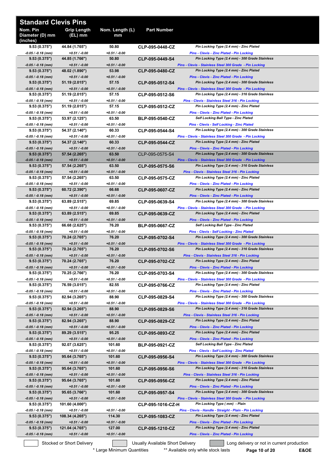| <b>Standard Clevis Pins</b>             |                                    |                           |                                  |                                                                                                            |
|-----------------------------------------|------------------------------------|---------------------------|----------------------------------|------------------------------------------------------------------------------------------------------------|
| Nom. Pin<br>Diameter (D) mm<br>(inches) | <b>Grip Length</b><br>(EL) mm      | Nom. Length (L)<br>mm     | <b>Part Number</b>               |                                                                                                            |
| 9.53(0.375")                            | 44.84 (1.765")                     | 50.80                     | CLP-095-0448-CZ                  | Pin Locking Type (2.4 mm) - Zinc Plated                                                                    |
| $-0.05 / -0.18$ (mm)<br>9.53(0.375")    | $+0.51 / -0.00$<br>44.85 (1.766")  | $+0.51 / -0.00$<br>50.80  | CLP-095-0449-S4                  | Pins - Clevis - Zinc Plated - Pin Locking<br>Pin Locking Type (2.4 mm) - 300 Grade Stainless               |
| $-0.05/ -0.18$ (mm)                     | $+0.51 / -0.00$                    | $+0.51 / -0.00$           |                                  | Pins - Clevis - Stainless Steel 300 Grade - Pin Locking                                                    |
| 9.53(0.375")                            | 48.02 (1.890")                     | 53.98                     | CLP-095-0480-CZ                  | Pin Locking Type (2.4 mm) - Zinc Plated                                                                    |
| $-0.05 / -0.18$ (mm)<br>9.53(0.375")    | $+0.51 / -0.00$<br>51.19(2.015")   | $+0.51 / -0.00$<br>57.15  | CLP-095-0512-S4                  | Pins - Clevis - Zinc Plated - Pin Locking<br>Pin Locking Type (2.4 mm) - 300 Grade Stainless               |
| $-0.05 / -0.18$ (mm)                    | $+0.51 / -0.00$                    | $+0.51 / -0.00$           |                                  | Pins - Clevis - Stainless Steel 300 Grade - Pin Locking                                                    |
| 9.53(0.375")<br>$-0.05/ -0.18$ (mm)     | 51.19 (2.015")<br>$+0.51 / -0.00$  | 57.15<br>$+0.51 / -0.00$  | CLP-095-0512-S6                  | Pin Locking Type (2.4 mm) - 316 Grade Stainless<br>Pins - Clevis - Stainless Steel 316 - Pin Locking       |
| 9.53(0.375")                            | 51.19 (2.015")                     | 57.15                     | CLP-095-0512-CZ                  | Pin Locking Type (2.4 mm) - Zinc Plated                                                                    |
| -0.05 / -0.18 (mm)                      | $+0.51 / -0.00$                    | $+0.51 / -0.00$           |                                  | <b>Pins - Clevis - Zinc Plated - Pin Locking</b>                                                           |
| 9.53(0.375")<br>-0.05 / -0.18 (mm)      | 53.97 (2.125")<br>$+0.51 / -0.00$  | 63.50<br>$+0.51 / -0.00$  | <b>BLP-095-0540-CZ</b>           | Self Locking Ball Type - Zinc Plated<br>Pins - Clevis - Self Locking - Zinc Plated                         |
| 9.53(0.375")                            | 54.37 (2.140")                     | 60.33                     | CLP-095-0544-S4                  | Pin Locking Type (2.4 mm) - 300 Grade Stainless                                                            |
| -0.05 / -0.18 (mm)                      | $+0.51 / -0.00$                    | $+0.51 / -0.00$           |                                  | Pins - Clevis - Stainless Steel 300 Grade - Pin Locking<br>Pin Locking Type (2.4 mm) - Zinc Plated         |
| 9.53(0.375")<br>$-0.05 / -0.18$ (mm)    | 54.37 (2.140")<br>$+0.51 / -0.00$  | 60.33<br>$+0.51 / -0.00$  | CLP-095-0544-CZ                  | Pins - Clevis - Zinc Plated - Pin Locking                                                                  |
| 9.53(0.375")                            | 57.54 (2.265")                     | 63.50                     | CLP-095-0575-S4                  | Pin Locking Type (2.4 mm) - 300 Grade Stainless                                                            |
| $-0.05 / -0.18$ (mm)<br>9.53(0.375")    | $+0.51 / -0.00$<br>57.54 (2.265")  | $+0.51 / -0.00$<br>63.50  | CLP-095-0575-S6                  | Pins - Clevis - Stainless Steel 300 Grade - Pin Locking<br>Pin Locking Type (2.4 mm) - 316 Grade Stainless |
| $-0.05/ -0.18$ (mm)                     | $+0.51 / -0.00$                    | $+0.51 / -0.00$           |                                  | Pins - Clevis - Stainless Steel 316 - Pin Locking                                                          |
| 9.53(0.375")                            | 57.54 (2.265")                     | 63.50                     | CLP-095-0575-CZ                  | Pin Locking Type (2.4 mm) - Zinc Plated                                                                    |
| $-0.05 / -0.18$ (mm)<br>9.53(0.375")    | $+0.51 / -0.00$<br>60.72(2.390")   | $+0.51 / -0.00$<br>66.68  | CLP-095-0607-CZ                  | Pins - Clevis - Zinc Plated - Pin Locking<br>Pin Locking Type (2.4 mm) - Zinc Plated                       |
| -0.05 / -0.18 (mm)                      | $+0.51 / -0.00$                    | $+0.51 / -0.00$           |                                  | Pins - Clevis - Zinc Plated - Pin Locking                                                                  |
| 9.53(0.375")                            | 63.89 (2.515")                     | 69.85                     | CLP-095-0639-S4                  | Pin Locking Type (2.4 mm) - 300 Grade Stainless                                                            |
| $-0.05 / -0.18$ (mm)<br>9.53(0.375")    | $+0.51 / -0.00$<br>63.89 (2.515")  | $+0.51 / -0.00$<br>69.85  | CLP-095-0639-CZ                  | Pins - Clevis - Stainless Steel 300 Grade - Pin Locking<br>Pin Locking Type (2.4 mm) - Zinc Plated         |
| -0.05 / -0.18 (mm)                      | $+0.51 / -0.00$                    | $+0.51 / -0.00$           |                                  | <b>Pins - Clevis - Zinc Plated - Pin Locking</b>                                                           |
| 9.53(0.375")                            | 66.68 (2.625")                     | 76.20                     | <b>BLP-095-0667-CZ</b>           | Self Locking Ball Type - Zinc Plated                                                                       |
| -0.05 / -0.18 (mm)<br>9.53(0.375")      | $+0.51 / -0.00$<br>70.24 (2.765")  | $+0.51 / -0.00$<br>76.20  | CLP-095-0702-S4                  | Pins - Clevis - Self Locking - Zinc Plated<br>Pin Locking Type (2.4 mm) - 300 Grade Stainless              |
| $-0.05 / -0.18$ (mm)                    | $+0.51 / -0.00$                    | $+0.51 / -0.00$           |                                  | Pins - Clevis - Stainless Steel 300 Grade - Pin Locking                                                    |
| 9.53(0.375")<br>-0.05 / -0.18 (mm)      | 70.24 (2.765")<br>$+0.51 / -0.00$  | 76.20<br>$+0.51 / -0.00$  | CLP-095-0702-S6                  | Pin Locking Type (2.4 mm) - 316 Grade Stainless<br>Pins - Clevis - Stainless Steel 316 - Pin Locking       |
| 9.53(0.375")                            | 70.24 (2.765")                     | 76.20                     | CLP-095-0702-CZ                  | Pin Locking Type (2.4 mm) - Zinc Plated                                                                    |
| -0.05 / -0.18 (mm)                      | $+0.51 / -0.00$                    | $+0.51 / -0.00$           |                                  | Pins - Clevis - Zinc Plated - Pin Locking                                                                  |
| 9.53(0.375")<br>-0.05 / -0.18 (mm)      | 70.25 (2.766")<br>$+0.51 / -0.00$  | 76.20<br>+0.51 / -0.00    | CLP-095-0703-S4                  | Pin Locking Type (2.4 mm) - 300 Grade Stainless<br>Pins - Clevis - Stainless Steel 300 Grade - Pin Locking |
| 9.53(0.375")                            | 76.59 (3.015")                     | 82.55                     | CLP-095-0766-CZ                  | Pin Locking Type (2.4 mm) - Zinc Plated                                                                    |
| $-0.05/ -0.18$ (mm)                     | $+0.51 / -0.00$                    | +0.51 / -0.00             |                                  | Pins - Clevis - Zinc Plated - Pin Locking                                                                  |
| 9.53(0.375")<br>$-0.05/ -0.18$ (mm)     | 82.94 (3.265")<br>$+0.51 / -0.00$  | 88.90<br>+0.51 / -0.00    | CLP-095-0829-S4                  | Pin Locking Type (2.4 mm) - 300 Grade Stainless<br>Pins - Clevis - Stainless Steel 300 Grade - Pin Locking |
| 9.53(0.375")                            | 82.94 (3.265")                     | 88.90                     | CLP-095-0829-S6                  | Pin Locking Type (2.4 mm) - 316 Grade Stainless                                                            |
| $-0.05 / -0.18$ (mm)                    | $+0.51 / -0.00$                    | $+0.51 / -0.00$           |                                  | Pins - Clevis - Stainless Steel 316 - Pin Locking<br>Pin Locking Type (2.4 mm) - Zinc Plated               |
| 9.53(0.375")<br>-0.05 / -0.18 (mm)      | 82.94 (3.265")<br>$+0.51 / -0.00$  | 88.90<br>$+0.51 / -0.00$  | CLP-095-0829-CZ                  | <b>Pins - Clevis - Zinc Plated - Pin Locking</b>                                                           |
| 9.53(0.375")                            | 89.29 (3.515")                     | 95.25                     | CLP-095-0893-CZ                  | Pin Locking Type (2.4 mm) - Zinc Plated                                                                    |
| -0.05 / -0.18 (mm)<br>9.53(0.375")      | $+0.51 / -0.00$<br>92.07 (3.625")  | $+0.51 / -0.00$<br>101.60 | <b>BLP-095-0921-CZ</b>           | <b>Pins - Clevis - Zinc Plated - Pin Locking</b><br>Self Locking Ball Type - Zinc Plated                   |
| $-0.05/ -0.18$ (mm)                     | $+0.51 / -0.00$                    | +0.51 / -0.00             |                                  | Pins - Clevis - Self Locking - Zinc Plated                                                                 |
| 9.53(0.375")                            | 95.64 (3.765")                     | 101.60                    | CLP-095-0956-S4                  | Pin Locking Type (2.4 mm) - 300 Grade Stainless                                                            |
| -0.05 / -0.18 (mm)<br>9.53(0.375")      | $+0.51 / -0.00$<br>95.64 (3.765")  | $+0.51 / -0.00$<br>101.60 | CLP-095-0956-S6                  | Pins - Clevis - Stainless Steel 300 Grade - Pin Locking<br>Pin Locking Type (2.4 mm) - 316 Grade Stainless |
| $-0.05 / -0.18$ (mm)                    | $+0.51 / -0.00$                    | $+0.51 / -0.00$           |                                  | Pins - Clevis - Stainless Steel 316 - Pin Locking                                                          |
| 9.53(0.375")                            | 95.64 (3.765")                     | 101.60                    | CLP-095-0956-CZ                  | Pin Locking Type (2.4 mm) - Zinc Plated                                                                    |
| -0.05 / -0.18 (mm)<br>9.53(0.375")      | $+0.51 / -0.00$<br>95.65(3.766")   | +0.51 / -0.00<br>101.60   | CLP-095-0957-S4                  | Pins - Clevis - Zinc Plated - Pin Locking<br>Pin Locking Type (2.4 mm) - 300 Grade Stainless               |
| -0.05 / -0.18 (mm)                      | $+0.51 / -0.00$                    | $+0.51 / -0.00$           |                                  | Pins - Clevis - Stainless Steel 300 Grade - Pin Locking                                                    |
| 9.53(0.375")                            | 101.60 (4.000")                    |                           | CLP-095-1016-CZ-H                | Pin Locking Type (mm) - Plain                                                                              |
| $-0.05/ -0.18$ (mm)<br>9.53(0.375")     | $+0.51 / -0.00$<br>108.34 (4.265") | $+0.51 / -0.00$<br>114.30 | CLP-095-1083-CZ                  | Pins - Clevis - Handle - Straight - Plain - Pin Locking<br>Pin Locking Type (2.4 mm) - Zinc Plated         |
| $-0.05 / -0.18$ (mm)                    | $+0.51 / -0.00$                    | $+0.51 / -0.00$           |                                  | <b>Pins - Clevis - Zinc Plated - Pin Locking</b>                                                           |
| 9.53(0.375")                            | 121.04 (4.765")                    | 127.00                    | CLP-095-1210-CZ                  | Pin Locking Type (2.4 mm) - Zinc Plated                                                                    |
| -0.05 / -0.18 (mm)                      | $+0.51 / -0.00$                    | $+0.51 / -0.00$           |                                  | <b>Pins - Clevis - Zinc Plated - Pin Locking</b>                                                           |
|                                         | Stocked or Short Delivery          |                           | Usually Available Short Delivery | Long delivery or not in current production                                                                 |

\* Large Minimum Quantities \*\* Available only while stock lasts **Page 10 of 20 E&OE**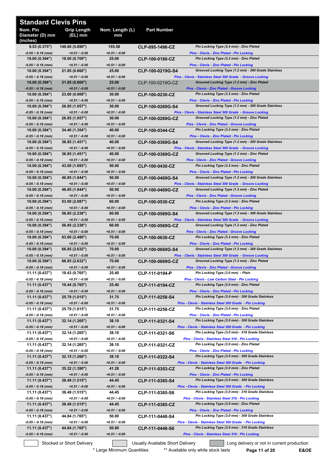| <b>Standard Clevis Pins</b>             |                                   |                          |                                  |                                                                                                                   |
|-----------------------------------------|-----------------------------------|--------------------------|----------------------------------|-------------------------------------------------------------------------------------------------------------------|
| Nom. Pin<br>Diameter (D) mm<br>(inches) | Grip Length<br>(EL) mm            | Nom. Length (L)<br>mm    | <b>Part Number</b>               |                                                                                                                   |
| 9.53(0.375")                            | 149.60 (5.890")                   | 155.58                   | CLP-095-1496-CZ                  | Pin Locking Type (2.4 mm) - Zinc Plated                                                                           |
| -0.05 / -0.18 (mm)<br>10.00(0.394")     | $+0.51 / -0.00$<br>18.00 (0.709") | $+0.51 / -0.00$<br>25.00 | CLP-100-0180-CZ                  | Pins - Clevis - Zinc Plated - Pin Locking<br>Pin Locking Type (3.2 mm) - Zinc Plated                              |
| -0.05 / -0.18 (mm)                      | $+0.51 / -0.00$                   | $+0.51 / -0.00$          |                                  | <b>Pins - Clevis - Zinc Plated - Pin Locking</b>                                                                  |
| 10.00(0.394")<br>-0.05 / -0.18 (mm)     | 21.85(0.860")<br>$+0.51 / -0.00$  | 25.00<br>$+0.51 / -0.00$ | CLP-100-0219G-S4                 | Grooved Locking Type (1.2 mm) - 300 Grade Stainless<br>Pins - Clevis - Stainless Steel 300 Grade - Groove Locking |
| 10.00(0.394")                           | 21.85 (0.860")                    | 25.00                    | CLP-100-0219G-CZ                 | Grooved Locking Type (1.2 mm) - Zinc Plated                                                                       |
| -0.05 / -0.18 (mm)<br>10.00(0.394")     | $+0.51 / -0.00$<br>23.00 (0.906") | $+0.51 / -0.00$<br>30.00 | CLP-100-0230-CZ                  | <b>Pins - Clevis - Zinc Plated - Groove Locking</b><br>Pin Locking Type (3.2 mm) - Zinc Plated                    |
| -0.05 / -0.18 (mm)                      | $+0.51 / -0.00$                   | $+0.51 / -0.00$          |                                  | <b>Pins - Clevis - Zinc Plated - Pin Locking</b>                                                                  |
| 10.00(0.394")                           | 26.85 (1.057")<br>$+0.51 / -0.00$ | 30.00<br>$+0.51 / -0.00$ | CLP-100-0269G-S4                 | Grooved Locking Type (1.2 mm) - 300 Grade Stainless<br>Pins - Clevis - Stainless Steel 300 Grade - Groove Locking |
| -0.05 / -0.18 (mm)<br>10.00(0.394")     | 26.85 (1.057")                    | 30.00                    | CLP-100-0269G-CZ                 | Grooved Locking Type (1.2 mm) - Zinc Plated                                                                       |
| $-0.05 / -0.18$ (mm)                    | $+0.51 / -0.00$                   | $+0.51 / -0.00$          |                                  | <b>Pins - Clevis - Zinc Plated - Groove Locking</b>                                                               |
| 10.00(0.394")<br>-0.05 / -0.18 (mm)     | 34.40 (1.354")<br>$+0.51 / -0.00$ | 40.00<br>$+0.51 / -0.00$ | CLP-100-0344-CZ                  | Pin Locking Type (3.2 mm) - Zinc Plated<br>Pins - Clevis - Zinc Plated - Pin Locking                              |
| 10.00 (0.394")                          | 36.85 (1.451")                    | 40.00                    | CLP-100-0369G-S4                 | Grooved Locking Type (1.2 mm) - 300 Grade Stainless                                                               |
| -0.05 / -0.18 (mm)<br>10.00(0.394")     | $+0.51 / -0.00$<br>36.85 (1.451") | $+0.51 / -0.00$<br>40.00 | CLP-100-0369G-CZ                 | Pins - Clevis - Stainless Steel 300 Grade - Groove Locking<br>Grooved Locking Type (1.2 mm) - Zinc Plated         |
| -0.05 / -0.18 (mm)                      | $+0.51 / -0.00$                   | $+0.51 / -0.00$          |                                  | <b>Pins - Clevis - Zinc Plated - Groove Locking</b>                                                               |
| 10.00(0.394")<br>$-0.05 / -0.18$ (mm)   | 43.00 (1.693")<br>$+0.51 / -0.00$ | 50.00<br>$+0.51 / -0.00$ | CLP-100-0430-CZ                  | Pin Locking Type (3.2 mm) - Zinc Plated<br><b>Pins - Clevis - Zinc Plated - Pin Locking</b>                       |
| 10.00(0.394")                           | 46.85 (1.844")                    | 50.00                    | CLP-100-0469G-S4                 | Grooved Locking Type (1.2 mm) - 300 Grade Stainless                                                               |
| $-0.05 / -0.18$ (mm)                    | $+0.51 / -0.00$                   | $+0.51 / -0.00$          |                                  | Pins - Clevis - Stainless Steel 300 Grade - Groove Locking                                                        |
| 10.00(0.394")<br>-0.05 / -0.18 (mm)     | 46.85 (1.844")<br>$+0.51 / -0.00$ | 50.00<br>$+0.51 / -0.00$ | CLP-100-0469G-CZ                 | Grooved Locking Type (1.2 mm) - Zinc Plated<br><b>Pins - Clevis - Zinc Plated - Groove Locking</b>                |
| 10.00(0.394")                           | 53.00 (2.087")                    | 60.00                    | CLP-100-0530-CZ                  | Pin Locking Type (3.2 mm) - Zinc Plated                                                                           |
| -0.05 / -0.18 (mm)<br>10.00(0.394")     | $+0.51 / -0.00$<br>56.85 (2.238") | $+0.51 / -0.00$<br>60.00 | CLP-100-0569G-S4                 | Pins - Clevis - Zinc Plated - Pin Locking<br>Grooved Locking Type (1.2 mm) - 300 Grade Stainless                  |
| -0.05 / -0.18 (mm)                      | $+0.51 / -0.00$                   | $+0.51 / -0.00$          |                                  | Pins - Clevis - Stainless Steel 300 Grade - Groove Locking                                                        |
| 10.00(0.394")                           | 56.85 (2.238")                    | 60.00<br>$+0.51 / -0.00$ | CLP-100-0569G-CZ                 | Grooved Locking Type (1.2 mm) - Zinc Plated                                                                       |
| -0.05 / -0.18 (mm)<br>10.00(0.394")     | $+0.51 / -0.00$<br>63.00 (2.480") | 70.00                    | CLP-100-0630-CZ                  | <b>Pins - Clevis - Zinc Plated - Groove Locking</b><br>Pin Locking Type (3.2 mm) - Zinc Plated                    |
| -0.05 / -0.18 (mm)                      | $+0.51 / -0.00$                   | $+0.51 / -0.00$          |                                  | Pins - Clevis - Zinc Plated - Pin Locking                                                                         |
| 10.00(0.394")<br>-0.05 / -0.18 (mm)     | 66.85 (2.632")<br>$+0.51 / -0.00$ | 70.00<br>$+0.51 / -0.00$ | CLP-100-0669G-S4                 | Grooved Locking Type (1.2 mm) - 300 Grade Stainless<br>Pins - Clevis - Stainless Steel 300 Grade - Groove Locking |
| 10.00(0.394")                           | 66.85 (2.632")                    | 70.00                    | CLP-100-0669G-CZ                 | Grooved Locking Type (1.2 mm) - Zinc Plated                                                                       |
| $-0.05 / -0.18$ (mm)<br>11.11 (0.437")  | $+0.51 / -0.00$<br>19.43 (0.765") | $+0.51 / -0.00$<br>25.40 | CLP-111-0194-P                   | Pins - Clevis - Zinc Plated - Groove Locking<br>Pin Locking Type (3.0 mm) - Plain                                 |
| -0.05 / -0.18 (mm)                      | $+0.51 / -0.00$                   | +0.51 / -0.00            |                                  | Pins - Clevis - Low Carbon Steel - Pin Locking                                                                    |
| 11.11 (0.437")<br>-0.05 / -0.18 (mm)    | 19.44 (0.765")<br>$+0.51 / -0.00$ | 25.40<br>$+0.51 / -0.00$ | CLP-111-0194-CZ                  | Pin Locking Type (3.0 mm) - Zinc Plated<br><b>Pins - Clevis - Zinc Plated - Pin Locking</b>                       |
| 11.11 (0.437")                          | 25.79 (1.015")                    | 31.75                    | CLP-111-0258-S4                  | Pin Locking Type (3.0 mm) - 300 Grade Stainless                                                                   |
| -0.05 / -0.18 (mm)                      | $+0.51 / -0.00$                   | +0.51 / -0.00            |                                  | Pins - Clevis - Stainless Steel 300 Grade - Pin Locking                                                           |
| 11.11 (0.437")<br>-0.05 / -0.18 (mm)    | 25.79 (1.015")<br>$+0.51 / -0.00$ | 31.75<br>$+0.51 / -0.00$ | CLP-111-0258-CZ                  | Pin Locking Type (3.0 mm) - Zinc Plated<br><b>Pins - Clevis - Zinc Plated - Pin Locking</b>                       |
| 11.11 (0.437")                          | 32.14 (1.265")                    | 38.10                    | CLP-111-0321-S4                  | Pin Locking Type (3.0 mm) - 300 Grade Stainless                                                                   |
| -0.05 / -0.18 (mm)<br>11.11 (0.437")    | $+0.51 / -0.00$<br>32.14 (1.265") | $+0.51 / -0.00$<br>38.10 | CLP-111-0321-S6                  | Pins - Clevis - Stainless Steel 300 Grade - Pin Locking<br>Pin Locking Type (3.0 mm) - 316 Grade Stainless        |
| -0.05 / -0.18 (mm)                      | $+0.51 / -0.00$                   | +0.51 / -0.00            |                                  | Pins - Clevis - Stainless Steel 316 - Pin Locking                                                                 |
| 11.11 (0.437")<br>-0.05 / -0.18 (mm)    | 32.14 (1.265")<br>$+0.51 / -0.00$ | 38.10<br>+0.51 / -0.00   | CLP-111-0321-CZ                  | Pin Locking Type (3.0 mm) - Zinc Plated<br><b>Pins - Clevis - Zinc Plated - Pin Locking</b>                       |
| 11.11 (0.437")                          | 32.15 (1.266")                    | 38.10                    | CLP-111-0322-S4                  | Pin Locking Type (3.0 mm) - 300 Grade Stainless                                                                   |
| $-0.05 / -0.18$ (mm)                    | $+0.51 / -0.00$                   | $+0.51 / -0.00$          |                                  | Pins - Clevis - Stainless Steel 300 Grade - Pin Locking                                                           |
| 11.11(0.437")<br>-0.05 / -0.18 (mm)     | 35.32 (1.390")<br>$+0.51 / -0.00$ | 41.28<br>$+0.51 / -0.00$ | CLP-111-0353-CZ                  | Pin Locking Type (3.0 mm) - Zinc Plated<br><b>Pins - Clevis - Zinc Plated - Pin Locking</b>                       |
| 11.11(0.437")                           | 38.49 (1.515")                    | 44.45                    | CLP-111-0385-S4                  | Pin Locking Type (3.0 mm) - 300 Grade Stainless                                                                   |
| -0.05 / -0.18 (mm)<br>11.11 (0.437")    | $+0.51 / -0.00$<br>38.49 (1.515") | $+0.51 / -0.00$<br>44.45 | CLP-111-0385-S6                  | Pins - Clevis - Stainless Steel 300 Grade - Pin Locking<br>Pin Locking Type (3.0 mm) - 316 Grade Stainless        |
| -0.05 / -0.18 (mm)                      | $+0.51 / -0.00$                   | $+0.51 / -0.00$          |                                  | Pins - Clevis - Stainless Steel 316 - Pin Locking                                                                 |
| 11.11 (0.437")<br>-0.05 / -0.18 (mm)    | 38.49 (1.515")<br>$+0.51 / -0.00$ | 44.45<br>$+0.51 / -0.00$ | CLP-111-0385-CZ                  | Pin Locking Type (3.0 mm) - Zinc Plated<br><b>Pins - Clevis - Zinc Plated - Pin Locking</b>                       |
| 11.11 (0.437")                          | 44.84 (1.765")                    | 50.80                    | CLP-111-0448-S4                  | Pin Locking Type (3.0 mm) - 300 Grade Stainless                                                                   |
| -0.05 / -0.18 (mm)                      | $+0.51 / -0.00$                   | $+0.51 / -0.00$          |                                  | Pins - Clevis - Stainless Steel 300 Grade - Pin Locking                                                           |
| 11.11(0.437")<br>-0.05 / -0.18 (mm)     | 44.84 (1.765")<br>$+0.51 / -0.00$ | 50.80<br>$+0.51 / -0.00$ | CLP-111-0448-S6                  | Pin Locking Type (3.0 mm) - 316 Grade Stainless<br>Pins - Clevis - Stainless Steel 316 - Pin Locking              |
|                                         | Stocked or Short Delivery         |                          | Usually Available Short Delivery | Long delivery or not in current production                                                                        |

\* Large Minimum Quantities \*\* Available only while stock lasts **Page 11 of 20 E&OE**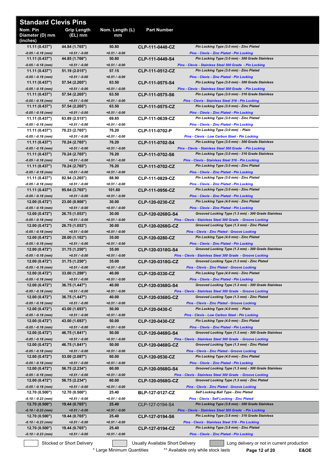| <b>Standard Clevis Pins</b>             |                                   |                          |                                         |                                                                                                                   |
|-----------------------------------------|-----------------------------------|--------------------------|-----------------------------------------|-------------------------------------------------------------------------------------------------------------------|
| Nom. Pin<br>Diameter (D) mm<br>(inches) | <b>Grip Length</b><br>$(EL)$ mm   | Nom. Length (L)<br>mm    | <b>Part Number</b>                      |                                                                                                                   |
| 11.11 (0.437")                          | 44.84 (1.765")                    | 50.80                    | CLP-111-0448-CZ                         | Pin Locking Type (3.0 mm) - Zinc Plated                                                                           |
| $-0.05 / -0.18$ (mm)<br>11.11(0.437")   | $+0.51 / -0.00$<br>44.85 (1.766") | $+0.51 / -0.00$<br>50.80 | CLP-111-0449-S4                         | Pins - Clevis - Zinc Plated - Pin Locking<br>Pin Locking Type (3.0 mm) - 300 Grade Stainless                      |
| $-0.05 / -0.18$ (mm)                    | $+0.51 / -0.00$                   | $+0.51 / -0.00$          |                                         | Pins - Clevis - Stainless Steel 300 Grade - Pin Locking                                                           |
| 11.11(0.437")                           | 51.19 (2.015")                    | 57.15                    | CLP-111-0512-CZ                         | Pin Locking Type (3.0 mm) - Zinc Plated                                                                           |
| $-0.05 / -0.18$ (mm)<br>11.11 (0.437")  | $+0.51 / -0.00$<br>57.54 (2.265") | $+0.51 / -0.00$<br>63.50 | CLP-111-0575-S4                         | Pins - Clevis - Zinc Plated - Pin Locking<br>Pin Locking Type (3.0 mm) - 300 Grade Stainless                      |
| $-0.05 / -0.18$ (mm)                    | $+0.51/ -0.00$                    | $+0.51 / -0.00$          |                                         | Pins - Clevis - Stainless Steel 300 Grade - Pin Locking                                                           |
| 11.11 (0.437")                          | 57.54 (2.265")                    | 63.50<br>$+0.51 / -0.00$ | CLP-111-0575-S6                         | Pin Locking Type (3.0 mm) - 316 Grade Stainless                                                                   |
| $-0.05 / -0.18$ (mm)<br>11.11(0.437")   | $+0.51/ -0.00$<br>57.54 (2.265")  | 63.50                    | CLP-111-0575-CZ                         | Pins - Clevis - Stainless Steel 316 - Pin Locking<br>Pin Locking Type (3.0 mm) - Zinc Plated                      |
| $-0.05 / -0.18$ (mm)                    | $+0.51 / -0.00$                   | $+0.51 / -0.00$          |                                         | <b>Pins - Clevis - Zinc Plated - Pin Locking</b>                                                                  |
| 11.11 (0.437")                          | 63.89 (2.515")                    | 69.85                    | CLP-111-0639-CZ                         | Pin Locking Type (3.0 mm) - Zinc Plated                                                                           |
| -0.05 / -0.18 (mm)<br>11.11 (0.437")    | $+0.51/ -0.00$<br>70.23 (2.765")  | $+0.51 / -0.00$<br>76.20 | CLP-111-0702-P                          | <b>Pins - Clevis - Zinc Plated - Pin Locking</b><br>Pin Locking Type (3.0 mm) - Plain                             |
| -0.05 / -0.18 (mm)                      | $+0.51/ -0.00$                    | $+0.51 / -0.00$          |                                         | Pins - Clevis - Low Carbon Steel - Pin Locking                                                                    |
| 11.11(0.437")                           | 70.24 (2.765")                    | 76.20                    | CLP-111-0702-S4                         | Pin Locking Type (3.0 mm) - 300 Grade Stainless                                                                   |
| $-0.05 / -0.18$ (mm)<br>11.11(0.437")   | $+0.51 / -0.00$<br>70.24 (2.765") | $+0.51 / -0.00$<br>76.20 | CLP-111-0702-S6                         | Pins - Clevis - Stainless Steel 300 Grade - Pin Locking<br>Pin Locking Type (3.0 mm) - 316 Grade Stainless        |
| $-0.05 / -0.18$ (mm)                    | $+0.51 / -0.00$                   | $+0.51 / -0.00$          |                                         | Pins - Clevis - Stainless Steel 316 - Pin Locking                                                                 |
| 11.11 (0.437")                          | 70.24 (2.765")                    | 76.20                    | CLP-111-0702-CZ                         | Pin Locking Type (3.0 mm) - Zinc Plated                                                                           |
| -0.05 / -0.18 (mm)<br>11.11 (0.437")    | $+0.51 / -0.00$<br>82.94 (3.265") | $+0.51 / -0.00$<br>88.90 | CLP-111-0829-CZ                         | <b>Pins - Clevis - Zinc Plated - Pin Locking</b><br>Pin Locking Type (3.0 mm) - Zinc Plated                       |
| -0.05 / -0.18 (mm)                      | $+0.51/ -0.00$                    | $+0.51 / -0.00$          |                                         | <b>Pins - Clevis - Zinc Plated - Pin Locking</b>                                                                  |
| 11.11(0.437")                           | 95.64 (3.765")                    | 101.60                   | CLP-111-0956-CZ                         | Pin Locking Type (3.0 mm) - Zinc Plated                                                                           |
| -0.05 / -0.18 (mm)                      | $+0.51/ -0.00$<br>23.00 (0.906")  | $+0.51 / -0.00$<br>30.00 |                                         | <b>Pins - Clevis - Zinc Plated - Pin Locking</b><br>Pin Locking Type (4.0 mm) - Zinc Plated                       |
| 12.00(0.472")<br>$-0.05 / -0.18$ (mm)   | $+0.51/ -0.00$                    | $+0.51 / -0.00$          | CLP-120-0230-CZ                         | Pins - Clevis - Zinc Plated - Pin Locking                                                                         |
| 12.00(0.472")                           | 26.75 (1.053")                    | 30.00                    | CLP-120-0268G-S4                        | Grooved Locking Type (1.3 mm) - 300 Grade Stainless                                                               |
| $-0.05 / -0.18$ (mm)                    | $+0.51 / -0.00$                   | $+0.51 / -0.00$          |                                         | Pins - Clevis - Stainless Steel 300 Grade - Groove Locking                                                        |
| 12.00(0.472")<br>-0.05 / -0.18 (mm)     | 26.75 (1.053")<br>$+0.51/ -0.00$  | 30.00<br>$+0.51 / -0.00$ | CLP-120-0268G-CZ                        | Grooved Locking Type (1.3 mm) - Zinc Plated<br><b>Pins - Clevis - Zinc Plated - Groove Locking</b>                |
| 12.00(0.472")                           | 28.00 (1.102")                    | 35.00                    | CLP-120-0280-CZ                         | Pin Locking Type (4.0 mm) - Zinc Plated                                                                           |
| $-0.05 / -0.18$ (mm)                    | $+0.51 / -0.00$                   | $+0.51 / -0.00$          |                                         | Pins - Clevis - Zinc Plated - Pin Locking                                                                         |
| 12.00 (0.472")<br>$-0.05 / -0.18$ (mm)  | 31.75 (1.250")<br>$+0.51 / -0.00$ | 35.00<br>$+0.51 / -0.00$ | CLP-120-0318G-S4                        | Grooved Locking Type (1.3 mm) - 300 Grade Stainless<br>Pins - Clevis - Stainless Steel 300 Grade - Groove Locking |
| 12.00 (0.472")                          | 31.75 (1.250")                    | 35.00                    | CLP-120-0318G-CZ                        | Grooved Locking Type (1.3 mm) - Zinc Plated                                                                       |
| $-0.05 / -0.18$ (mm)                    | $+0.51 / -0.00$                   | $+0.51 / -0.00$          |                                         | <b>Pins - Clevis - Zinc Plated - Groove Locking</b>                                                               |
| 12.00(0.472")<br>-0.05 / -0.18 (mm)     | 33.00 (1.299")<br>$+0.51 / -0.00$ | 40.00<br>$+0.51 / -0.00$ | CLP-120-0330-CZ                         | Pin Locking Type (4.0 mm) - Zinc Plated<br><b>Pins - Clevis - Zinc Plated - Pin Locking</b>                       |
| 12.00 (0.472")                          | 36.75 (1.447")                    | 40.00                    | CLP-120-0368G-S4                        | Grooved Locking Type (1.3 mm) - 300 Grade Stainless                                                               |
| $-0.05 / -0.18$ (mm)                    | $+0.51 / -0.00$                   | $+0.51 / -0.00$          |                                         | Pins - Clevis - Stainless Steel 300 Grade - Groove Locking                                                        |
| 12.00 (0.472")<br>$-0.05 / -0.18$ (mm)  | 36.75 (1.447")<br>$+0.51 / -0.00$ | 40.00<br>$+0.51 / -0.00$ | <b>CLP-120-0368G-CZ</b>                 | Grooved Locking Type (1.3 mm) - Zinc Plated<br><b>Pins - Clevis - Zinc Plated - Groove Locking</b>                |
| 12.00(0.472")                           | 43.00 (1.693")                    | 50.00                    | CLP-120-0430-C                          | Pin Locking Type (4.0 mm) - Plain                                                                                 |
| $-0.05 / -0.18$ (mm)                    | $+0.51 / -0.00$                   | $+0.51 / -0.00$          |                                         | Pins - Clevis - Low Carbon Steel - Pin Locking                                                                    |
| 12.00(0.472")<br>$-0.05 / -0.18$ (mm)   | 43.00 (1.693")<br>$+0.51 / -0.00$ | 50.00<br>$+0.51 / -0.00$ | CLP-120-0430-CZ                         | Pin Locking Type (4.0 mm) - Zinc Plated<br>Pins - Clevis - Zinc Plated - Pin Locking                              |
| 12.00 (0.472")                          | 46.75 (1.841")                    | 50.00                    | CLP-120-0468G-S4                        | Grooved Locking Type (1.3 mm) - 300 Grade Stainless                                                               |
| -0.05 / -0.18 (mm)                      | $+0.51 / -0.00$                   | $+0.51 / -0.00$          |                                         | Pins - Clevis - Stainless Steel 300 Grade - Groove Locking                                                        |
| 12.00(0.472")<br>$-0.05 / -0.18$ (mm)   | 46.75 (1.841")<br>$+0.51 / -0.00$ | 50.00<br>$+0.51 / -0.00$ | CLP-120-0468G-CZ                        | Grooved Locking Type (1.3 mm) - Zinc Plated<br><b>Pins - Clevis - Zinc Plated - Groove Locking</b>                |
| 12.00(0.472")                           | 53.00(2.087")                     | 60.00                    | CLP-120-0530-CZ                         | Pin Locking Type (4.0 mm) - Zinc Plated                                                                           |
| $-0.05 / -0.18$ (mm)                    | $+0.51 / -0.00$                   | $+0.51 / -0.00$          |                                         | <b>Pins - Clevis - Zinc Plated - Pin Locking</b>                                                                  |
| 12.00 (0.472")                          | 56.75 (2.234")                    | 60.00                    | CLP-120-0568G-S4                        | Grooved Locking Type (1.3 mm) - 300 Grade Stainless                                                               |
| $-0.05 / -0.18$ (mm)<br>12.00(0.472")   | $+0.51 / -0.00$<br>56.75 (2.234") | $+0.51 / -0.00$<br>60.00 | CLP-120-0568G-CZ                        | Pins - Clevis - Stainless Steel 300 Grade - Groove Locking<br>Grooved Locking Type (1.3 mm) - Zinc Plated         |
| -0.05 / -0.18 (mm)                      | $+0.51 / -0.00$                   | $+0.51 / -0.00$          |                                         | <b>Pins - Clevis - Zinc Plated - Groove Locking</b>                                                               |
| 12.70 (0.500")                          | 12.70 (0.500")                    | 25.40                    | <b>BLP-127-0127-CZ</b>                  | Self Locking Ball Type - Zinc Plated                                                                              |
| -0.10 / -0.23 (mm)<br>12.70 (0.500")    | $+0.51 / -0.00$<br>19.44 (0.765") | $+0.51 / -0.00$<br>25.40 | CLP-127-0194-S4                         | <b>Pins - Clevis - Self Locking - Zinc Plated</b><br>Pin Locking Type (3.8 mm) - 300 Grade Stainless              |
| -0.10 / -0.23 (mm)                      | $+0.51 / -0.00$                   | $+0.51 / -0.00$          |                                         | Pins - Clevis - Stainless Steel 300 Grade - Pin Locking                                                           |
| 12.70(0.500")                           | 19.44 (0.765")                    | 25.40                    | CLP-127-0194-S6                         | Pin Locking Type (3.8 mm) - 316 Grade Stainless                                                                   |
| $-0.10 / -0.23$ (mm)<br>12.70(0.500")   | $+0.51 / -0.00$<br>19.44 (0.765") | $+0.51 / -0.00$<br>25.40 | CLP-127-0194-CZ                         | Pins - Clevis - Stainless Steel 316 - Pin Locking<br>Pin Locking Type (3.8 mm) - Zinc Plated                      |
| -0.10 / -0.23 (mm)                      | $+0.51 / -0.00$                   | $+0.51 / -0.00$          |                                         | Pins - Clevis - Zinc Plated - Pin Locking                                                                         |
|                                         | Stocked or Short Delivery         |                          | <b>Usually Available Short Delivery</b> | Long delivery or not in current production                                                                        |

\* Large Minimum Quantities \*\* Available only while stock lasts **Page 12 of 20 E&OE**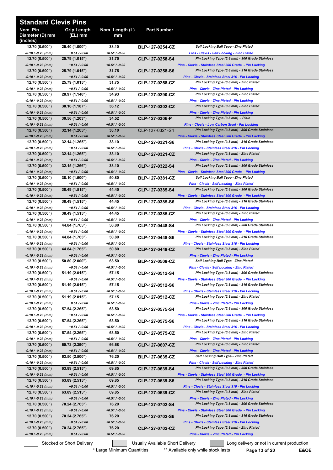| <b>Standard Clevis Pins</b>             |                                   |                          |                                  |                                                                                                            |
|-----------------------------------------|-----------------------------------|--------------------------|----------------------------------|------------------------------------------------------------------------------------------------------------|
| Nom. Pin<br>Diameter (D) mm<br>(inches) | <b>Grip Length</b><br>(EL) mm     | Nom. Length (L)<br>mm    | <b>Part Number</b>               |                                                                                                            |
| 12.70 (0.500")                          | 25.40 (1.000")                    | 38.10                    | <b>BLP-127-0254-CZ</b>           | Self Locking Ball Type - Zinc Plated                                                                       |
| -0.10 / -0.23 (mm)<br>12.70 (0.500")    | $+0.51 / -0.00$<br>25.79 (1.015") | +0.51 / -0.00<br>31.75   | CLP-127-0258-S4                  | <b>Pins - Clevis - Self Locking - Zinc Plated</b><br>Pin Locking Type (3.8 mm) - 300 Grade Stainless       |
| -0.10 / -0.23 (mm)                      | $+0.51 / -0.00$                   | $+0.51 / -0.00$          |                                  | Pins - Clevis - Stainless Steel 300 Grade - Pin Locking                                                    |
| 12.70(0.500")<br>-0.10 / -0.23 (mm)     | 25.79 (1.015")<br>$+0.51 / -0.00$ | 31.75<br>$+0.51 / -0.00$ | CLP-127-0258-S6                  | Pin Locking Type (3.8 mm) - 316 Grade Stainless<br>Pins - Clevis - Stainless Steel 316 - Pin Locking       |
| 12.70 (0.500")                          | 25.79 (1.015")                    | 31.75                    | CLP-127-0258-CZ                  | Pin Locking Type (3.8 mm) - Zinc Plated                                                                    |
| $-0.10 / -0.23$ (mm)                    | $+0.51 / -0.00$                   | +0.51 / -0.00            |                                  | Pins - Clevis - Zinc Plated - Pin Locking                                                                  |
| 12.70 (0.500")<br>-0.10 / -0.23 (mm)    | 28.97 (1.140")<br>$+0.51 / -0.00$ | 34.93<br>+0.51 / -0.00   | CLP-127-0290-CZ                  | Pin Locking Type (3.8 mm) - Zinc Plated<br>Pins - Clevis - Zinc Plated - Pin Locking                       |
| 12.70(0.500")                           | 30.16 (1.187")                    | 36.12                    | CLP-127-0302-CZ                  | Pin Locking Type (3.8 mm) - Zinc Plated                                                                    |
| -0.10 / -0.23 (mm)                      | $+0.51 / -0.00$                   | $+0.51 / -0.00$          |                                  | <b>Pins - Clevis - Zinc Plated - Pin Locking</b>                                                           |
| 12.70(0.500")<br>-0.10 / -0.23 (mm)     | 30.56 (1.203")<br>$+0.51 / -0.00$ | 34.52<br>$+0.51 / -0.00$ | CLP-127-0306-P                   | Pin Locking Type (3.8 mm) - Plain<br>Pins - Clevis - Low Carbon Steel - Pin Locking                        |
| 12.70 (0.500")                          | 32.14 (1.265")                    | 38.10                    | CLP-127-0321-S4                  | Pin Locking Type (3.8 mm) - 300 Grade Stainless                                                            |
| -0.10 / -0.23 (mm)<br>12.70 (0.500")    | $+0.51 / -0.00$<br>32.14 (1.265") | $+0.51 / -0.00$<br>38.10 | CLP-127-0321-S6                  | Pins - Clevis - Stainless Steel 300 Grade - Pin Locking<br>Pin Locking Type (3.8 mm) - 316 Grade Stainless |
| -0.10 / -0.23 (mm)                      | $+0.51 / -0.00$                   | $+0.51 / -0.00$          |                                  | Pins - Clevis - Stainless Steel 316 - Pin Locking                                                          |
| 12.70 (0.500")                          | 32.14 (1.265")                    | 38.10                    | CLP-127-0321-CZ                  | Pin Locking Type (3.8 mm) - Zinc Plated                                                                    |
| -0.10 / -0.23 (mm)<br>12.70 (0.500")    | $+0.51 / -0.00$<br>32.15 (1.266") | $+0.51 / -0.00$<br>38.10 | CLP-127-0322-S4                  | <b>Pins - Clevis - Zinc Plated - Pin Locking</b><br>Pin Locking Type (3.8 mm) - 300 Grade Stainless        |
| -0.10 / -0.23 (mm)                      | $+0.51 / -0.00$                   | $+0.51 / -0.00$          |                                  | Pins - Clevis - Stainless Steel 300 Grade - Pin Locking                                                    |
| 12.70(0.500")                           | 38.10 (1.500")                    | 50.80                    | <b>BLP-127-0381-CZ</b>           | <b>Self Locking Ball Type - Zinc Plated</b>                                                                |
| -0.10 / -0.23 (mm)<br>12.70 (0.500")    | $+0.51 / -0.00$<br>38.49 (1.515") | $+0.51 / -0.00$<br>44.45 | CLP-127-0385-S4                  | <b>Pins - Clevis - Self Locking - Zinc Plated</b><br>Pin Locking Type (3.8 mm) - 300 Grade Stainless       |
| $-0.10 / -0.23$ (mm)                    | $+0.51 / -0.00$                   | $+0.51 / -0.00$          |                                  | Pins - Clevis - Stainless Steel 300 Grade - Pin Locking                                                    |
| 12.70 (0.500")                          | 38.49 (1.515")                    | 44.45                    | CLP-127-0385-S6                  | Pin Locking Type (3.8 mm) - 316 Grade Stainless                                                            |
| -0.10 / -0.23 (mm)                      | $+0.51 / -0.00$<br>38.49 (1.515") | +0.51 / -0.00<br>44.45   |                                  | Pins - Clevis - Stainless Steel 316 - Pin Locking<br>Pin Locking Type (3.8 mm) - Zinc Plated               |
| 12.70(0.500")<br>-0.10 / -0.23 (mm)     | $+0.51 / -0.00$                   | +0.51 / -0.00            | CLP-127-0385-CZ                  | <b>Pins - Clevis - Zinc Plated - Pin Locking</b>                                                           |
| 12.70(0.500")                           | 44.84 (1.765")                    | 50.80                    | CLP-127-0448-S4                  | Pin Locking Type (3.8 mm) - 300 Grade Stainless                                                            |
| -0.10 / -0.23 (mm)<br>12.70(0.500")     | $+0.51 / -0.00$<br>44.84 (1.765") | $+0.51 / -0.00$<br>50.80 | CLP-127-0448-S6                  | Pins - Clevis - Stainless Steel 300 Grade - Pin Locking<br>Pin Locking Type (3.8 mm) - 316 Grade Stainless |
| -0.10 / -0.23 (mm)                      | $+0.51 / -0.00$                   | $+0.51 / -0.00$          |                                  | Pins - Clevis - Stainless Steel 316 - Pin Locking                                                          |
| 12.70(0.500")                           | 44.84 (1.765")<br>$+0.51 / -0.00$ | 50.80<br>$+0.51 / -0.00$ | CLP-127-0448-CZ                  | Pin Locking Type (3.8 mm) - Zinc Plated<br><b>Pins - Clevis - Zinc Plated - Pin Locking</b>                |
| -0.10 / -0.23 (mm)<br>12.70 (0.500")    | 50.80 (2.000")                    | 63.50                    | <b>BLP-127-0508-CZ</b>           | Self Locking Ball Type - Zinc Plated                                                                       |
| -0.10 / -0.23 (mm)                      | $+0.51 / -0.00$                   | +0.51 / -0.00            |                                  | <b>Pins - Clevis - Self Locking - Zinc Plated</b>                                                          |
| 12.70 (0.500")<br>-0.10 / -0.23 (mm)    | 51.19 (2.015")<br>$+0.51 / -0.00$ | 57.15<br>$+0.51 / -0.00$ | CLP-127-0512-S4                  | Pin Locking Type (3.8 mm) - 300 Grade Stainless<br>Pins - Clevis - Stainless Steel 300 Grade - Pin Locking |
| 12.70 (0.500")                          | 51.19 (2.015")                    | 57.15                    | CLP-127-0512-S6                  | Pin Locking Type (3.8 mm) - 316 Grade Stainless                                                            |
| -0.10 / -0.23 (mm)                      | $+0.51 / -0.00$                   | +0.51 / -0.00            |                                  | Pins - Clevis - Stainless Steel 316 - Pin Locking                                                          |
| 12.70 (0.500")<br>-0.10 / -0.23 (mm)    | 51.19 (2.015")<br>$+0.51 / -0.00$ | 57.15<br>+0.51 / -0.00   | CLP-127-0512-CZ                  | Pin Locking Type (3.8 mm) - Zinc Plated<br><b>Pins - Clevis - Zinc Plated - Pin Locking</b>                |
| 12.70 (0.500")                          | 57.54 (2.265")                    | 63.50                    | CLP-127-0575-S4                  | Pin Locking Type (3.8 mm) - 300 Grade Stainless                                                            |
| -0.10 / -0.23 (mm)                      | $+0.51 / -0.00$                   | +0.51 / -0.00            |                                  | Pins - Clevis - Stainless Steel 300 Grade - Pin Locking                                                    |
| 12.70 (0.500")<br>-0.10 / -0.23 (mm)    | 57.54 (2.265")<br>$+0.51 / -0.00$ | 63.50<br>$+0.51 / -0.00$ | CLP-127-0575-S6                  | Pin Locking Type (3.8 mm) - 316 Grade Stainless<br>Pins - Clevis - Stainless Steel 316 - Pin Locking       |
| 12.70 (0.500")                          | 57.54 (2.265")                    | 63.50                    | CLP-127-0575-CZ                  | Pin Locking Type (3.8 mm) - Zinc Plated                                                                    |
| -0.10 / -0.23 (mm)                      | $+0.51 / -0.00$                   | $+0.51 / -0.00$          |                                  | <b>Pins - Clevis - Zinc Plated - Pin Locking</b>                                                           |
| 12.70(0.500")<br>-0.10 / -0.23 (mm)     | 60.72 (2.390")<br>$+0.51 / -0.00$ | 66.68<br>$+0.51 / -0.00$ | CLP-127-0607-CZ                  | Pin Locking Type (3.8 mm) - Zinc Plated<br>Pins - Clevis - Zinc Plated - Pin Locking                       |
| 12.70 (0.500")                          | 63.50 (2.500")                    | 76.20                    | <b>BLP-127-0635-CZ</b>           | <b>Self Locking Ball Type - Zinc Plated</b>                                                                |
| -0.10 / -0.23 (mm)<br>12.70(0.500")     | $+0.51 / -0.00$<br>63.89 (2.515") | +0.51 / -0.00<br>69.85   | CLP-127-0639-S4                  | Pins - Clevis - Self Locking - Zinc Plated<br>Pin Locking Type (3.8 mm) - 300 Grade Stainless              |
| -0.10 / -0.23 (mm)                      | $+0.51 / -0.00$                   | +0.51 / -0.00            |                                  | Pins - Clevis - Stainless Steel 300 Grade - Pin Locking                                                    |
| 12.70(0.500")                           | 63.89 (2.515")                    | 69.85                    | CLP-127-0639-S6                  | Pin Locking Type (3.8 mm) - 316 Grade Stainless                                                            |
| -0.10 / -0.23 (mm)<br>12.70(0.500")     | $+0.51 / -0.00$<br>63.89 (2.515") | +0.51 / -0.00<br>69.85   | CLP-127-0639-CZ                  | Pins - Clevis - Stainless Steel 316 - Pin Locking<br>Pin Locking Type (3.8 mm) - Zinc Plated               |
| -0.10 / -0.23 (mm)                      | $+0.51 / -0.00$                   | +0.51 / -0.00            |                                  | Pins - Clevis - Zinc Plated - Pin Locking                                                                  |
| 12.70(0.500")                           | 70.24 (2.765")                    | 76.20                    | CLP-127-0702-S4                  | Pin Locking Type (3.8 mm) - 300 Grade Stainless                                                            |
| -0.10 / -0.23 (mm)<br>12.70(0.500")     | $+0.51 / -0.00$<br>70.24 (2.765") | +0.51 / -0.00<br>76.20   | CLP-127-0702-S6                  | Pins - Clevis - Stainless Steel 300 Grade - Pin Locking<br>Pin Locking Type (3.8 mm) - 316 Grade Stainless |
| -0.10 / -0.23 (mm)                      | $+0.51 / -0.00$                   | $+0.51 / -0.00$          |                                  | Pins - Clevis - Stainless Steel 316 - Pin Locking                                                          |
| 12.70(0.500")<br>-0.10 / -0.23 (mm)     | 70.24 (2.765")<br>$+0.51 / -0.00$ | 76.20<br>+0.51 / -0.00   | CLP-127-0702-CZ                  | Pin Locking Type (3.8 mm) - Zinc Plated<br>Pins - Clevis - Zinc Plated - Pin Locking                       |
|                                         | Stocked or Short Delivery         |                          | Usually Available Short Delivery | Long delivery or not in current production                                                                 |

\* Large Minimum Quantities \*\* Available only while stock lasts **Page 13 of 20 E&OE**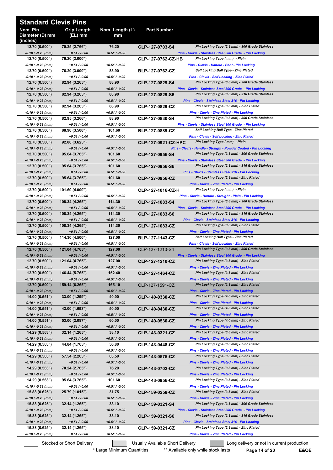| <b>Standard Clevis Pins</b>             |                                    |                           |                        |                                                                                                            |
|-----------------------------------------|------------------------------------|---------------------------|------------------------|------------------------------------------------------------------------------------------------------------|
| Nom. Pin<br>Diameter (D) mm<br>(inches) | Grip Length<br>(EL) mm             | Nom. Length (L)<br>mm     | <b>Part Number</b>     |                                                                                                            |
| 12.70(0.500")<br>-0.10 / -0.23 (mm)     | 70.25 (2.766")<br>$+0.51 / -0.00$  | 76.20<br>$+0.51 / -0.00$  | CLP-127-0703-S4        | Pin Locking Type (3.8 mm) - 300 Grade Stainless<br>Pins - Clevis - Stainless Steel 300 Grade - Pin Locking |
| 12.70(0.500")                           | 76.20 (3.000")                     |                           | CLP-127-0762-CZ-HB     | Pin Locking Type (mm) - Plain                                                                              |
| $-0.10 / -0.23$ (mm)<br>12.70(0.500")   | $+0.51 / -0.00$<br>76.20 (3.000")  | $+0.51 / -0.00$<br>88.90  | BLP-127-0762-CZ        | Pins - Clevis - Handle - Bent - Pin Locking<br>Self Locking Ball Type - Zinc Plated                        |
| $-0.10 / -0.23$ (mm)                    | $+0.51 / -0.00$                    | $+0.51 / -0.00$           |                        | Pins - Clevis - Self Locking - Zinc Plated                                                                 |
| 12.70(0.500")                           | 82.94 (3.265")                     | 88.90                     | CLP-127-0829-S4        | Pin Locking Type (3.8 mm) - 300 Grade Stainless                                                            |
| -0.10 / -0.23 (mm)<br>12.70 (0.500")    | $+0.51 / -0.00$<br>82.94 (3.265")  | $+0.51 / -0.00$<br>88.90  | CLP-127-0829-S6        | Pins - Clevis - Stainless Steel 300 Grade - Pin Locking<br>Pin Locking Type (3.8 mm) - 316 Grade Stainless |
| -0.10 / -0.23 (mm)                      | $+0.51 / -0.00$                    | $+0.51 / -0.00$           |                        | Pins - Clevis - Stainless Steel 316 - Pin Locking                                                          |
| 12.70 (0.500")<br>-0.10 / -0.23 (mm)    | 82.94 (3.265")<br>$+0.51 / -0.00$  | 88.90<br>$+0.51 / -0.00$  | CLP-127-0829-CZ        | Pin Locking Type (3.8 mm) - Zinc Plated<br><b>Pins - Clevis - Zinc Plated - Pin Locking</b>                |
| 12.70(0.500")                           | 82.95 (3.266")                     | 88.90                     | CLP-127-0830-S4        | Pin Locking Type (3.8 mm) - 300 Grade Stainless                                                            |
| -0.10 / -0.23 (mm)                      | $+0.51 / -0.00$                    | $+0.51 / -0.00$           |                        | Pins - Clevis - Stainless Steel 300 Grade - Pin Locking                                                    |
| 12.70 (0.500")<br>-0.10 / -0.23 (mm)    | 88.90 (3.500")<br>$+0.51 / -0.00$  | 101.60<br>$+0.51 / -0.00$ | BLP-127-0889-CZ        | <b>Self Locking Ball Type - Zinc Plated</b><br><b>Pins - Clevis - Self Locking - Zinc Plated</b>           |
| 12.70 (0.500")                          | 92.08(3.625")                      |                           | CLP-127-0921-CZ-HPC    | Pin Locking Type (mm) - Plain                                                                              |
| -0.10 / -0.23 (mm)                      | $+0.51 / -0.00$                    | $+0.51 / -0.00$           |                        | Pins - Clevis - Handle - Straight - Powder Coated - Pin Locking                                            |
| 12.70 (0.500")<br>$-0.10 / -0.23$ (mm)  | 95.64 (3.765")<br>$+0.51 / -0.00$  | 101.60<br>$+0.51 / -0.00$ | CLP-127-0956-S4        | Pin Locking Type (3.8 mm) - 300 Grade Stainless<br>Pins - Clevis - Stainless Steel 300 Grade - Pin Locking |
| 12.70(0.500")                           | 95.64 (3.765")                     | 101.60                    | CLP-127-0956-S6        | Pin Locking Type (3.8 mm) - 316 Grade Stainless                                                            |
| -0.10 / -0.23 (mm)                      | $+0.51 / -0.00$                    | $+0.51 / -0.00$           |                        | Pins - Clevis - Stainless Steel 316 - Pin Locking                                                          |
| 12.70(0.500")<br>-0.10 / -0.23 (mm)     | 95.64 (3.765")<br>$+0.51 / -0.00$  | 101.60<br>$+0.51 / -0.00$ | CLP-127-0956-CZ        | Pin Locking Type (3.8 mm) - Zinc Plated<br><b>Pins - Clevis - Zinc Plated - Pin Locking</b>                |
| 12.70 (0.500")                          | 101.60 (4.000")                    |                           | CLP-127-1016-CZ-H      | Pin Locking Type (mm) - Plain                                                                              |
| -0.10 / -0.23 (mm)<br>12.70 (0.500")    | $+0.51 / -0.00$<br>108.34 (4.265") | +0.51 / -0.00<br>114.30   |                        | Pins - Clevis - Handle - Straight - Plain - Pin Locking<br>Pin Locking Type (3.8 mm) - 300 Grade Stainless |
| -0.10 / -0.23 (mm)                      | $+0.51 / -0.00$                    | $+0.51 / -0.00$           | CLP-127-1083-S4        | Pins - Clevis - Stainless Steel 300 Grade - Pin Locking                                                    |
| 12.70(0.500")                           | 108.34 (4.265")                    | 114.30                    | CLP-127-1083-S6        | Pin Locking Type (3.8 mm) - 316 Grade Stainless                                                            |
| -0.10 / -0.23 (mm)<br>12.70 (0.500")    | $+0.51 / -0.00$<br>108.34 (4.265") | $+0.51 / -0.00$<br>114.30 | CLP-127-1083-CZ        | Pins - Clevis - Stainless Steel 316 - Pin Locking<br>Pin Locking Type (3.8 mm) - Zinc Plated               |
| $-0.10 / -0.23$ (mm)                    | $+0.51 / -0.00$                    | $+0.51 / -0.00$           |                        | <b>Pins - Clevis - Zinc Plated - Pin Locking</b>                                                           |
| 12.70 (0.500")<br>-0.10 / -0.23 (mm)    | 114.30 (4.500")                    | 127.00                    | <b>BLP-127-1143-CZ</b> | <b>Self Locking Ball Type - Zinc Plated</b>                                                                |
| 12.70 (0.500")                          | $+0.51 / -0.00$<br>121.04 (4.765") | $+0.51 / -0.00$<br>127.00 | CLP-127-1210-S4        | Pins - Clevis - Self Locking - Zinc Plated<br>Pin Locking Type (3.8 mm) - 300 Grade Stainless              |
| -0.10 / -0.23 (mm)                      | $+0.51 / -0.00$                    | $+0.51 / -0.00$           |                        | Pins - Clevis - Stainless Steel 300 Grade - Pin Locking                                                    |
| 12.70(0.500")<br>-0.10 / -0.23 (mm)     | 121.04 (4.765")<br>$+0.51 / -0.00$ | 127.00<br>$+0.51 / -0.00$ | CLP-127-1210-CZ        | Pin Locking Type (3.8 mm) - Zinc Plated<br><b>Pins - Clevis - Zinc Plated - Pin Locking</b>                |
| 12.70(0.500")                           | 146.44 (5.765")                    | 152.40                    | CLP-127-1464-CZ        | Pin Locking Type (3.8 mm) - Zinc Plated                                                                    |
| $-0.10 / -0.23$ (mm)                    | $+0.51 / -0.00$                    | $+0.51 / -0.00$           |                        | Pins - Clevis - Zinc Plated - Pin Locking                                                                  |
| 12.70(0.500")<br>-0.10 / -0.23 (mm)     | 159.14 (6.265")<br>$+0.51 / -0.00$ | 165.10<br>$+0.51 / -0.00$ | CLP-127-1591-CZ        | Pin Locking Type (3.8 mm) - Zinc Plated<br><b>Pins - Clevis - Zinc Plated - Pin Locking</b>                |
| 14.00(0.551")                           | 33.00 (1.299")                     | 40.00                     | CLP-140-0330-CZ        | Pin Locking Type (4.0 mm) - Zinc Plated                                                                    |
| -0.10 / -0.23 (mm)<br>14.00 (0.551")    | $+0.51 / -0.00$<br>43.00 (1.693")  | $+0.51 / -0.00$<br>50.00  | CLP-140-0430-CZ        | Pins - Clevis - Zinc Plated - Pin Locking<br>Pin Locking Type (4.0 mm) - Zinc Plated                       |
| $-0.10 / -0.23$ (mm)                    | $+0.51 / -0.00$                    | $+0.51 / -0.00$           |                        | Pins - Clevis - Zinc Plated - Pin Locking                                                                  |
| 14.00(0.551")                           | 53.00 (2.087")                     | 60.00                     | CLP-140-0530-CZ        | Pin Locking Type (4.0 mm) - Zinc Plated                                                                    |
| -0.10 / -0.23 (mm)<br>14.29 (0.563")    | $+0.51 / -0.00$<br>32.14 (1.265")  | $+0.51 / -0.00$<br>38.10  | CLP-143-0321-CZ        | <b>Pins - Clevis - Zinc Plated - Pin Locking</b><br>Pin Locking Type (3.8 mm) - Zinc Plated                |
| -0.10 / -0.23 (mm)                      | $+0.51 / -0.00$                    | $+0.51 / -0.00$           |                        | <b>Pins - Clevis - Zinc Plated - Pin Locking</b>                                                           |
| 14.29 (0.563")<br>-0.10 / -0.23 (mm)    | 44.84 (1.765")<br>$+0.51 / -0.00$  | 50.80<br>$+0.51 / -0.00$  | CLP-143-0448-CZ        | Pin Locking Type (3.8 mm) - Zinc Plated<br><b>Pins - Clevis - Zinc Plated - Pin Locking</b>                |
| 14.29 (0.563")                          | 57.54 (2.265")                     | 63.50                     | CLP-143-0575-CZ        | Pin Locking Type (3.8 mm) - Zinc Plated                                                                    |
| -0.10 / -0.23 (mm)                      | $+0.51 / -0.00$                    | $+0.51 / -0.00$           |                        | <b>Pins - Clevis - Zinc Plated - Pin Locking</b>                                                           |
| 14.29 (0.563")<br>-0.10 / -0.23 (mm)    | 70.24 (2.765")<br>$+0.51 / -0.00$  | 76.20<br>$+0.51 / -0.00$  | CLP-143-0702-CZ        | Pin Locking Type (3.8 mm) - Zinc Plated<br><b>Pins - Clevis - Zinc Plated - Pin Locking</b>                |
| 14.29 (0.563")                          | 95.64 (3.765")                     | 101.60                    | CLP-143-0956-CZ        | Pin Locking Type (3.8 mm) - Zinc Plated                                                                    |
| -0.10 / -0.23 (mm)                      | $+0.51 / -0.00$                    | $+0.51 / -0.00$<br>31.75  |                        | <b>Pins - Clevis - Zinc Plated - Pin Locking</b><br>Pin Locking Type (3.8 mm) - Zinc Plated                |
| 15.88(0.625")<br>-0.10 / -0.23 (mm)     | 25.79 (1.015")<br>$+0.51 / -0.00$  | $+0.51 / -0.00$           | CLP-159-0258-CZ        | Pins - Clevis - Zinc Plated - Pin Locking                                                                  |
| 15.88 (0.625")                          | 32.14 (1.265")                     | 38.10                     | CLP-159-0321-S4        | Pin Locking Type (3.8 mm) - 300 Grade Stainless                                                            |
| -0.10 / -0.23 (mm)<br>15.88 (0.625")    | $+0.51 / -0.00$<br>32.14 (1.265")  | $+0.51 / -0.00$<br>38.10  | CLP-159-0321-S6        | Pins - Clevis - Stainless Steel 300 Grade - Pin Locking<br>Pin Locking Type (3.8 mm) - 316 Grade Stainless |
| -0.10 / -0.23 (mm)                      | $+0.51 / -0.00$                    | $+0.51 / -0.00$           |                        | Pins - Clevis - Stainless Steel 316 - Pin Locking                                                          |
| 15.88 (0.625")                          | 32.14 (1.265")                     | 38.10                     | CLP-159-0321-CZ        | Pin Locking Type (3.8 mm) - Zinc Plated                                                                    |
| -0.10 / -0.23 (mm)                      | $+0.51 / -0.00$                    | $+0.51 / -0.00$           |                        | <b>Pins - Clevis - Zinc Plated - Pin Locking</b>                                                           |

 $\overline{\phantom{a}}$ 

Stocked or Short Delivery **Conservation** Usually Available Short Delivery **Conservation** Long delivery or not in current production

\* Large Minimum Quantities \*\* Available only while stock lasts **Page 14 of 20 E&OE**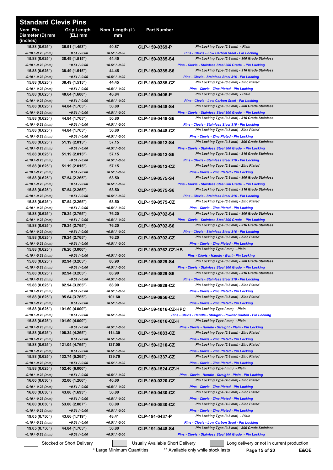| <b>Standard Clevis Pins</b>             |                                    |                           |                                  |                                                                                                            |
|-----------------------------------------|------------------------------------|---------------------------|----------------------------------|------------------------------------------------------------------------------------------------------------|
| Nom. Pin<br>Diameter (D) mm<br>(inches) | <b>Grip Length</b><br>(EL) mm      | Nom. Length (L)<br>mm     | Part Number                      |                                                                                                            |
| 15.88 (0.625")                          | 36.91 (1.453")                     | 40.87                     | CLP-159-0369-P                   | Pin Locking Type (3.8 mm) - Plain                                                                          |
| $-0.10 / -0.23$ (mm)<br>15.88(0.625")   | $+0.51 / -0.00$<br>38.49 (1.515")  | $+0.51 / -0.00$<br>44.45  | <b>CLP-159-0385-S4</b>           | <b>Pins - Clevis - Low Carbon Steel - Pin Locking</b><br>Pin Locking Type (3.8 mm) - 300 Grade Stainless   |
| -0.10 / -0.23 (mm)                      | $+0.51 / -0.00$                    | $+0.51 / -0.00$           |                                  | Pins - Clevis - Stainless Steel 300 Grade - Pin Locking                                                    |
| 15.88(0.625")<br>-0.10 / -0.23 (mm)     | 38.49 (1.515")<br>$+0.51 / -0.00$  | 44.45<br>$+0.51 / -0.00$  | <b>CLP-159-0385-S6</b>           | Pin Locking Type (3.8 mm) - 316 Grade Stainless<br>Pins - Clevis - Stainless Steel 316 - Pin Locking       |
| 15.88 (0.625")                          | 38.49 (1.515")                     | 44.45                     | CLP-159-0385-CZ                  | Pin Locking Type (3.8 mm) - Zinc Plated                                                                    |
| -0.10 / -0.23 (mm)<br>15.88(0.625")     | $+0.51 / -0.00$<br>40.64 (1.600")  | $+0.51 / -0.00$<br>46.84  |                                  | <b>Pins - Clevis - Zinc Plated - Pin Locking</b><br>Pin Locking Type (3.8 mm) - Plain                      |
| $-0.10 / -0.23$ (mm)                    | $+0.51 / -0.00$                    | $+0.51 / -0.00$           | CLP-159-0406-P                   | <b>Pins - Clevis - Low Carbon Steel - Pin Locking</b>                                                      |
| 15.88 (0.625")                          | 44.84 (1.765")                     | 50.80                     | <b>CLP-159-0448-S4</b>           | Pin Locking Type (3.8 mm) - 300 Grade Stainless                                                            |
| $-0.10 / -0.23$ (mm)<br>15.88 (0.625")  | $+0.51 / -0.00$<br>44.84 (1.765")  | $+0.51 / -0.00$<br>50.80  | CLP-159-0448-S6                  | Pins - Clevis - Stainless Steel 300 Grade - Pin Locking<br>Pin Locking Type (3.8 mm) - 316 Grade Stainless |
| -0.10 / -0.23 (mm)                      | $+0.51 / -0.00$                    | $+0.51 / -0.00$           |                                  | Pins - Clevis - Stainless Steel 316 - Pin Locking                                                          |
| 15.88 (0.625")                          | 44.84 (1.765")                     | 50.80                     | CLP-159-0448-CZ                  | Pin Locking Type (3.8 mm) - Zinc Plated                                                                    |
| -0.10 / -0.23 (mm)<br>15.88 (0.625")    | $+0.51 / -0.00$<br>51.19 (2.015")  | $+0.51 / -0.00$<br>57.15  | CLP-159-0512-S4                  | Pins - Clevis - Zinc Plated - Pin Locking<br>Pin Locking Type (3.8 mm) - 300 Grade Stainless               |
| $-0.10 / -0.23$ (mm)                    | $+0.51 / -0.00$                    | $+0.51 / -0.00$           |                                  | Pins - Clevis - Stainless Steel 300 Grade - Pin Locking                                                    |
| 15.88 (0.625")                          | 51.19 (2.015")                     | 57.15                     | <b>CLP-159-0512-S6</b>           | Pin Locking Type (3.8 mm) - 316 Grade Stainless                                                            |
| -0.10 / -0.23 (mm)<br>15.88 (0.625")    | $+0.51 / -0.00$<br>51.19 (2.015")  | $+0.51 / -0.00$<br>57.15  | <b>CLP-159-0512-CZ</b>           | Pins - Clevis - Stainless Steel 316 - Pin Locking<br>Pin Locking Type (3.8 mm) - Zinc Plated               |
| $-0.10 / -0.23$ (mm)                    | $+0.51/ -0.00$                     | $+0.51 / -0.00$           |                                  | Pins - Clevis - Zinc Plated - Pin Locking                                                                  |
| 15.88(0.625")                           | 57.54 (2.265")                     | 63.50<br>$+0.51 / -0.00$  | <b>CLP-159-0575-S4</b>           | Pin Locking Type (3.8 mm) - 300 Grade Stainless                                                            |
| -0.10 / -0.23 (mm)<br>15.88(0.625")     | $+0.51 / -0.00$<br>57.54 (2.265")  | 63.50                     | <b>CLP-159-0575-S6</b>           | Pins - Clevis - Stainless Steel 300 Grade - Pin Locking<br>Pin Locking Type (3.8 mm) - 316 Grade Stainless |
| -0.10 / -0.23 (mm)                      | $+0.51 / -0.00$                    | $+0.51 / -0.00$           |                                  | Pins - Clevis - Stainless Steel 316 - Pin Locking                                                          |
| 15.88 (0.625")<br>-0.10 / -0.23 (mm)    | 57.54 (2.265")<br>$+0.51 / -0.00$  | 63.50<br>$+0.51 / -0.00$  | CLP-159-0575-CZ                  | Pin Locking Type (3.8 mm) - Zinc Plated<br>Pins - Clevis - Zinc Plated - Pin Locking                       |
| 15.88 (0.625")                          | 70.24 (2.765")                     | 76.20                     | CLP-159-0702-S4                  | Pin Locking Type (3.8 mm) - 300 Grade Stainless                                                            |
| $-0.10 / -0.23$ (mm)                    | $+0.51 / -0.00$                    | $+0.51 / -0.00$           |                                  | Pins - Clevis - Stainless Steel 300 Grade - Pin Locking                                                    |
| 15.88(0.625")<br>-0.10 / -0.23 (mm)     | 70.24 (2.765")<br>$+0.51 / -0.00$  | 76.20<br>$+0.51/ -0.00$   | CLP-159-0702-S6                  | Pin Locking Type (3.8 mm) - 316 Grade Stainless<br>Pins - Clevis - Stainless Steel 316 - Pin Locking       |
| 15.88(0.625")                           | 70.24 (2.765")                     | 76.20                     | CLP-159-0702-CZ                  | Pin Locking Type (3.8 mm) - Zinc Plated                                                                    |
| $-0.10 / -0.23$ (mm)                    | $+0.51 / -0.00$                    | $+0.51 / -0.00$           |                                  | <b>Pins - Clevis - Zinc Plated - Pin Locking</b>                                                           |
| 15.88 (0.625")<br>-0.10 / -0.23 (mm)    | 76.20 (3.000")<br>$+0.51 / -0.00$  | $+0.51 / -0.00$           | CLP-159-0762-CZ-HB               | Pin Locking Type (mm) - Plain<br>Pins - Clevis - Handle - Bent - Pin Locking                               |
| 15.88 (0.625")                          | 82.94 (3.265")                     | 88.90                     | CLP-159-0829-S4                  | Pin Locking Type (3.8 mm) - 300 Grade Stainless                                                            |
| -0.10 / -0.23 (mm)                      | $+0.51 / -0.00$                    | $+0.51 / -0.00$           |                                  | Pins - Clevis - Stainless Steel 300 Grade - Pin Locking<br>Pin Locking Type (3.8 mm) - 316 Grade Stainless |
| 15.88 (0.625")<br>$-0.10 / -0.23$ (mm)  | 82.94 (3.265")<br>$+0.51 / -0.00$  | 88.90<br>$+0.51 / -0.00$  | CLP-159-0829-S6                  | Pins - Clevis - Stainless Steel 316 - Pin Locking                                                          |
| 15.88 (0.625")                          | 82.94 (3.265")                     | 88.90                     | CLP-159-0829-CZ                  | Pin Locking Type (3.8 mm) - Zinc Plated                                                                    |
| -0.10 / -0.23 (mm)<br>15.88(0.625")     | $+0.51 / -0.00$<br>95.64 (3.765")  | $+0.51 / -0.00$<br>101.60 |                                  | <b>Pins - Clevis - Zinc Plated - Pin Locking</b><br>Pin Locking Type (3.8 mm) - Zinc Plated                |
| -0.10 / -0.23 (mm)                      | $+0.51 / -0.00$                    | $+0.51 / -0.00$           | CLP-159-0956-CZ                  | <b>Pins - Clevis - Zinc Plated - Pin Locking</b>                                                           |
| 15.88 (0.625")                          | 101.60 (4.000")                    |                           | CLP-159-1016-CZ-HPC              | Pin Locking Type (mm) - Plain                                                                              |
| -0.10 / -0.23 (mm)<br>15.88(0.625")     | $+0.51 / -0.00$<br>101.60 (4.000") | $+0.51 / -0.00$           | CLP-159-1016-CZ-H                | Pins - Clevis - Handle - Straight - Powder Coated - Pin Locking<br>Pin Locking Type (mm) - Plain           |
| $-0.10 / -0.23$ (mm)                    | $+0.51 / -0.00$                    | +0.51 / -0.00             |                                  | Pins - Clevis - Handle - Straight - Plain - Pin Locking                                                    |
| 15.88(0.625")                           | 108.34 (4.265")                    | 114.30                    | <b>CLP-159-1083-CZ</b>           | Pin Locking Type (3.8 mm) - Zinc Plated                                                                    |
| -0.10 / -0.23 (mm)<br>15.88(0.625")     | $+0.51 / -0.00$<br>121.04 (4.765") | $+0.51 / -0.00$<br>127.00 | CLP-159-1210-CZ                  | <b>Pins - Clevis - Zinc Plated - Pin Locking</b><br>Pin Locking Type (3.8 mm) - Zinc Plated                |
| -0.10 / -0.23 (mm)                      | $+0.51 / -0.00$                    | $+0.51 / -0.00$           |                                  | <b>Pins - Clevis - Zinc Plated - Pin Locking</b>                                                           |
| 15.88(0.625")                           | 133.74 (5.265")                    | 139.70                    | CLP-159-1337-CZ                  | Pin Locking Type (3.8 mm) - Zinc Plated                                                                    |
| -0.10 / -0.23 (mm)<br>15.88 (0.625")    | $+0.51 / -0.00$<br>152.40 (6.000") | $+0.51 / -0.00$           | CLP-159-1524-CZ-H                | Pins - Clevis - Zinc Plated - Pin Locking<br>Pin Locking Type (mm) - Plain                                 |
| -0.10 / -0.23 (mm)                      | $+0.51 / -0.00$                    | $+0.51 / -0.00$           |                                  | Pins - Clevis - Handle - Straight - Plain - Pin Locking                                                    |
| 16.00(0.630")<br>-0.10 / -0.23 (mm)     | 32.00 (1.260")<br>$+0.51 / -0.00$  | 40.00<br>$+0.51 / -0.00$  | CLP-160-0320-CZ                  | Pin Locking Type (4.0 mm) - Zinc Plated<br><b>Pins - Clevis - Zinc Plated - Pin Locking</b>                |
| 16.00(0.630")                           | 43.00 (1.693")                     | 50.00                     | CLP-160-0430-CZ                  | Pin Locking Type (4.0 mm) - Zinc Plated                                                                    |
| -0.10 / -0.23 (mm)                      | $+0.51 / -0.00$                    | $+0.51 / -0.00$           |                                  | <b>Pins - Clevis - Zinc Plated - Pin Locking</b>                                                           |
| 16.00(0.630")<br>-0.10 / -0.23 (mm)     | 53.00 (2.087")<br>$+0.51 / -0.00$  | 60.00<br>$+0.51 / -0.00$  | <b>CLP-160-0530-CZ</b>           | Pin Locking Type (4.0 mm) - Zinc Plated<br><b>Pins - Clevis - Zinc Plated - Pin Locking</b>                |
| 19.05 (0.750")                          | 43.66 (1.719")                     | 48.41                     | CLP-191-0437-P                   | Pin Locking Type (3.8 mm) - Plain                                                                          |
| -0.10 / -0.28 (mm)                      | $+0.51 / -0.00$                    | $+0.51 / -0.00$           |                                  | Pins - Clevis - Low Carbon Steel - Pin Locking                                                             |
| 19.05(0.750")<br>-0.10 / -0.28 (mm)     | 44.84 (1.765")<br>$+0.51 / -0.00$  | 50.80<br>$+0.51 / -0.00$  | CLP-191-0448-S4                  | Pin Locking Type (3.8 mm) - 300 Grade Stainless<br>Pins - Clevis - Stainless Steel 300 Grade - Pin Locking |
|                                         | Stocked or Short Delivery          |                           | Usually Available Short Delivery | Long delivery or not in current production                                                                 |

<sup>\*</sup> Large Minimum Quantities \*\*\* Available only while stock lasts **Page 15 of 20 E&OE**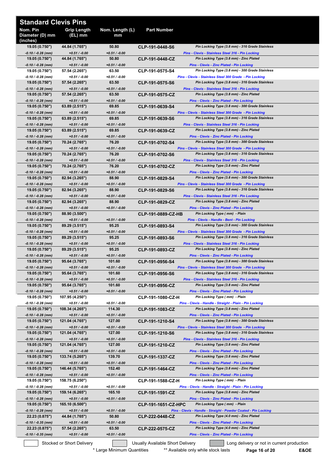| <b>Standard Clevis Pins</b>             |                                    |                           |                                  |                                                                                                            |
|-----------------------------------------|------------------------------------|---------------------------|----------------------------------|------------------------------------------------------------------------------------------------------------|
| Nom. Pin<br>Diameter (D) mm<br>(inches) | <b>Grip Length</b><br>(EL) mm      | Nom. Length (L)<br>mm     | <b>Part Number</b>               |                                                                                                            |
| 19.05 (0.750")                          | 44.84 (1.765")                     | 50.80                     | CLP-191-0448-S6                  | Pin Locking Type (3.8 mm) - 316 Grade Stainless                                                            |
| $-0.10 / -0.28$ (mm)<br>19.05(0.750")   | $+0.51 / -0.00$<br>44.84 (1.765")  | $+0.51 / -0.00$<br>50.80  | CLP-191-0448-CZ                  | Pins - Clevis - Stainless Steel 316 - Pin Locking<br>Pin Locking Type (3.8 mm) - Zinc Plated               |
| -0.10 / -0.28 (mm)                      | $+0.51 / -0.00$                    | $+0.51 / -0.00$           |                                  | Pins - Clevis - Zinc Plated - Pin Locking                                                                  |
| 19.05 (0.750")<br>-0.10 / -0.28 (mm)    | 57.54 (2.265")<br>$+0.51 / -0.00$  | 63.50<br>$+0.51 / -0.00$  | CLP-191-0575-S4                  | Pin Locking Type (3.8 mm) - 300 Grade Stainless<br>Pins - Clevis - Stainless Steel 300 Grade - Pin Locking |
| 19.05 (0.750")                          | 57.54 (2.265")                     | 63.50                     | CLP-191-0575-S6                  | Pin Locking Type (3.8 mm) - 316 Grade Stainless                                                            |
| -0.10 / -0.28 (mm)                      | $+0.51 / -0.00$                    | $+0.51 / -0.00$           |                                  | Pins - Clevis - Stainless Steel 316 - Pin Locking                                                          |
| 19.05 (0.750")<br>-0.10 / -0.28 (mm)    | 57.54 (2.265")<br>$+0.51 / -0.00$  | 63.50<br>$+0.51 / -0.00$  | CLP-191-0575-CZ                  | Pin Locking Type (3.8 mm) - Zinc Plated<br><b>Pins - Clevis - Zinc Plated - Pin Locking</b>                |
| 19.05 (0.750")                          | 63.89 (2.515")                     | 69.85                     | CLP-191-0639-S4                  | Pin Locking Type (3.8 mm) - 300 Grade Stainless                                                            |
| -0.10 / -0.28 (mm)                      | $+0.51 / -0.00$                    | $+0.51 / -0.00$           |                                  | Pins - Clevis - Stainless Steel 300 Grade - Pin Locking                                                    |
| 19.05 (0.750")                          | 63.89 (2.515")                     | 69.85<br>$+0.51 / -0.00$  | CLP-191-0639-S6                  | Pin Locking Type (3.8 mm) - 316 Grade Stainless                                                            |
| -0.10 / -0.28 (mm)<br>19.05 (0.750")    | $+0.51 / -0.00$<br>63.89 (2.515")  | 69.85                     | CLP-191-0639-CZ                  | Pins - Clevis - Stainless Steel 316 - Pin Locking<br>Pin Locking Type (3.8 mm) - Zinc Plated               |
| -0.10 / -0.28 (mm)                      | $+0.51 / -0.00$                    | $+0.51 / -0.00$           |                                  | Pins - Clevis - Zinc Plated - Pin Locking                                                                  |
| 19.05 (0.750")                          | 70.24 (2.765")                     | 76.20                     | CLP-191-0702-S4                  | Pin Locking Type (3.8 mm) - 300 Grade Stainless                                                            |
| -0.10 / -0.28 (mm)<br>19.05 (0.750")    | $+0.51 / -0.00$<br>70.24 (2.765")  | $+0.51 / -0.00$<br>76.20  | CLP-191-0702-S6                  | Pins - Clevis - Stainless Steel 300 Grade - Pin Locking<br>Pin Locking Type (3.8 mm) - 316 Grade Stainless |
| $-0.10 / -0.28$ (mm)                    | $+0.51 / -0.00$                    | $+0.51 / -0.00$           |                                  | Pins - Clevis - Stainless Steel 316 - Pin Locking                                                          |
| 19.05(0.750")                           | 70.24 (2.765")                     | 76.20                     | CLP-191-0702-CZ                  | Pin Locking Type (3.8 mm) - Zinc Plated                                                                    |
| $-0.10 / -0.28$ (mm)                    | $+0.51 / -0.00$                    | $+0.51 / -0.00$           |                                  | Pins - Clevis - Zinc Plated - Pin Locking                                                                  |
| 19.05(0.750")<br>-0.10 / -0.28 (mm)     | 82.94 (3.265")<br>$+0.51 / -0.00$  | 88.90<br>$+0.51 / -0.00$  | CLP-191-0829-S4                  | Pin Locking Type (3.8 mm) - 300 Grade Stainless<br>Pins - Clevis - Stainless Steel 300 Grade - Pin Locking |
| 19.05 (0.750")                          | 82.94 (3.265")                     | 88.90                     | CLP-191-0829-S6                  | Pin Locking Type (3.8 mm) - 316 Grade Stainless                                                            |
| -0.10 / -0.28 (mm)                      | $+0.51 / -0.00$                    | $+0.51 / -0.00$           |                                  | Pins - Clevis - Stainless Steel 316 - Pin Locking                                                          |
| 19.05 (0.750")<br>-0.10 / -0.28 (mm)    | 82.94 (3.265")<br>$+0.51 / -0.00$  | 88.90<br>$+0.51 / -0.00$  | CLP-191-0829-CZ                  | Pin Locking Type (3.8 mm) - Zinc Plated<br>Pins - Clevis - Zinc Plated - Pin Locking                       |
| 19.05 (0.750")                          | 88.90 (3.500")                     |                           | CLP-191-0889-CZ-HB               | Pin Locking Type (mm) - Plain                                                                              |
| -0.10 / -0.28 (mm)                      | $+0.51 / -0.00$                    | $+0.51 / -0.00$           |                                  | Pins - Clevis - Handle - Bent - Pin Locking                                                                |
| 19.05 (0.750")                          | 89.29 (3.515")                     | 95.25                     | CLP-191-0893-S4                  | Pin Locking Type (3.8 mm) - 300 Grade Stainless                                                            |
| $-0.10 / -0.28$ (mm)<br>19.05 (0.750")  | $+0.51 / -0.00$<br>89.29 (3.515")  | $+0.51 / -0.00$<br>95.25  | CLP-191-0893-S6                  | Pins - Clevis - Stainless Steel 300 Grade - Pin Locking<br>Pin Locking Type (3.8 mm) - 316 Grade Stainless |
| -0.10 / -0.28 (mm)                      | $+0.51 / -0.00$                    | $+0.51 / -0.00$           |                                  | Pins - Clevis - Stainless Steel 316 - Pin Locking                                                          |
| 19.05(0.750")                           | 89.29 (3.515")                     | 95.25                     | CLP-191-0893-CZ                  | Pin Locking Type (3.8 mm) - Zinc Plated                                                                    |
| -0.10 / -0.28 (mm)<br>19.05(0.750")     | $+0.51 / -0.00$<br>95.64 (3.765")  | $+0.51 / -0.00$<br>101.60 | CLP-191-0956-S4                  | Pins - Clevis - Zinc Plated - Pin Locking<br>Pin Locking Type (3.8 mm) - 300 Grade Stainless               |
| $-0.10 / -0.28$ (mm)                    | $+0.51 / -0.00$                    | $+0.51 / -0.00$           |                                  | Pins - Clevis - Stainless Steel 300 Grade - Pin Locking                                                    |
| 19.05 (0.750")                          | 95.64 (3.765")                     | 101.60                    | CLP-191-0956-S6                  | Pin Locking Type (3.8 mm) - 316 Grade Stainless                                                            |
| -0.10 / -0.28 (mm)                      | $+0.51 / -0.00$                    | $+0.51 / -0.00$           |                                  | Pins - Clevis - Stainless Steel 316 - Pin Locking<br>Pin Locking Type (3.8 mm) - Zinc Plated               |
| 19.05 (0.750")<br>-0.10 / -0.28 (mm)    | 95.64 (3.765")<br>$+0.51 / -0.00$  | 101.60<br>$+0.51 / -0.00$ | CLP-191-0956-CZ                  | <b>Pins - Clevis - Zinc Plated - Pin Locking</b>                                                           |
| 19.05 (0.750")                          | 107.95 (4.250")                    |                           | CLP-191-1080-CZ-H                | Pin Locking Type (mm) - Plain                                                                              |
| -0.10 / -0.28 (mm)                      | $+0.51 / -0.00$                    | $+0.51 / -0.00$           |                                  | Pins - Clevis - Handle - Straight - Plain - Pin Locking                                                    |
| 19.05 (0.750")<br>-0.10 / -0.28 (mm)    | 108.34 (4.265")<br>$+0.51 / -0.00$ | 114.30<br>$+0.51 / -0.00$ | CLP-191-1083-CZ                  | Pin Locking Type (3.8 mm) - Zinc Plated<br>Pins - Clevis - Zinc Plated - Pin Locking                       |
| 19.05(0.750")                           | 121.04 (4.765")                    | 127.00                    | CLP-191-1210-S4                  | Pin Locking Type (3.8 mm) - 300 Grade Stainless                                                            |
| -0.10 / -0.28 (mm)                      | $+0.51 / -0.00$                    | $+0.51 / -0.00$           |                                  | Pins - Clevis - Stainless Steel 300 Grade - Pin Locking                                                    |
| 19.05 (0.750")                          | 121.04 (4.765")                    | 127.00                    | CLP-191-1210-S6                  | Pin Locking Type (3.8 mm) - 316 Grade Stainless                                                            |
| -0.10 / -0.28 (mm)<br>19.05 (0.750")    | $+0.51 / -0.00$<br>121.04 (4.765") | $+0.51 / -0.00$<br>127.00 | CLP-191-1210-CZ                  | Pins - Clevis - Stainless Steel 316 - Pin Locking<br>Pin Locking Type (3.8 mm) - Zinc Plated               |
| -0.10 / -0.28 (mm)                      | $+0.51 / -0.00$                    | $+0.51 / -0.00$           |                                  | <b>Pins - Clevis - Zinc Plated - Pin Locking</b>                                                           |
| 19.05(0.750")                           | 133.74 (5.265")                    | 139.70                    | CLP-191-1337-CZ                  | Pin Locking Type (3.8 mm) - Zinc Plated                                                                    |
| -0.10 / -0.28 (mm)<br>19.05(0.750")     | $+0.51 / -0.00$<br>146.44 (5.765") | $+0.51 / -0.00$<br>152.40 | CLP-191-1464-CZ                  | <b>Pins - Clevis - Zinc Plated - Pin Locking</b><br>Pin Locking Type (3.8 mm) - Zinc Plated                |
| -0.10 / -0.28 (mm)                      | $+0.51 / -0.00$                    | $+0.51 / -0.00$           |                                  | Pins - Clevis - Zinc Plated - Pin Locking                                                                  |
| 19.05 (0.750")                          | 158.75 (6.250")                    |                           | CLP-191-1588-CZ-H                | Pin Locking Type (mm) - Plain                                                                              |
| -0.10 / -0.28 (mm)<br>19.05 (0.750")    | $+0.51 / -0.00$<br>159.14 (6.265") | $+0.51 / -0.00$<br>165.10 |                                  | Pins - Clevis - Handle - Straight - Plain - Pin Locking<br>Pin Locking Type (3.8 mm) - Zinc Plated         |
| -0.10 / -0.28 (mm)                      | $+0.51 / -0.00$                    | $+0.51 / -0.00$           | CLP-191-1591-CZ                  | <b>Pins - Clevis - Zinc Plated - Pin Locking</b>                                                           |
| 19.05 (0.750")                          | 165.10 (6.500")                    |                           | CLP-191-1651-CZ-HPC              | Pin Locking Type (mm) - Plain                                                                              |
| -0.10 / -0.28 (mm)                      | $+0.51 / -0.00$                    | $+0.51 / -0.00$           |                                  | Pins - Clevis - Handle - Straight - Powder Coated - Pin Locking                                            |
| 22.23 (0.875")<br>-0.10 / -0.35 (mm)    | 44.84 (1.765")<br>$+0.51 / -0.00$  | 50.80<br>$+0.51 / -0.00$  | CLP-222-0448-CZ                  | Pin Locking Type (4.0 mm) - Zinc Plated<br>Pins - Clevis - Zinc Plated - Pin Locking                       |
| 22.23 (0.875")                          | 57.54 (2.265")                     | 63.50                     | CLP-222-0575-CZ                  | Pin Locking Type (4.0 mm) - Zinc Plated                                                                    |
| -0.10 / -0.35 (mm)                      | $+0.51 / -0.00$                    | $+0.51 / -0.00$           |                                  | Pins - Clevis - Zinc Plated - Pin Locking                                                                  |
|                                         | Stocked or Short Delivery          |                           | Usually Available Short Delivery | Long delivery or not in current production                                                                 |

\* Large Minimum Quantities \*\*\* Available only while stock lasts **Page 16 of 20 E&OE**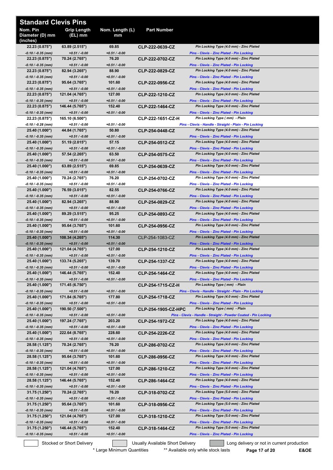| <b>Standard Clevis Pins</b>             |                                    |                           |                                  |                                                                                             |
|-----------------------------------------|------------------------------------|---------------------------|----------------------------------|---------------------------------------------------------------------------------------------|
| Nom. Pin<br>Diameter (D) mm<br>(inches) | <b>Grip Length</b><br>(EL) mm      | Nom. Length (L)<br>mm     | <b>Part Number</b>               |                                                                                             |
| 22.23 (0.875")                          | 63.89 (2.515")                     | 69.85                     | CLP-222-0639-CZ                  | Pin Locking Type (4.0 mm) - Zinc Plated                                                     |
| $-0.10 / -0.35$ (mm)                    | $+0.51 / -0.00$                    | $+0.51 / -0.00$<br>76.20  |                                  | Pins - Clevis - Zinc Plated - Pin Locking<br>Pin Locking Type (4.0 mm) - Zinc Plated        |
| 22.23 (0.875")<br>$-0.10 / -0.35$ (mm)  | 70.24 (2.765")<br>$+0.51 / -0.00$  | $+0.51 / -0.00$           | CLP-222-0702-CZ                  | Pins - Clevis - Zinc Plated - Pin Locking                                                   |
| 22.23 (0.875")                          | 82.94 (3.265")                     | 88.90                     | CLP-222-0829-CZ                  | Pin Locking Type (4.0 mm) - Zinc Plated                                                     |
| $-0.10 / -0.35$ (mm)                    | $+0.51 / -0.00$                    | $+0.51/ -0.00$            |                                  | Pins - Clevis - Zinc Plated - Pin Locking                                                   |
| 22.23 (0.875")<br>-0.10 / -0.35 (mm)    | 95.64 (3.765")<br>$+0.51 / -0.00$  | 101.60<br>$+0.51 / -0.00$ | CLP-222-0956-CZ                  | Pin Locking Type (4.0 mm) - Zinc Plated<br>Pins - Clevis - Zinc Plated - Pin Locking        |
| 22.23 (0.875")                          | 121.04 (4.765")                    | 127.00                    | <b>CLP-222-1210-CZ</b>           | Pin Locking Type (4.0 mm) - Zinc Plated                                                     |
| -0.10 / -0.35 (mm)                      | $+0.51 / -0.00$                    | $+0.51 / -0.00$           |                                  | Pins - Clevis - Zinc Plated - Pin Locking                                                   |
| 22.23 (0.875")                          | 146.44 (5.765")                    | 152.40                    | CLP-222-1464-CZ                  | Pin Locking Type (4.0 mm) - Zinc Plated                                                     |
| -0.10 / -0.35 (mm)<br>22.23 (0.875")    | $+0.51 / -0.00$<br>165.10 (6.500") | $+0.51 / -0.00$           | CLP-222-1651-CZ-H                | <b>Pins - Clevis - Zinc Plated - Pin Locking</b><br>Pin Locking Type (mm) - Plain           |
| $-0.10 / -0.28$ (mm)                    | $+0.51 / -0.00$                    | $+0.51 / -0.00$           |                                  | Pins - Clevis - Handle - Straight - Plain - Pin Locking                                     |
| 25.40 (1.000")                          | 44.84 (1.765")                     | 50.80                     | CLP-254-0448-CZ                  | Pin Locking Type (4.0 mm) - Zinc Plated                                                     |
| -0.10 / -0.35 (mm)<br>25.40 (1.000")    | $+0.51 / -0.00$<br>51.19 (2.015")  | $+0.51 / -0.00$<br>57.15  | CLP-254-0512-CZ                  | Pins - Clevis - Zinc Plated - Pin Locking<br>Pin Locking Type (4.0 mm) - Zinc Plated        |
| -0.10 / -0.35 (mm)                      | $+0.51/ -0.00$                     | $+0.51 / -0.00$           |                                  | <b>Pins - Clevis - Zinc Plated - Pin Locking</b>                                            |
| 25.40 (1.000")                          | 57.54 (2.265")                     | 63.50                     | CLP-254-0575-CZ                  | Pin Locking Type (4.0 mm) - Zinc Plated                                                     |
| $-0.10 / -0.35$ (mm)                    | $+0.51 / -0.00$                    | $+0.51/ -0.00$            |                                  | Pins - Clevis - Zinc Plated - Pin Locking                                                   |
| 25.40 (1.000")<br>$-0.10 / -0.35$ (mm)  | 63.89 (2.515")<br>$+0.51 / -0.00$  | 69.85<br>$+0.51/ -0.00$   | CLP-254-0639-CZ                  | Pin Locking Type (4.0 mm) - Zinc Plated<br>Pins - Clevis - Zinc Plated - Pin Locking        |
| 25.40 (1.000")                          | 70.24 (2.765")                     | 76.20                     | CLP-254-0702-CZ                  | Pin Locking Type (4.0 mm) - Zinc Plated                                                     |
| -0.10 / -0.35 (mm)                      | $+0.51 / -0.00$                    | $+0.51 / -0.00$           |                                  | <b>Pins - Clevis - Zinc Plated - Pin Locking</b>                                            |
| 25.40 (1.000")                          | 76.59 (3.015")                     | 82.55                     | CLP-254-0766-CZ                  | Pin Locking Type (4.0 mm) - Zinc Plated                                                     |
| -0.10 / -0.35 (mm)<br>25.40 (1.000")    | $+0.51/ -0.00$<br>82.94 (3.265")   | $+0.51 / -0.00$<br>88.90  | CLP-254-0829-CZ                  | <b>Pins - Clevis - Zinc Plated - Pin Locking</b><br>Pin Locking Type (4.0 mm) - Zinc Plated |
| -0.10 / -0.35 (mm)                      | $+0.51 / -0.00$                    | $+0.51 / -0.00$           |                                  | <b>Pins - Clevis - Zinc Plated - Pin Locking</b>                                            |
| 25.40 (1.000")                          | 89.29 (3.515")                     | 95.25                     | CLP-254-0893-CZ                  | Pin Locking Type (4.0 mm) - Zinc Plated                                                     |
| $-0.10 / -0.35$ (mm)<br>25.40 (1.000")  | $+0.51 / -0.00$<br>95.64 (3.765")  | $+0.51 / -0.00$<br>101.60 | CLP-254-0956-CZ                  | Pins - Clevis - Zinc Plated - Pin Locking<br>Pin Locking Type (4.0 mm) - Zinc Plated        |
| $-0.10 / -0.35$ (mm)                    | $+0.51 / -0.00$                    | $+0.51 / -0.00$           |                                  | Pins - Clevis - Zinc Plated - Pin Locking                                                   |
| 25.40 (1.000")                          | 108.34 (4.265")                    | 114.30                    | CLP-254-1083-CZ                  | Pin Locking Type (4.0 mm) - Zinc Plated                                                     |
| -0.10 / -0.35 (mm)                      | $+0.51 / -0.00$                    | $+0.51 / -0.00$           |                                  | <b>Pins - Clevis - Zinc Plated - Pin Locking</b><br>Pin Locking Type (4.0 mm) - Zinc Plated |
| 25.40 (1.000")<br>$-0.10 / -0.35$ (mm)  | 121.04 (4.765")<br>$+0.51 / -0.00$ | 127.00<br>$+0.51 / -0.00$ | CLP-254-1210-CZ                  | <b>Pins - Clevis - Zinc Plated - Pin Locking</b>                                            |
| 25.40 (1.000")                          | 133.74 (5.265")                    | 139.70                    | CLP-254-1337-CZ                  | Pin Locking Type (4.0 mm) - Zinc Plated                                                     |
| -0.10 / -0.35 (mm)                      | $+0.51 / -0.00$                    | $+0.51 / -0.00$           |                                  | Pins - Clevis - Zinc Plated - Pin Locking                                                   |
| 25.40 (1.000")<br>-0.10 / -0.35 (mm)    | 146.44 (5.765")<br>$+0.51 / -0.00$ | 152.40<br>$+0.51 / -0.00$ | CLP-254-1464-CZ                  | Pin Locking Type (4.0 mm) - Zinc Plated<br><b>Pins - Clevis - Zinc Plated - Pin Locking</b> |
| 25.40 (1.000")                          | 171.45 (6.750")                    |                           | CLP-254-1715-CZ-H                | Pin Locking Type (mm) - Plain                                                               |
| -0.10 / -0.35 (mm)                      | $+0.51 / -0.00$                    | $+0.51 / -0.00$           |                                  | Pins - Clevis - Handle - Straight - Plain - Pin Locking                                     |
| 25.40 (1.000")                          | 171.84 (6.765")                    | 177.80                    | <b>CLP-254-1718-CZ</b>           | Pin Locking Type (4.0 mm) - Zinc Plated                                                     |
| -0.10 / -0.35 (mm)<br>25.40 (1.000")    | $+0.51 / -0.00$<br>190.50 (7.500") | +0.51 / -0.00             | <b>CLP-254-1905-CZ-HPC</b>       | Pins - Clevis - Zinc Plated - Pin Locking<br>Pin Locking Type (mm) - Plain                  |
| -0.10 / -0.35 (mm)                      | $+0.51 / -0.00$                    | $+0.51 / -0.00$           |                                  | Pins - Clevis - Handle - Straight - Powder Coated - Pin Locking                             |
| 25.40 (1.000")                          | 197.24 (7.765")                    | 203.20                    | CLP-254-1972-CZ                  | Pin Locking Type (4.0 mm) - Zinc Plated                                                     |
| -0.10 / -0.35 (mm)<br>25.40 (1.000")    | $+0.51 / -0.00$<br>222.64 (8.765") | $+0.51 / -0.00$<br>228.60 |                                  | <b>Pins - Clevis - Zinc Plated - Pin Locking</b><br>Pin Locking Type (4.0 mm) - Zinc Plated |
| -0.10 / -0.35 (mm)                      | $+0.51 / -0.00$                    | $+0.51 / -0.00$           | <b>CLP-254-2226-CZ</b>           | <b>Pins - Clevis - Zinc Plated - Pin Locking</b>                                            |
| 28.58 (1.125")                          | 70.24 (2.765")                     | 76.20                     | <b>CLP-286-0702-CZ</b>           | Pin Locking Type (4.0 mm) - Zinc Plated                                                     |
| -0.10 / -0.35 (mm)                      | $+0.51 / -0.00$                    | $+0.51 / -0.00$           |                                  | <b>Pins - Clevis - Zinc Plated - Pin Locking</b>                                            |
| 28.58 (1.125")<br>$-0.10 / -0.35$ (mm)  | 95.64 (3.765")<br>$+0.51 / -0.00$  | 101.60<br>+0.51 / -0.00   | CLP-286-0956-CZ                  | Pin Locking Type (4.0 mm) - Zinc Plated<br><b>Pins - Clevis - Zinc Plated - Pin Locking</b> |
| 28.58 (1.125")                          | 121.04 (4.765")                    | 127.00                    | CLP-286-1210-CZ                  | Pin Locking Type (4.0 mm) - Zinc Plated                                                     |
| -0.10 / -0.35 (mm)                      | $+0.51 / -0.00$                    | $+0.51 / -0.00$           |                                  | Pins - Clevis - Zinc Plated - Pin Locking                                                   |
| 28.58 (1.125")                          | 146.44 (5.765")                    | 152.40                    | CLP-286-1464-CZ                  | Pin Locking Type (4.0 mm) - Zinc Plated                                                     |
| -0.10 / -0.35 (mm)<br>31.75 (1.250")    | $+0.51 / -0.00$<br>70.24 (2.765")  | $+0.51 / -0.00$<br>76.20  | CLP-318-0702-CZ                  | <b>Pins - Clevis - Zinc Plated - Pin Locking</b><br>Pin Locking Type (5.0 mm) - Zinc Plated |
| -0.10 / -0.35 (mm)                      | $+0.51 / -0.00$                    | $+0.51 / -0.00$           |                                  | Pins - Clevis - Zinc Plated - Pin Locking                                                   |
| 31.75 (1.250")                          | 95.64 (3.765")                     | 101.60                    | CLP-318-0956-CZ                  | Pin Locking Type (5.0 mm) - Zinc Plated                                                     |
| -0.10 / -0.35 (mm)<br>31.75(1.250")     | $+0.51 / -0.00$<br>121.04 (4.765") | +0.51 / -0.00<br>127.00   | CLP-318-1210-CZ                  | Pins - Clevis - Zinc Plated - Pin Locking<br>Pin Locking Type (5.0 mm) - Zinc Plated        |
| -0.10 / -0.35 (mm)                      | $+0.51 / -0.00$                    | $+0.51 / -0.00$           |                                  | <b>Pins - Clevis - Zinc Plated - Pin Locking</b>                                            |
| 31.75 (1.250")                          | 146.44 (5.765")                    | 152.40                    | CLP-318-1464-CZ                  | Pin Locking Type (5.0 mm) - Zinc Plated                                                     |
| -0.10 / -0.35 (mm)                      | $+0.51 / -0.00$                    | $+0.51 / -0.00$           |                                  | <b>Pins - Clevis - Zinc Plated - Pin Locking</b>                                            |
|                                         | Stocked or Short Delivery          |                           | Usually Available Short Delivery | Long delivery or not in current production                                                  |

Stocked or Short Delivery **Conservative Conservation** Usually Available Short Delivery **Conservation** Long delivery or not in current production

\* Large Minimum Quantities \*\* Available only while stock lasts **Page 17 of 20 E&OE**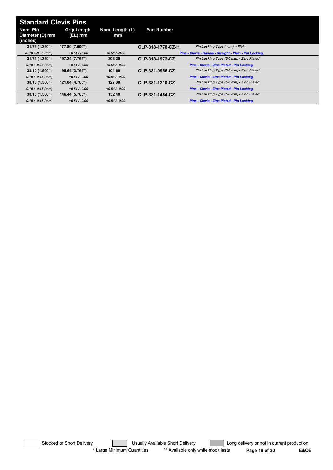| <b>Standard Clevis Pins</b> |                               |                       |                    |                                                         |
|-----------------------------|-------------------------------|-----------------------|--------------------|---------------------------------------------------------|
| Nom. Pin<br>Diameter (D) mm | <b>Grip Length</b><br>(EL) mm | Nom. Length (L)<br>mm | <b>Part Number</b> |                                                         |
| (inches)                    |                               |                       |                    |                                                         |
| 31.75 (1.250")              | 177.80 (7.000")               |                       | CLP-318-1778-CZ-H  | Pin Locking Type (mm) - Plain                           |
| $-0.10 / -0.35$ (mm)        | $+0.51 / -0.00$               | $+0.51 / -0.00$       |                    | Pins - Clevis - Handle - Straight - Plain - Pin Locking |
| 31.75 (1.250")              | 197.24 (7.765")               | 203.20                | CLP-318-1972-CZ    | Pin Locking Type (5.0 mm) - Zinc Plated                 |
| $-0.10 / -0.35$ (mm)        | $+0.51 / -0.00$               | $+0.51 / -0.00$       |                    | Pins - Clevis - Zinc Plated - Pin Locking               |
| 38.10 (1.500")              | 95.64 (3.765")                | 101.60                | CLP-381-0956-CZ    | Pin Locking Type (5.0 mm) - Zinc Plated                 |
| $-0.10 / -0.45$ (mm)        | $+0.51/-0.00$                 | $+0.51 / -0.00$       |                    | <b>Pins - Clevis - Zinc Plated - Pin Locking</b>        |
| 38.10 (1.500")              | 121.04 (4.765")               | 127.00                | CLP-381-1210-CZ    | Pin Locking Type (5.0 mm) - Zinc Plated                 |
| $-0.10 / -0.45$ (mm)        | $+0.51/-0.00$                 | $+0.51 / -0.00$       |                    | Pins - Clevis - Zinc Plated - Pin Locking               |
| 38.10 (1.500")              | 146.44 (5.765")               | 152.40                | CLP-381-1464-CZ    | Pin Locking Type (5.0 mm) - Zinc Plated                 |
| $-0.10 / -0.45$ (mm)        | $+0.51/-0.00$                 | $+0.51 / -0.00$       |                    | Pins - Clevis - Zinc Plated - Pin Locking               |

Stocked or Short Delivery **The Contract Contract Contract Contract** Long delivery or not in current production \* Large Minimum Quantities \*\* Available only while stock lasts **Page 18 of 20 E&OE**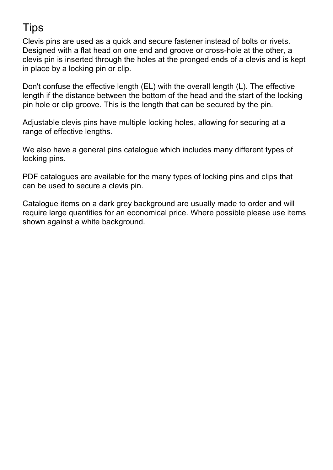### **Tips**

Clevis pins are used as a quick and secure fastener instead of bolts or rivets. Designed with a flat head on one end and groove or cross-hole at the other, a clevis pin is inserted through the holes at the pronged ends of a clevis and is kept in place by a locking pin or clip.

Don't confuse the effective length (EL) with the overall length (L). The effective length if the distance between the bottom of the head and the start of the locking pin hole or clip groove. This is the length that can be secured by the pin.

Adjustable clevis pins have multiple locking holes, allowing for securing at a range of effective lengths.

We also have a general pins catalogue which includes many different types of locking pins.

PDF catalogues are available for the many types of locking pins and clips that can be used to secure a clevis pin.

Catalogue items on a dark grey background are usually made to order and will require large quantities for an economical price. Where possible please use items shown against a white background.